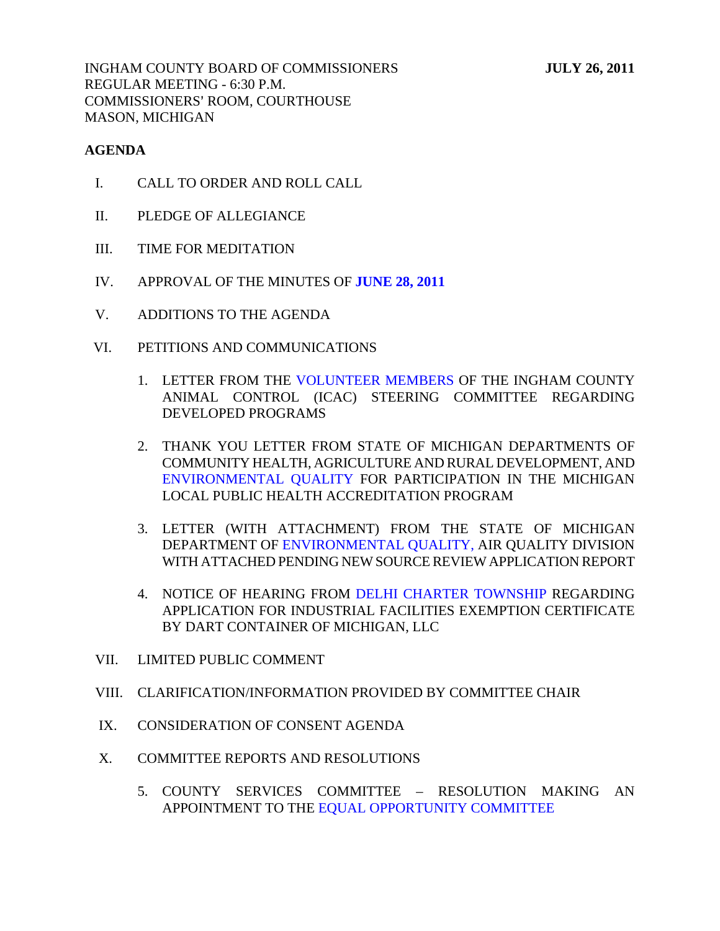INGHAM COUNTY BOARD OF COMMISSIONERS **JULY 26, 2011** REGULAR MEETING - 6:30 P.M. COMMISSIONERS' ROOM, COURTHOUSE MASON, MICHIGAN

#### **AGENDA**

- I. CALL TO ORDER AND ROLL CALL
- II. PLEDGE OF ALLEGIANCE
- III. TIME FOR MEDITATION
- IV. APPROVAL OF THE MINUTES OF **[JUNE 28, 2011](#page-5-0)**
- V. ADDITIONS TO THE AGENDA
- VI. PETITIONS AND COMMUNICATIONS
	- 1. LETTER FROM TH[E VOLUNTEER MEMBERS OF TH](#page-32-0)E INGHAM COUNTY ANIMAL CONTROL (ICAC) STEERING COMMITTEE REGARDING DEVELOPED PROGRAMS
	- 2. THANK YOU LETTER FROM STATE OF MICHIGAN DEPARTMENTS OF COMMUNITY HEALTH, AGRICULTURE AND RURAL DEVELOPMENT, AND [ENVIRONMENTAL QUALITY FO](#page-34-0)R PARTICIPATION IN THE MICHIGAN LOCAL PUBLIC HEALTH ACCREDITATION PROGRAM
	- 3. LETTER (WITH ATTACHMENT) FROM THE STATE OF MICHIGAN DEPARTMENT [OF ENVIRONMENTAL QUALITY, AIR Q](#page-35-0)UALITY DIVISION WITH ATTACHED PENDING NEW SOURCE REVIEW APPLICATION REPORT
	- 4. NOTICE OF HEARING FROM [DELHI CHARTER TOWNSHIP REG](#page-37-0)ARDING APPLICATION FOR INDUSTRIAL FACILITIES EXEMPTION CERTIFICATE BY DART CONTAINER OF MICHIGAN, LLC
- VII. LIMITED PUBLIC COMMENT
- VIII. CLARIFICATION/INFORMATION PROVIDED BY COMMITTEE CHAIR
- IX. CONSIDERATION OF CONSENT AGENDA
- X. COMMITTEE REPORTS AND RESOLUTIONS
	- 5. COUNTY SERVICES COMMITTEE RESOLUTION MAKING AN APPOINTMENT TO TH[E EQUAL OPPORTUNITY COMMITTEE](#page-38-0)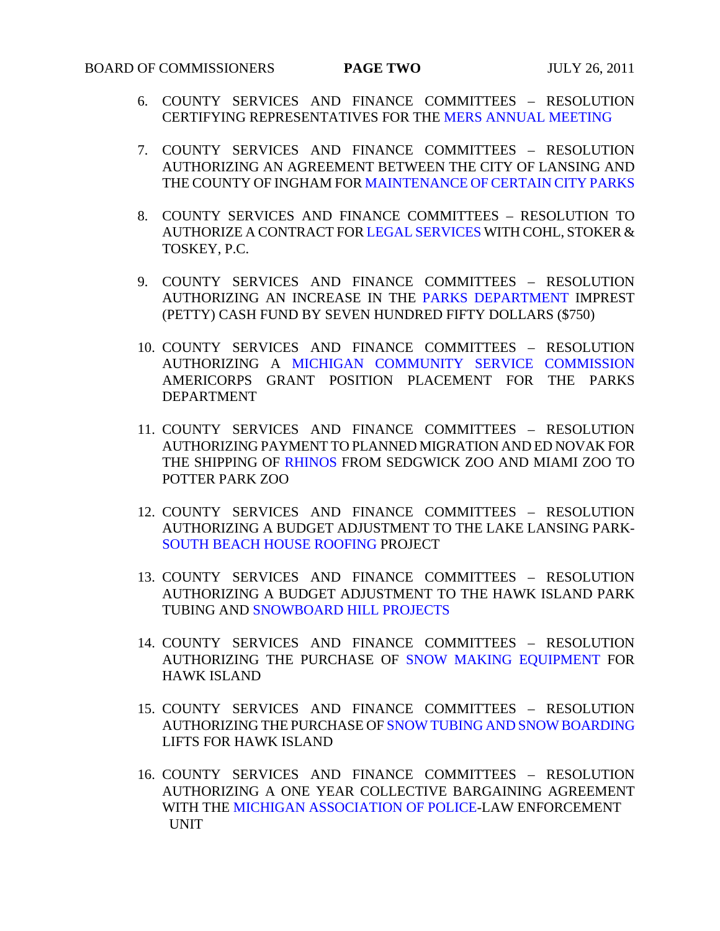## BOARD OF COMMISSIONERS **PAGE TWO** JULY 26, 2011

- 6. COUNTY SERVICES AND FINANCE [COMMITTEES RESOLUTION](#page-39-0) CERTIFYING REPRESENTATIVES FOR THE MERS ANNUAL MEETING
- 7. COUNTY SERVICES AND FINANCE COMMITTEES RESOLUTION AUTHORIZING AN AGREEMENT BETWEEN THE CITY OF LANSING AND THE COUNTY OF INGHAM FO[R MAINTENANCE OF CERTAIN CITY PARKS](#page-40-0)
- 8. COUNTY SERVICES AND FINANCE COMMITTEES RESOLUTION TO AUTHORIZE A CONTRACT [FOR LEGAL SERVICES WITH](#page-42-0) COHL, STOKER & TOSKEY, P.C.
- 9. COUNTY SERVICES AND FINANCE COMMITTEES RESOLUTION AUTHORIZING AN INCREASE IN [THE PARKS DEPARTMENT IMPR](#page-43-0)EST (PETTY) CASH FUND BY SEVEN HUNDRED FIFTY DOLLARS (\$750)
- 10. COUNTY SERVICES AND FINANCE COMMITTEES RESOLUTION AUTHORIZING A [MICHIGAN COMMUNITY SERVICE COMMISSION](#page-44-0) AMERICORPS GRANT POSITION PLACEMENT FOR THE PARKS DEPARTMENT
- 11. COUNTY SERVICES AND FINANCE COMMITTEES RESOLUTION AUTHORIZIN[G PAYMENT TO PLANNED M](#page-45-0)IGRATION AND ED NOVAK FOR THE SHIPPING OF RHINOS FROM SEDGWICK ZOO AND MIAMI ZOO TO POTTER PARK ZOO
- 12. COUNTY SERVICES AND FINANCE COMMITTEES RESOLUTION AUTHORIZING A BUDGET ADJUSTMENT TO THE LAKE LANSING PARK-[SOUTH BEACH HOUSE ROOFING PROJECT](#page-46-0)
- 13. COUNTY SERVICES AND FINANCE COMMITTEES RESOLUTION AUTHORIZING A BUDGET ADJUSTMENT TO THE HAWK ISLAND PARK TUBING AN[D SNOWBOARD HILL PROJECTS](#page-48-0)
- 14. COUNTY SERVICES AND FINANCE COMMITTEES RESOLUTION AUTHORIZING THE PURCHASE [OF SNOW MAKING EQUIPMENT FO](#page-50-0)R HAWK ISLAND
- 15. COUNTY SERVICES AND FINANCE COMMITTEES RESOLUTION AUTHORIZING THE PURCHASE [OF SNOW TUBING AND SNOW BOARDING](#page-51-0) LIFTS FOR HAWK ISLAND
- 16. COUNTY SERVICES AND FINANCE COMMITTEES RESOLUTION AUTHOR[IZING A ONE YEAR COLLECTIVE BARGAINING A](#page-52-0)GREEMENT WITH THE MICHIGAN ASSOCIATION OF POLICE-LAW ENFORCEMENT UNIT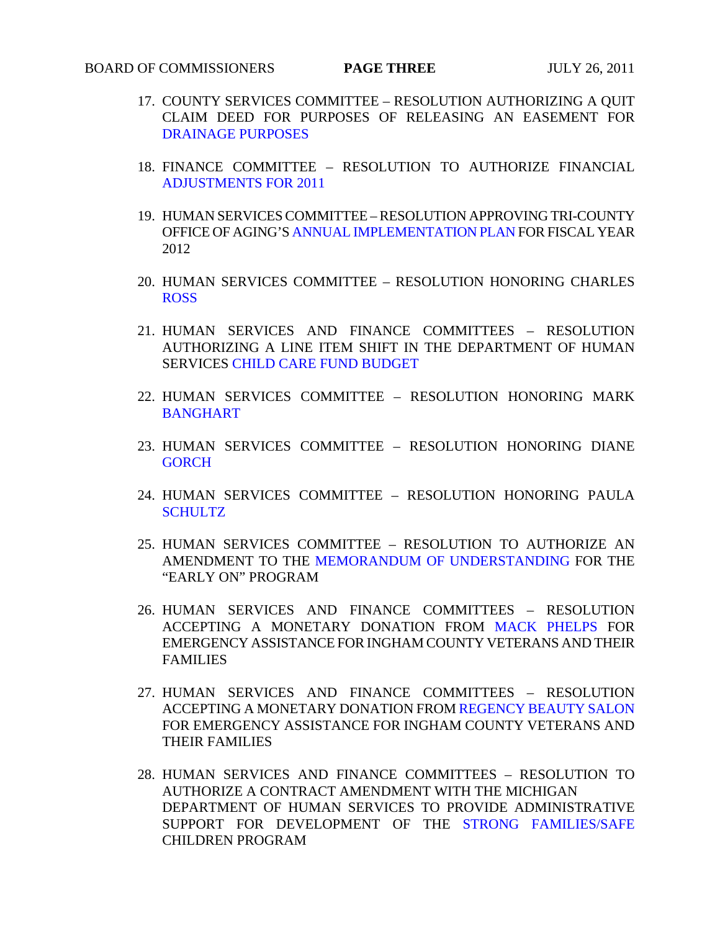- 17. COUNTY SERVICES COMMITTEE RESOLUTION AUTHORIZING A QUIT [CLAIM DEED FOR PURPOSES O](#page-53-0)F RELEASING AN EASEMENT FOR DRAINAGE PURPOSES
- 18. FINANCE COMMITTEE RESOLUTION TO AUTHORIZE FINANCIAL [ADJUSTMENTS FOR 2011](#page-54-0)
- 19. HUMAN SERVICES COMMITTEE RESOLUTION APPROVING TRI-COUNTY OFFICE OF AGING'[S ANNUAL IMPLEMENTATION PLAN FOR FISC](#page-55-0)AL YEAR 2012
- 20. HUMAN SERVICES COMMITTEE RESOLUTION HONORING CHARLES [ROSS](#page-56-0)
- 21. HUMAN SERVICES AND FINANCE COMMITTEES RESOLUTION AUTH[ORIZING A LINE ITEM SHIFT IN THE D](#page-57-0)EPARTMENT OF HUMAN SERVICES CHILD CARE FUND BUDGET
- 22. [HUMAN SERVICE](#page-58-0)S COMMITTEE RESOLUTION HONORING MARK BANGHART
- 23. HUMAN SERVICES COMMITTEE RESOLUTION HONORING DIANE **GORCH**
- 24. HUMAN SERVICES COMMITTEE RESOLUTION HONORING PAULA [SCHULTZ](#page-61-0)
- 25. HUMAN SERVICES COMMITTEE RESOLUTION TO AUTHORIZE AN AMENDMENT TO TH[E MEMORANDUM OF UNDERSTANDING FOR THE](#page-62-0) "EARLY ON" PROGRAM
- 26. HUMAN SERVICES AND FINANCE COMMITTEES RESOLUTION ACCEPTING A MONETARY DONATION FROM [MACK PHELPS FO](#page-63-0)R EMERGENCY ASSISTANCE FOR INGHAM COUNTY VETERANS AND THEIR FAMILIES
- 27. HUMAN SERVICES AND FINANCE COMMITTEES RESOLUTION ACCEPTING A MONETARY DONATION FRO[M REGENCY BEAUTY SALON](#page-64-0) FOR EMERGENCY ASSISTANCE FOR INGHAM COUNTY VETERANS AND THEIR FAMILIES
- 28. HUMAN SERVICES AND FINANCE COMMITTEES RESOLUTION TO AUTHORIZE A CONTRACT AMENDMENT WITH THE MICHIGAN DEPARTMENT OF HUMAN SERVICES TO PROVIDE ADMINISTRATIVE SUPPORT FOR DEVELOPMENT OF THE [STRONG FAMILIES/SAFE](#page-65-0)  CHILDREN PROGRAM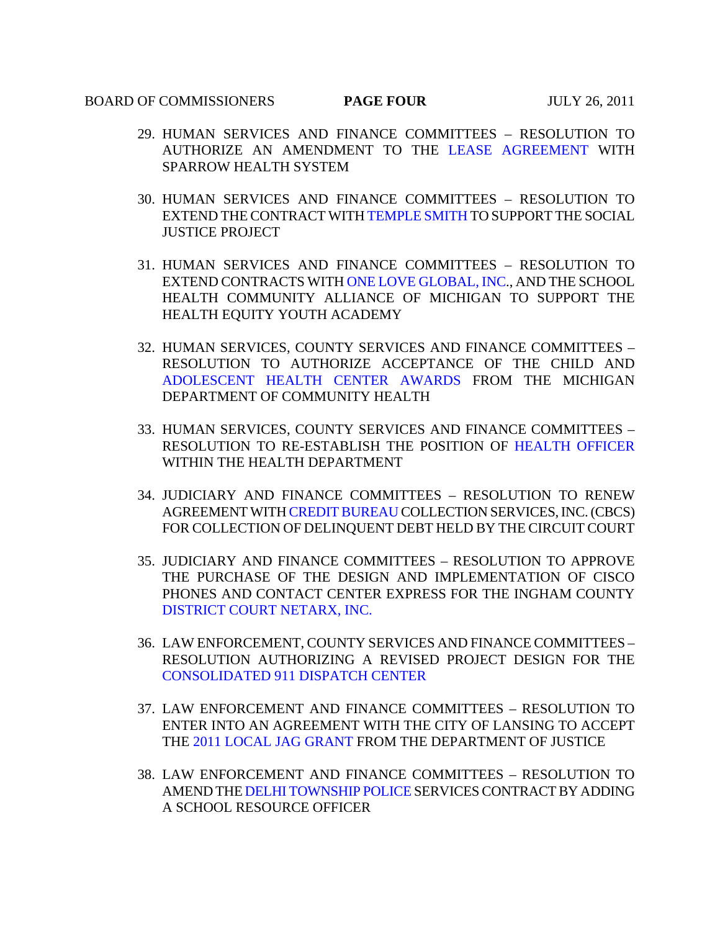#### BOARD OF COMMISSIONERS **PAGE FOUR** JULY 26, 2011

- 29. HUMAN SERVICES AND FINANCE COMMITTEES RESOLUTION TO AUTHORIZE AN AMENDMENT TO THE [LEASE AGREEMENT WITH](#page-66-0) SPARROW HEALTH SYSTEM
- 30. HUMAN SERVICES AND FINANCE COMMITTEES RESOLUTION TO EXTEND THE CONTRACT WIT[H TEMPLE SMITH TO SU](#page-68-0)PPORT THE SOCIAL JUSTICE PROJECT
- 31. HUMAN SERVICES AND FINANCE COMMITTEES RESOLUTION TO EXTEND CONTRACTS WI[TH ONE LOVE GLOBAL, INC., AND](#page-69-0) THE SCHOOL HEALTH COMMUNITY ALLIANCE OF MICHIGAN TO SUPPORT THE HEALTH EQUITY YOUTH ACADEMY
- 32. HUMAN SERVICES, COUNTY SERVICES AND FINANCE COMMITTEES RESOLUTION TO AUTHORIZE ACCEPTANCE OF THE CHILD AND [ADOLESCENT HEALTH CENTER AWARDS](#page-71-0) FROM THE MICHIGAN DEPARTMENT OF COMMUNITY HEALTH
- 33. HUMAN SERVICES, COUNTY SERVICES AND FINANCE COMMITTEES RESOLUTION TO RE-ESTABLISH THE POSITION O[F HEALTH OFFICER](#page-73-0) WITHIN THE HEALTH DEPARTMENT
- 34. JUDICIARY AND FINANCE COMMITTEES RESOLUTION TO RENEW AGREEMENT WITH [CREDIT BUREAU COLLECT](#page-74-0)ION SERVICES, INC. (CBCS) FOR COLLECTION OF DELINQUENT DEBT HELD BY THE CIRCUIT COURT
- 35. JUDICIARY AND FINANCE COMMITTEES RESOLUTION TO APPROVE THE PURCHASE OF THE DESIGN AND IMPLEMENTATION OF CISCO PHONES AND CONTACT CENTER EXPRESS FOR THE INGHAM COUNTY [DISTRICT COURT NETARX, INC.](#page-75-0)
- 36. LAW ENFORCEMENT, COUNTY SERVICES AND FINANCE COMMITTEES RESOLUTION AUTHORIZING A REVISED PROJECT DESIGN FOR THE [CONSOLIDATED 911 DISPATCH CENTER](#page-76-0)
- 37. LAW ENFORCEMENT AND FINANCE COMMITTEES RESOLUTION TO ENTER INTO AN AGREEMENT WITH THE CITY OF LANSING TO ACCEPT THE [2011 LOCAL JAG GRANT FROM T](#page-78-0)HE DEPARTMENT OF JUSTICE
- 38. LAW ENFORCEMENT AND FINANCE COMMITTEES RESOLUTION TO AMEND TH[E DELHI TOWNSHIP POLICE SER](#page-79-0)VICES CONTRACT BY ADDING A SCHOOL RESOURCE OFFICER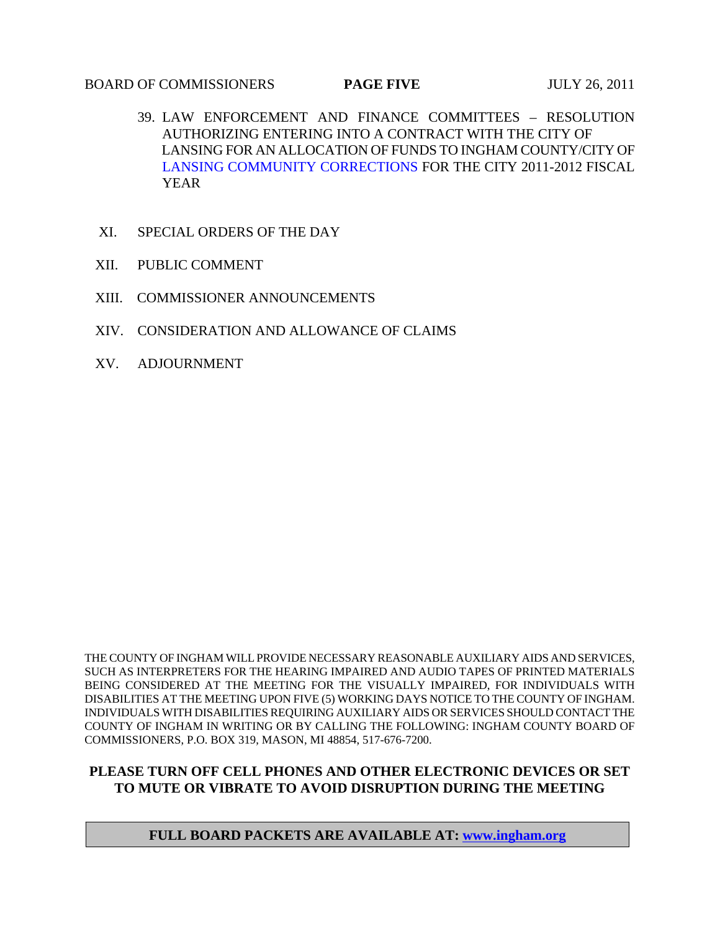#### BOARD OF COMMISSIONERS **PAGE FIVE** JULY 26, 2011

- 39. LAW ENFORCEMENT AND FINANCE COMMITTEES RESOLUTION AUTHORIZING ENTERING INTO A CONTRACT WITH THE CITY OF LANSING FOR AN ALLOCATION OF FUNDS TO INGHAM COUNTY/CITY OF [LANSING COMMUNITY CORRECTIONS FO](#page-80-0)R THE CITY 2011-2012 FISCAL YEAR
- XI. SPECIAL ORDERS OF THE DAY
- XII. PUBLIC COMMENT
- XIII. COMMISSIONER ANNOUNCEMENTS
- XIV. CONSIDERATION AND ALLOWANCE OF CLAIMS
- XV. ADJOURNMENT

THE COUNTY OF INGHAM WILL PROVIDE NECESSARY REASONABLE AUXILIARY AIDS AND SERVICES, SUCH AS INTERPRETERS FOR THE HEARING IMPAIRED AND AUDIO TAPES OF PRINTED MATERIALS BEING CONSIDERED AT THE MEETING FOR THE VISUALLY IMPAIRED, FOR INDIVIDUALS WITH DISABILITIES AT THE MEETING UPON FIVE (5) WORKING DAYS NOTICE TO THE COUNTY OF INGHAM. INDIVIDUALS WITH DISABILITIES REQUIRING AUXILIARY AIDS OR SERVICES SHOULD CONTACT THE COUNTY OF INGHAM IN WRITING OR BY CALLING THE FOLLOWING: INGHAM COUNTY BOARD OF COMMISSIONERS, P.O. BOX 319, MASON, MI 48854, 517-676-7200.

# **PLEASE TURN OFF CELL PHONES AND OTHER ELECTRONIC DEVICES OR SET TO MUTE OR VIBRATE TO AVOID DISRUPTION DURING THE MEETING**

#### **FULL BOARD PACKETS ARE AVAILABLE AT: www.ingham.org**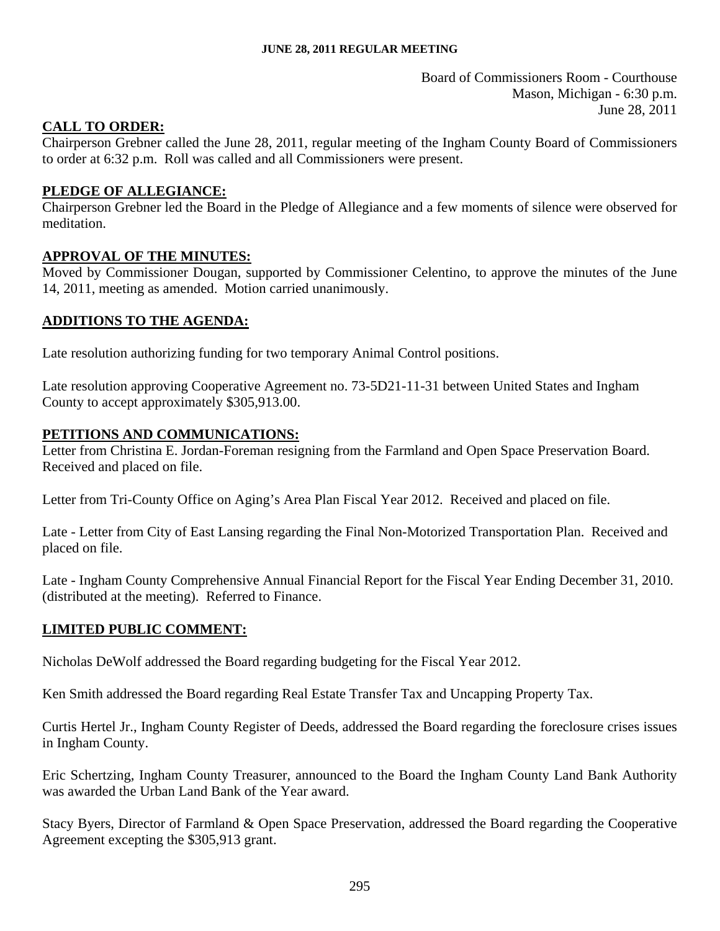Board of Commissioners Room - Courthouse Mason, Michigan - 6:30 p.m. June 28, 2011

# <span id="page-5-0"></span>**CALL TO ORDER:**

Chairperson Grebner called the June 28, 2011, regular meeting of the Ingham County Board of Commissioners to order at 6:32 p.m. Roll was called and all Commissioners were present.

## **PLEDGE OF ALLEGIANCE:**

Chairperson Grebner led the Board in the Pledge of Allegiance and a few moments of silence were observed for meditation.

## **APPROVAL OF THE MINUTES:**

Moved by Commissioner Dougan, supported by Commissioner Celentino, to approve the minutes of the June 14, 2011, meeting as amended. Motion carried unanimously.

## **ADDITIONS TO THE AGENDA:**

Late resolution authorizing funding for two temporary Animal Control positions.

Late resolution approving Cooperative Agreement no. 73-5D21-11-31 between United States and Ingham County to accept approximately \$305,913.00.

#### **PETITIONS AND COMMUNICATIONS:**

Letter from Christina E. Jordan-Foreman resigning from the Farmland and Open Space Preservation Board. Received and placed on file.

Letter from Tri-County Office on Aging's Area Plan Fiscal Year 2012. Received and placed on file.

Late - Letter from City of East Lansing regarding the Final Non-Motorized Transportation Plan. Received and placed on file.

Late - Ingham County Comprehensive Annual Financial Report for the Fiscal Year Ending December 31, 2010. (distributed at the meeting). Referred to Finance.

# **LIMITED PUBLIC COMMENT:**

Nicholas DeWolf addressed the Board regarding budgeting for the Fiscal Year 2012.

Ken Smith addressed the Board regarding Real Estate Transfer Tax and Uncapping Property Tax.

Curtis Hertel Jr., Ingham County Register of Deeds, addressed the Board regarding the foreclosure crises issues in Ingham County.

Eric Schertzing, Ingham County Treasurer, announced to the Board the Ingham County Land Bank Authority was awarded the Urban Land Bank of the Year award.

Stacy Byers, Director of Farmland & Open Space Preservation, addressed the Board regarding the Cooperative Agreement excepting the \$305,913 grant.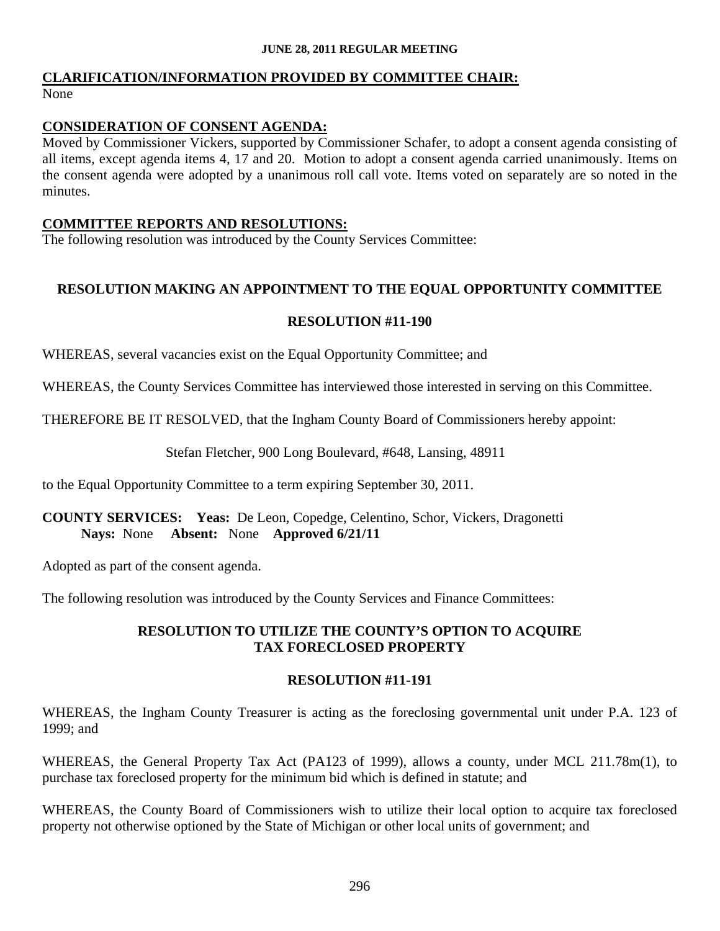#### **CLARIFICATION/INFORMATION PROVIDED BY COMMITTEE CHAIR:** None

## **CONSIDERATION OF CONSENT AGENDA:**

Moved by Commissioner Vickers, supported by Commissioner Schafer, to adopt a consent agenda consisting of all items, except agenda items 4, 17 and 20. Motion to adopt a consent agenda carried unanimously. Items on the consent agenda were adopted by a unanimous roll call vote. Items voted on separately are so noted in the minutes.

#### **COMMITTEE REPORTS AND RESOLUTIONS:**

The following resolution was introduced by the County Services Committee:

## **RESOLUTION MAKING AN APPOINTMENT TO THE EQUAL OPPORTUNITY COMMITTEE**

#### **RESOLUTION #11-190**

WHEREAS, several vacancies exist on the Equal Opportunity Committee; and

WHEREAS, the County Services Committee has interviewed those interested in serving on this Committee.

THEREFORE BE IT RESOLVED, that the Ingham County Board of Commissioners hereby appoint:

Stefan Fletcher, 900 Long Boulevard, #648, Lansing, 48911

to the Equal Opportunity Committee to a term expiring September 30, 2011.

## **COUNTY SERVICES: Yeas:** De Leon, Copedge, Celentino, Schor, Vickers, Dragonetti **Nays:** None **Absent:** None **Approved 6/21/11**

Adopted as part of the consent agenda.

The following resolution was introduced by the County Services and Finance Committees:

## **RESOLUTION TO UTILIZE THE COUNTY'S OPTION TO ACQUIRE TAX FORECLOSED PROPERTY**

#### **RESOLUTION #11-191**

WHEREAS, the Ingham County Treasurer is acting as the foreclosing governmental unit under P.A. 123 of 1999; and

WHEREAS, the General Property Tax Act (PA123 of 1999), allows a county, under MCL 211.78m(1), to purchase tax foreclosed property for the minimum bid which is defined in statute; and

WHEREAS, the County Board of Commissioners wish to utilize their local option to acquire tax foreclosed property not otherwise optioned by the State of Michigan or other local units of government; and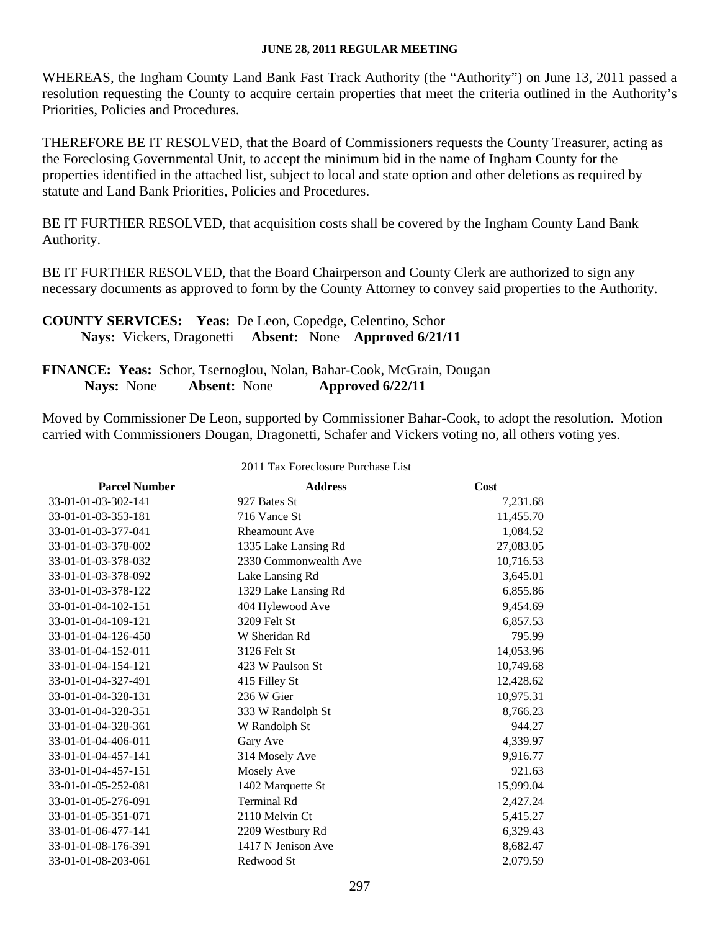WHEREAS, the Ingham County Land Bank Fast Track Authority (the "Authority") on June 13, 2011 passed a resolution requesting the County to acquire certain properties that meet the criteria outlined in the Authority's Priorities, Policies and Procedures.

THEREFORE BE IT RESOLVED, that the Board of Commissioners requests the County Treasurer, acting as the Foreclosing Governmental Unit, to accept the minimum bid in the name of Ingham County for the properties identified in the attached list, subject to local and state option and other deletions as required by statute and Land Bank Priorities, Policies and Procedures.

BE IT FURTHER RESOLVED, that acquisition costs shall be covered by the Ingham County Land Bank Authority.

BE IT FURTHER RESOLVED, that the Board Chairperson and County Clerk are authorized to sign any necessary documents as approved to form by the County Attorney to convey said properties to the Authority.

# **COUNTY SERVICES: Yeas:** De Leon, Copedge, Celentino, Schor **Nays:** Vickers, Dragonetti **Absent:** None **Approved 6/21/11**

**FINANCE: Yeas:** Schor, Tsernoglou, Nolan, Bahar-Cook, McGrain, Dougan **Nays:** None **Absent:** None **Approved 6/22/11** 

Moved by Commissioner De Leon, supported by Commissioner Bahar-Cook, to adopt the resolution. Motion carried with Commissioners Dougan, Dragonetti, Schafer and Vickers voting no, all others voting yes.

| <b>Parcel Number</b> | <b>Address</b>        | Cost      |
|----------------------|-----------------------|-----------|
| 33-01-01-03-302-141  | 927 Bates St          | 7,231.68  |
| 33-01-01-03-353-181  | 716 Vance St          | 11,455.70 |
| 33-01-01-03-377-041  | <b>Rheamount Ave</b>  | 1,084.52  |
| 33-01-01-03-378-002  | 1335 Lake Lansing Rd  | 27,083.05 |
| 33-01-01-03-378-032  | 2330 Commonwealth Ave | 10,716.53 |
| 33-01-01-03-378-092  | Lake Lansing Rd       | 3,645.01  |
| 33-01-01-03-378-122  | 1329 Lake Lansing Rd  | 6,855.86  |
| 33-01-01-04-102-151  | 404 Hylewood Ave      | 9,454.69  |
| 33-01-01-04-109-121  | 3209 Felt St          | 6,857.53  |
| 33-01-01-04-126-450  | W Sheridan Rd         | 795.99    |
| 33-01-01-04-152-011  | 3126 Felt St          | 14,053.96 |
| 33-01-01-04-154-121  | 423 W Paulson St      | 10,749.68 |
| 33-01-01-04-327-491  | 415 Filley St         | 12,428.62 |
| 33-01-01-04-328-131  | 236 W Gier            | 10,975.31 |
| 33-01-01-04-328-351  | 333 W Randolph St     | 8,766.23  |
| 33-01-01-04-328-361  | W Randolph St         | 944.27    |
| 33-01-01-04-406-011  | Gary Ave              | 4,339.97  |
| 33-01-01-04-457-141  | 314 Mosely Ave        | 9,916.77  |
| 33-01-01-04-457-151  | Mosely Ave            | 921.63    |
| 33-01-01-05-252-081  | 1402 Marquette St     | 15,999.04 |
| 33-01-01-05-276-091  | <b>Terminal Rd</b>    | 2,427.24  |
| 33-01-01-05-351-071  | 2110 Melvin Ct        | 5,415.27  |
| 33-01-01-06-477-141  | 2209 Westbury Rd      | 6,329.43  |
| 33-01-01-08-176-391  | 1417 N Jenison Ave    | 8,682.47  |
| 33-01-01-08-203-061  | Redwood St            | 2,079.59  |

2011 Tax Foreclosure Purchase List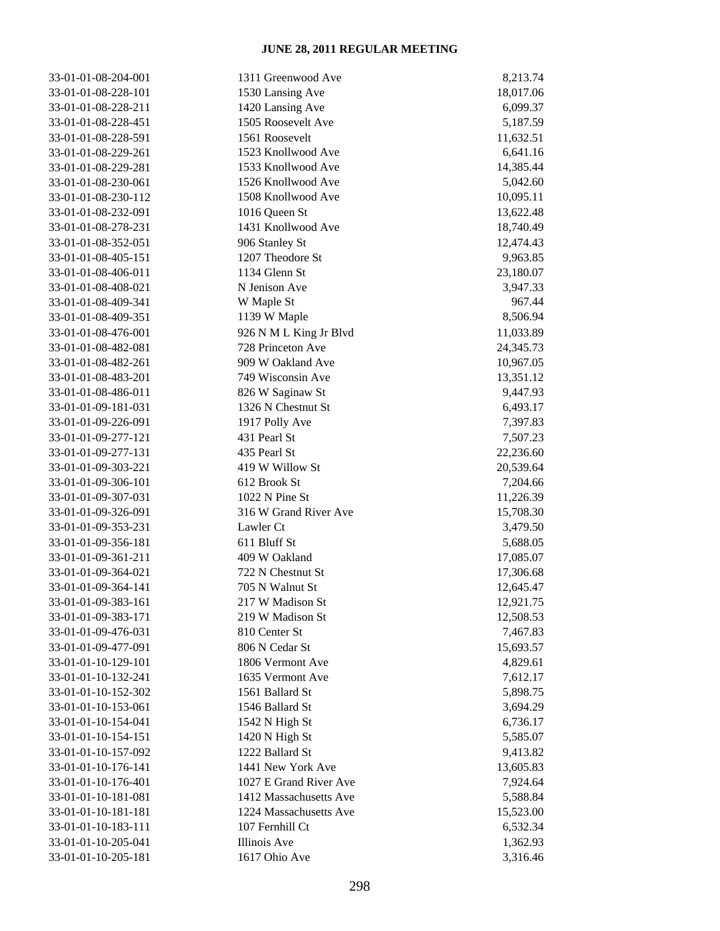| 33-01-01-08-204-001 | 1311 Greenwood Ave     | 8,213.74  |
|---------------------|------------------------|-----------|
| 33-01-01-08-228-101 | 1530 Lansing Ave       | 18,017.06 |
| 33-01-01-08-228-211 | 1420 Lansing Ave       | 6,099.37  |
| 33-01-01-08-228-451 | 1505 Roosevelt Ave     | 5,187.59  |
| 33-01-01-08-228-591 | 1561 Roosevelt         | 11,632.51 |
| 33-01-01-08-229-261 | 1523 Knollwood Ave     | 6,641.16  |
| 33-01-01-08-229-281 | 1533 Knollwood Ave     | 14,385.44 |
| 33-01-01-08-230-061 | 1526 Knollwood Ave     | 5,042.60  |
| 33-01-01-08-230-112 | 1508 Knollwood Ave     | 10,095.11 |
| 33-01-01-08-232-091 | 1016 Queen St          | 13,622.48 |
| 33-01-01-08-278-231 | 1431 Knollwood Ave     | 18,740.49 |
| 33-01-01-08-352-051 | 906 Stanley St         | 12,474.43 |
| 33-01-01-08-405-151 | 1207 Theodore St       | 9,963.85  |
| 33-01-01-08-406-011 | 1134 Glenn St          | 23,180.07 |
| 33-01-01-08-408-021 | N Jenison Ave          | 3,947.33  |
| 33-01-01-08-409-341 | W Maple St             | 967.44    |
| 33-01-01-08-409-351 | 1139 W Maple           | 8,506.94  |
| 33-01-01-08-476-001 | 926 N M L King Jr Blvd | 11,033.89 |
| 33-01-01-08-482-081 | 728 Princeton Ave      | 24,345.73 |
| 33-01-01-08-482-261 | 909 W Oakland Ave      | 10,967.05 |
| 33-01-01-08-483-201 | 749 Wisconsin Ave      | 13,351.12 |
| 33-01-01-08-486-011 | 826 W Saginaw St       | 9,447.93  |
| 33-01-01-09-181-031 | 1326 N Chestnut St     | 6,493.17  |
| 33-01-01-09-226-091 | 1917 Polly Ave         | 7,397.83  |
| 33-01-01-09-277-121 | 431 Pearl St           | 7,507.23  |
| 33-01-01-09-277-131 | 435 Pearl St           | 22,236.60 |
| 33-01-01-09-303-221 | 419 W Willow St        | 20,539.64 |
| 33-01-01-09-306-101 | 612 Brook St           | 7,204.66  |
| 33-01-01-09-307-031 | 1022 N Pine St         | 11,226.39 |
| 33-01-01-09-326-091 | 316 W Grand River Ave  | 15,708.30 |
| 33-01-01-09-353-231 | Lawler Ct              | 3,479.50  |
| 33-01-01-09-356-181 | 611 Bluff St           | 5,688.05  |
| 33-01-01-09-361-211 | 409 W Oakland          | 17,085.07 |
| 33-01-01-09-364-021 | 722 N Chestnut St      | 17,306.68 |
| 33-01-01-09-364-141 | 705 N Walnut St        | 12,645.47 |
| 33-01-01-09-383-161 | 217 W Madison St       | 12,921.75 |
| 33-01-01-09-383-171 | 219 W Madison St       | 12,508.53 |
| 33-01-01-09-476-031 | 810 Center St          | 7,467.83  |
| 33-01-01-09-477-091 | 806 N Cedar St         | 15,693.57 |
| 33-01-01-10-129-101 | 1806 Vermont Ave       | 4,829.61  |
| 33-01-01-10-132-241 | 1635 Vermont Ave       | 7,612.17  |
| 33-01-01-10-152-302 | 1561 Ballard St        | 5,898.75  |
| 33-01-01-10-153-061 | 1546 Ballard St        | 3,694.29  |
| 33-01-01-10-154-041 | 1542 N High St         | 6,736.17  |
| 33-01-01-10-154-151 | 1420 N High St         | 5,585.07  |
| 33-01-01-10-157-092 | 1222 Ballard St        | 9,413.82  |
| 33-01-01-10-176-141 | 1441 New York Ave      | 13,605.83 |
| 33-01-01-10-176-401 | 1027 E Grand River Ave | 7,924.64  |
| 33-01-01-10-181-081 | 1412 Massachusetts Ave | 5,588.84  |
| 33-01-01-10-181-181 | 1224 Massachusetts Ave | 15,523.00 |
| 33-01-01-10-183-111 | 107 Fernhill Ct        | 6,532.34  |
| 33-01-01-10-205-041 | Illinois Ave           | 1,362.93  |
| 33-01-01-10-205-181 | 1617 Ohio Ave          | 3,316.46  |
|                     |                        |           |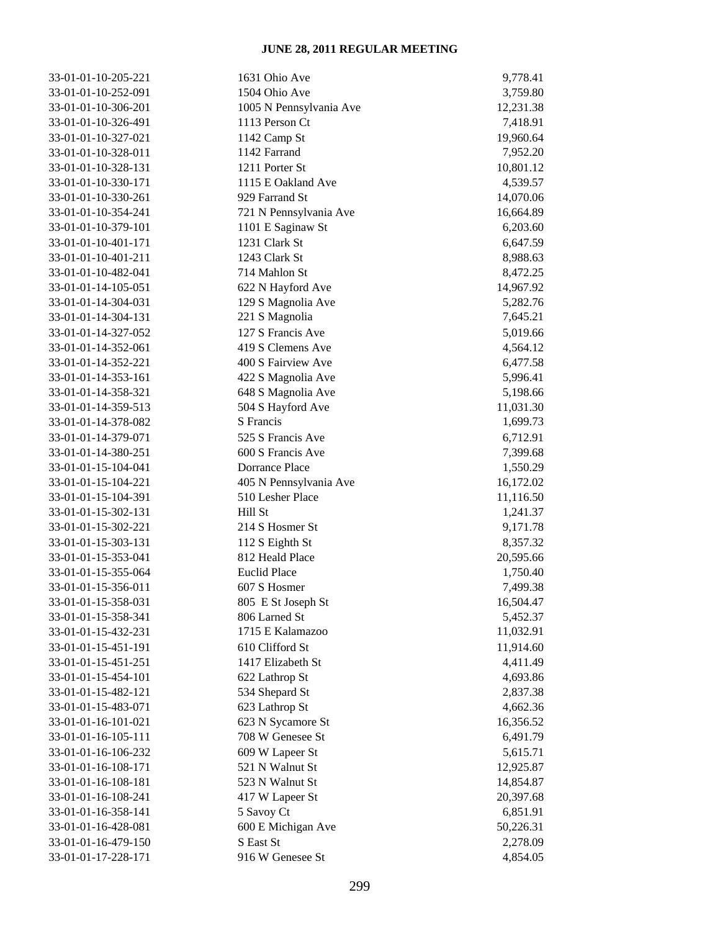| 33-01-01-10-205-221 | 1631 Ohio Ave           | 9,778.41  |
|---------------------|-------------------------|-----------|
| 33-01-01-10-252-091 | 1504 Ohio Ave           | 3,759.80  |
| 33-01-01-10-306-201 | 1005 N Pennsylvania Ave | 12,231.38 |
| 33-01-01-10-326-491 | 1113 Person Ct          | 7,418.91  |
| 33-01-01-10-327-021 | 1142 Camp St            | 19,960.64 |
| 33-01-01-10-328-011 | 1142 Farrand            | 7,952.20  |
| 33-01-01-10-328-131 | 1211 Porter St          | 10,801.12 |
| 33-01-01-10-330-171 | 1115 E Oakland Ave      | 4,539.57  |
| 33-01-01-10-330-261 | 929 Farrand St          | 14,070.06 |
| 33-01-01-10-354-241 | 721 N Pennsylvania Ave  | 16,664.89 |
| 33-01-01-10-379-101 | 1101 E Saginaw St       | 6,203.60  |
| 33-01-01-10-401-171 | 1231 Clark St           | 6,647.59  |
| 33-01-01-10-401-211 | 1243 Clark St           | 8,988.63  |
| 33-01-01-10-482-041 | 714 Mahlon St           | 8,472.25  |
| 33-01-01-14-105-051 | 622 N Hayford Ave       | 14,967.92 |
| 33-01-01-14-304-031 | 129 S Magnolia Ave      | 5,282.76  |
| 33-01-01-14-304-131 | 221 S Magnolia          | 7,645.21  |
|                     |                         |           |
| 33-01-01-14-327-052 | 127 S Francis Ave       | 5,019.66  |
| 33-01-01-14-352-061 | 419 S Clemens Ave       | 4,564.12  |
| 33-01-01-14-352-221 | 400 S Fairview Ave      | 6,477.58  |
| 33-01-01-14-353-161 | 422 S Magnolia Ave      | 5,996.41  |
| 33-01-01-14-358-321 | 648 S Magnolia Ave      | 5,198.66  |
| 33-01-01-14-359-513 | 504 S Hayford Ave       | 11,031.30 |
| 33-01-01-14-378-082 | S Francis               | 1,699.73  |
| 33-01-01-14-379-071 | 525 S Francis Ave       | 6,712.91  |
| 33-01-01-14-380-251 | 600 S Francis Ave       | 7,399.68  |
| 33-01-01-15-104-041 | Dorrance Place          | 1,550.29  |
| 33-01-01-15-104-221 | 405 N Pennsylvania Ave  | 16,172.02 |
| 33-01-01-15-104-391 | 510 Lesher Place        | 11,116.50 |
| 33-01-01-15-302-131 | Hill St                 | 1,241.37  |
| 33-01-01-15-302-221 | 214 S Hosmer St         | 9,171.78  |
| 33-01-01-15-303-131 | 112 S Eighth St         | 8,357.32  |
| 33-01-01-15-353-041 | 812 Heald Place         | 20,595.66 |
| 33-01-01-15-355-064 | <b>Euclid Place</b>     | 1,750.40  |
| 33-01-01-15-356-011 | 607 S Hosmer            | 7,499.38  |
| 33-01-01-15-358-031 | 805 E St Joseph St      | 16,504.47 |
| 33-01-01-15-358-341 | 806 Larned St           | 5,452.37  |
| 33-01-01-15-432-231 | 1715 E Kalamazoo        | 11,032.91 |
| 33-01-01-15-451-191 | 610 Clifford St         | 11,914.60 |
| 33-01-01-15-451-251 | 1417 Elizabeth St       | 4,411.49  |
| 33-01-01-15-454-101 | 622 Lathrop St          | 4,693.86  |
| 33-01-01-15-482-121 | 534 Shepard St          | 2,837.38  |
| 33-01-01-15-483-071 | 623 Lathrop St          | 4,662.36  |
| 33-01-01-16-101-021 | 623 N Sycamore St       |           |
|                     | 708 W Genesee St        | 16,356.52 |
| 33-01-01-16-105-111 |                         | 6,491.79  |
| 33-01-01-16-106-232 | 609 W Lapeer St         | 5,615.71  |
| 33-01-01-16-108-171 | 521 N Walnut St         | 12,925.87 |
| 33-01-01-16-108-181 | 523 N Walnut St         | 14,854.87 |
| 33-01-01-16-108-241 | 417 W Lapeer St         | 20,397.68 |
| 33-01-01-16-358-141 | 5 Savoy Ct              | 6,851.91  |
| 33-01-01-16-428-081 | 600 E Michigan Ave      | 50,226.31 |
| 33-01-01-16-479-150 | S East St               | 2,278.09  |
| 33-01-01-17-228-171 | 916 W Genesee St        | 4,854.05  |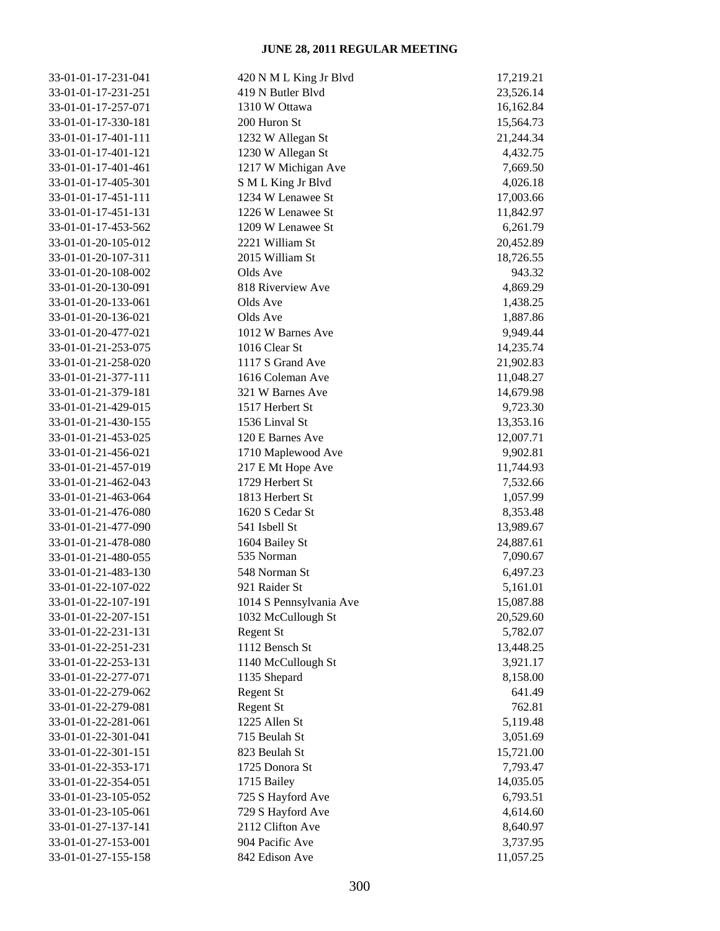| 33-01-01-17-231-041 | 420 N M L King Jr Blvd  | 17,219.21 |
|---------------------|-------------------------|-----------|
| 33-01-01-17-231-251 | 419 N Butler Blvd       | 23,526.14 |
| 33-01-01-17-257-071 | 1310 W Ottawa           | 16,162.84 |
| 33-01-01-17-330-181 | 200 Huron St            | 15,564.73 |
| 33-01-01-17-401-111 | 1232 W Allegan St       | 21,244.34 |
| 33-01-01-17-401-121 | 1230 W Allegan St       | 4,432.75  |
| 33-01-01-17-401-461 | 1217 W Michigan Ave     | 7,669.50  |
| 33-01-01-17-405-301 | S M L King Jr Blvd      | 4,026.18  |
| 33-01-01-17-451-111 | 1234 W Lenawee St       | 17,003.66 |
| 33-01-01-17-451-131 | 1226 W Lenawee St       | 11,842.97 |
| 33-01-01-17-453-562 | 1209 W Lenawee St       | 6,261.79  |
| 33-01-01-20-105-012 | 2221 William St         | 20,452.89 |
| 33-01-01-20-107-311 | 2015 William St         | 18,726.55 |
| 33-01-01-20-108-002 | Olds Ave                | 943.32    |
| 33-01-01-20-130-091 | 818 Riverview Ave       | 4,869.29  |
| 33-01-01-20-133-061 | Olds Ave                | 1,438.25  |
| 33-01-01-20-136-021 | Olds Ave                | 1,887.86  |
|                     | 1012 W Barnes Ave       |           |
| 33-01-01-20-477-021 |                         | 9,949.44  |
| 33-01-01-21-253-075 | 1016 Clear St           | 14,235.74 |
| 33-01-01-21-258-020 | 1117 S Grand Ave        | 21,902.83 |
| 33-01-01-21-377-111 | 1616 Coleman Ave        | 11,048.27 |
| 33-01-01-21-379-181 | 321 W Barnes Ave        | 14,679.98 |
| 33-01-01-21-429-015 | 1517 Herbert St         | 9,723.30  |
| 33-01-01-21-430-155 | 1536 Linval St          | 13,353.16 |
| 33-01-01-21-453-025 | 120 E Barnes Ave        | 12,007.71 |
| 33-01-01-21-456-021 | 1710 Maplewood Ave      | 9,902.81  |
| 33-01-01-21-457-019 | 217 E Mt Hope Ave       | 11,744.93 |
| 33-01-01-21-462-043 | 1729 Herbert St         | 7,532.66  |
| 33-01-01-21-463-064 | 1813 Herbert St         | 1,057.99  |
| 33-01-01-21-476-080 | 1620 S Cedar St         | 8,353.48  |
| 33-01-01-21-477-090 | 541 Isbell St           | 13,989.67 |
| 33-01-01-21-478-080 | 1604 Bailey St          | 24,887.61 |
| 33-01-01-21-480-055 | 535 Norman              | 7,090.67  |
| 33-01-01-21-483-130 | 548 Norman St           | 6,497.23  |
| 33-01-01-22-107-022 | 921 Raider St           | 5,161.01  |
| 33-01-01-22-107-191 | 1014 S Pennsylvania Ave | 15,087.88 |
| 33-01-01-22-207-151 | 1032 McCullough St      | 20,529.60 |
| 33-01-01-22-231-131 | Regent St               | 5,782.07  |
| 33-01-01-22-251-231 | 1112 Bensch St          | 13,448.25 |
| 33-01-01-22-253-131 | 1140 McCullough St      | 3,921.17  |
| 33-01-01-22-277-071 | 1135 Shepard            | 8,158.00  |
| 33-01-01-22-279-062 | Regent St               | 641.49    |
| 33-01-01-22-279-081 | Regent St               | 762.81    |
| 33-01-01-22-281-061 | 1225 Allen St           | 5,119.48  |
| 33-01-01-22-301-041 | 715 Beulah St           | 3,051.69  |
| 33-01-01-22-301-151 | 823 Beulah St           | 15,721.00 |
| 33-01-01-22-353-171 | 1725 Donora St          | 7,793.47  |
| 33-01-01-22-354-051 | 1715 Bailey             | 14,035.05 |
| 33-01-01-23-105-052 | 725 S Hayford Ave       | 6,793.51  |
| 33-01-01-23-105-061 | 729 S Hayford Ave       | 4,614.60  |
| 33-01-01-27-137-141 | 2112 Clifton Ave        | 8,640.97  |
| 33-01-01-27-153-001 | 904 Pacific Ave         | 3,737.95  |
| 33-01-01-27-155-158 | 842 Edison Ave          | 11,057.25 |
|                     |                         |           |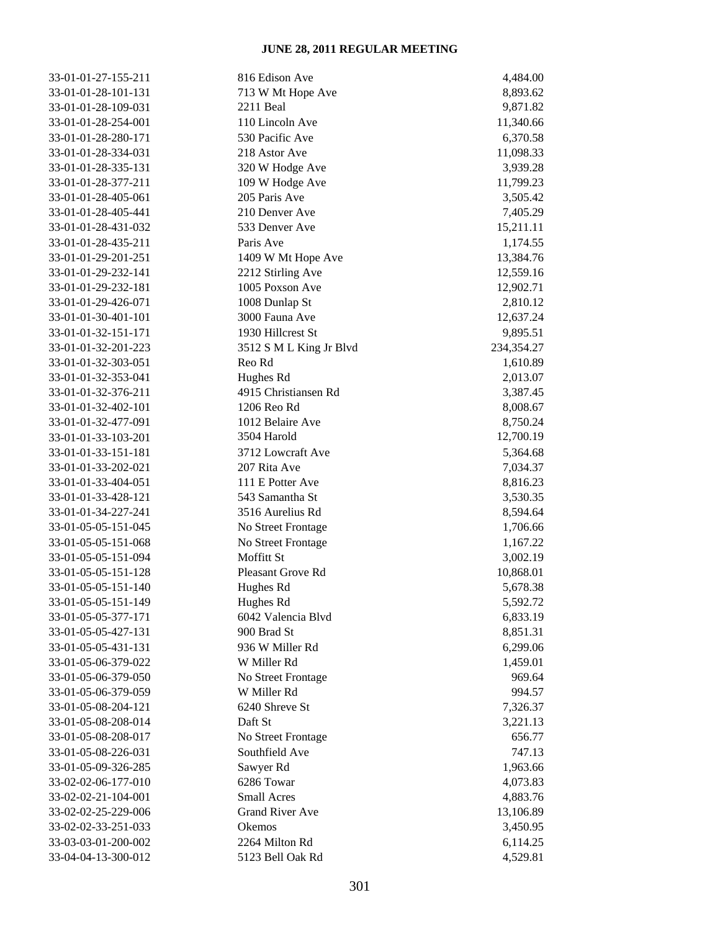| 33-01-01-27-155-211 | 816 Edison Ave          | 4,484.00           |
|---------------------|-------------------------|--------------------|
| 33-01-01-28-101-131 | 713 W Mt Hope Ave       | 8,893.62           |
| 33-01-01-28-109-031 | 2211 Beal               | 9,871.82           |
| 33-01-01-28-254-001 | 110 Lincoln Ave         | 11,340.66          |
| 33-01-01-28-280-171 | 530 Pacific Ave         | 6,370.58           |
| 33-01-01-28-334-031 | 218 Astor Ave           | 11,098.33          |
| 33-01-01-28-335-131 | 320 W Hodge Ave         | 3,939.28           |
| 33-01-01-28-377-211 | 109 W Hodge Ave         | 11,799.23          |
| 33-01-01-28-405-061 | 205 Paris Ave           | 3,505.42           |
| 33-01-01-28-405-441 | 210 Denver Ave          | 7,405.29           |
| 33-01-01-28-431-032 | 533 Denver Ave          | 15,211.11          |
| 33-01-01-28-435-211 | Paris Ave               | 1,174.55           |
| 33-01-01-29-201-251 | 1409 W Mt Hope Ave      | 13,384.76          |
| 33-01-01-29-232-141 | 2212 Stirling Ave       | 12,559.16          |
| 33-01-01-29-232-181 | 1005 Poxson Ave         | 12,902.71          |
| 33-01-01-29-426-071 | 1008 Dunlap St          | 2,810.12           |
| 33-01-01-30-401-101 | 3000 Fauna Ave          | 12,637.24          |
| 33-01-01-32-151-171 | 1930 Hillcrest St       | 9,895.51           |
| 33-01-01-32-201-223 | 3512 S M L King Jr Blvd | 234,354.27         |
| 33-01-01-32-303-051 | Reo Rd                  | 1,610.89           |
| 33-01-01-32-353-041 | Hughes Rd               | 2,013.07           |
| 33-01-01-32-376-211 | 4915 Christiansen Rd    | 3,387.45           |
| 33-01-01-32-402-101 | 1206 Reo Rd             | 8,008.67           |
| 33-01-01-32-477-091 | 1012 Belaire Ave        | 8,750.24           |
| 33-01-01-33-103-201 | 3504 Harold             | 12,700.19          |
| 33-01-01-33-151-181 | 3712 Lowcraft Ave       | 5,364.68           |
| 33-01-01-33-202-021 | 207 Rita Ave            | 7,034.37           |
| 33-01-01-33-404-051 | 111 E Potter Ave        | 8,816.23           |
| 33-01-01-33-428-121 | 543 Samantha St         | 3,530.35           |
| 33-01-01-34-227-241 | 3516 Aurelius Rd        | 8,594.64           |
| 33-01-05-05-151-045 | No Street Frontage      | 1,706.66           |
| 33-01-05-05-151-068 | No Street Frontage      | 1,167.22           |
| 33-01-05-05-151-094 | Moffitt St              | 3,002.19           |
| 33-01-05-05-151-128 | Pleasant Grove Rd       | 10,868.01          |
| 33-01-05-05-151-140 | Hughes Rd               | 5,678.38           |
| 33-01-05-05-151-149 | Hughes Rd               | 5,592.72           |
| 33-01-05-05-377-171 | 6042 Valencia Blvd      | 6,833.19           |
| 33-01-05-05-427-131 | 900 Brad St             | 8,851.31           |
| 33-01-05-05-431-131 | 936 W Miller Rd         | 6,299.06           |
| 33-01-05-06-379-022 | W Miller Rd             | 1,459.01           |
| 33-01-05-06-379-050 | No Street Frontage      | 969.64             |
| 33-01-05-06-379-059 | W Miller Rd             | 994.57             |
| 33-01-05-08-204-121 | 6240 Shreve St          | 7,326.37           |
| 33-01-05-08-208-014 | Daft St                 |                    |
| 33-01-05-08-208-017 |                         | 3,221.13<br>656.77 |
|                     | No Street Frontage      |                    |
| 33-01-05-08-226-031 | Southfield Ave          | 747.13             |
| 33-01-05-09-326-285 | Sawyer Rd<br>6286 Towar | 1,963.66           |
| 33-02-02-06-177-010 |                         | 4,073.83           |
| 33-02-02-21-104-001 | <b>Small Acres</b>      | 4,883.76           |
| 33-02-02-25-229-006 | <b>Grand River Ave</b>  | 13,106.89          |
| 33-02-02-33-251-033 | Okemos                  | 3,450.95           |
| 33-03-03-01-200-002 | 2264 Milton Rd          | 6,114.25           |
| 33-04-04-13-300-012 | 5123 Bell Oak Rd        | 4,529.81           |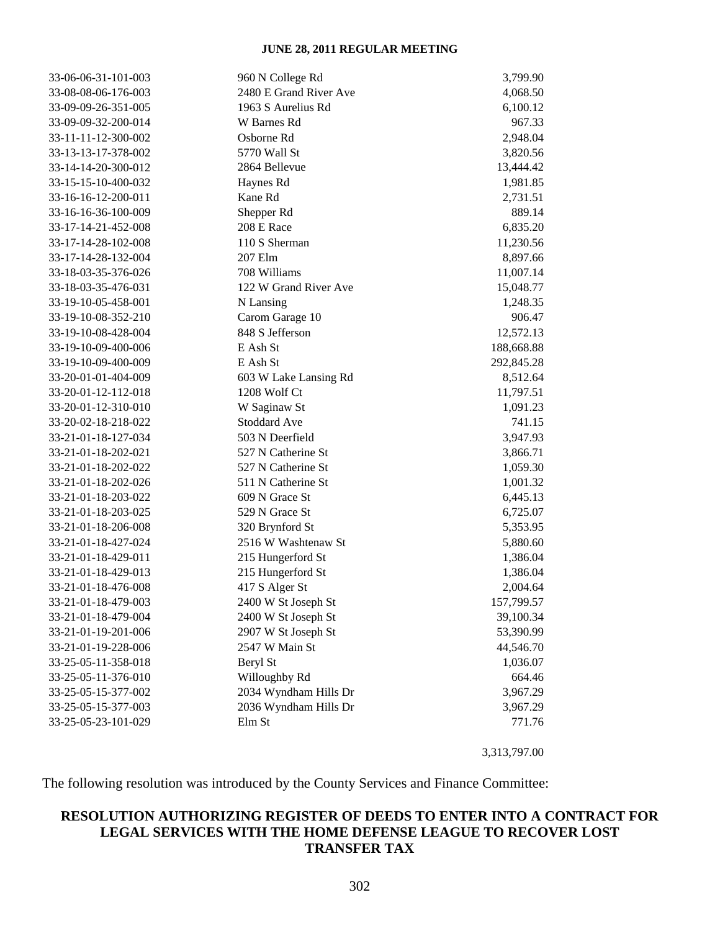| 33-06-06-31-101-003 | 960 N College Rd       | 3,799.90     |
|---------------------|------------------------|--------------|
| 33-08-08-06-176-003 | 2480 E Grand River Ave | 4,068.50     |
| 33-09-09-26-351-005 | 1963 S Aurelius Rd     | 6,100.12     |
| 33-09-09-32-200-014 | W Barnes Rd            | 967.33       |
| 33-11-11-12-300-002 | Osborne Rd             | 2,948.04     |
| 33-13-13-17-378-002 | 5770 Wall St           | 3,820.56     |
| 33-14-14-20-300-012 | 2864 Bellevue          | 13,444.42    |
| 33-15-15-10-400-032 | Haynes Rd              | 1,981.85     |
| 33-16-16-12-200-011 | Kane Rd                | 2,731.51     |
| 33-16-16-36-100-009 | Shepper Rd             | 889.14       |
| 33-17-14-21-452-008 | 208 E Race             | 6,835.20     |
| 33-17-14-28-102-008 | 110 S Sherman          | 11,230.56    |
| 33-17-14-28-132-004 | 207 Elm                | 8,897.66     |
| 33-18-03-35-376-026 | 708 Williams           | 11,007.14    |
| 33-18-03-35-476-031 | 122 W Grand River Ave  | 15,048.77    |
| 33-19-10-05-458-001 | N Lansing              | 1,248.35     |
| 33-19-10-08-352-210 | Carom Garage 10        | 906.47       |
| 33-19-10-08-428-004 | 848 S Jefferson        | 12,572.13    |
| 33-19-10-09-400-006 | E Ash St               | 188,668.88   |
| 33-19-10-09-400-009 | E Ash St               | 292,845.28   |
| 33-20-01-01-404-009 | 603 W Lake Lansing Rd  | 8,512.64     |
| 33-20-01-12-112-018 | 1208 Wolf Ct           | 11,797.51    |
| 33-20-01-12-310-010 | W Saginaw St           | 1,091.23     |
| 33-20-02-18-218-022 | Stoddard Ave           | 741.15       |
| 33-21-01-18-127-034 | 503 N Deerfield        | 3,947.93     |
| 33-21-01-18-202-021 | 527 N Catherine St     | 3,866.71     |
| 33-21-01-18-202-022 | 527 N Catherine St     | 1,059.30     |
| 33-21-01-18-202-026 | 511 N Catherine St     | 1,001.32     |
| 33-21-01-18-203-022 | 609 N Grace St         | 6,445.13     |
| 33-21-01-18-203-025 | 529 N Grace St         | 6,725.07     |
| 33-21-01-18-206-008 | 320 Brynford St        | 5,353.95     |
| 33-21-01-18-427-024 | 2516 W Washtenaw St    | 5,880.60     |
| 33-21-01-18-429-011 | 215 Hungerford St      | 1,386.04     |
| 33-21-01-18-429-013 | 215 Hungerford St      | 1,386.04     |
| 33-21-01-18-476-008 | 417 S Alger St         | 2,004.64     |
| 33-21-01-18-479-003 | 2400 W St Joseph St    | 157,799.57   |
| 33-21-01-18-479-004 | 2400 W St Joseph St    | 39,100.34    |
| 33-21-01-19-201-006 | 2907 W St Joseph St    | 53,390.99    |
| 33-21-01-19-228-006 | 2547 W Main St         | 44,546.70    |
| 33-25-05-11-358-018 | Beryl St               | 1,036.07     |
| 33-25-05-11-376-010 | Willoughby Rd          | 664.46       |
| 33-25-05-15-377-002 | 2034 Wyndham Hills Dr  | 3,967.29     |
| 33-25-05-15-377-003 | 2036 Wyndham Hills Dr  | 3,967.29     |
| 33-25-05-23-101-029 | Elm St                 | 771.76       |
|                     |                        | 3,313,797.00 |

The following resolution was introduced by the County Services and Finance Committee:

# **RESOLUTION AUTHORIZING REGISTER OF DEEDS TO ENTER INTO A CONTRACT FOR LEGAL SERVICES WITH THE HOME DEFENSE LEAGUE TO RECOVER LOST TRANSFER TAX**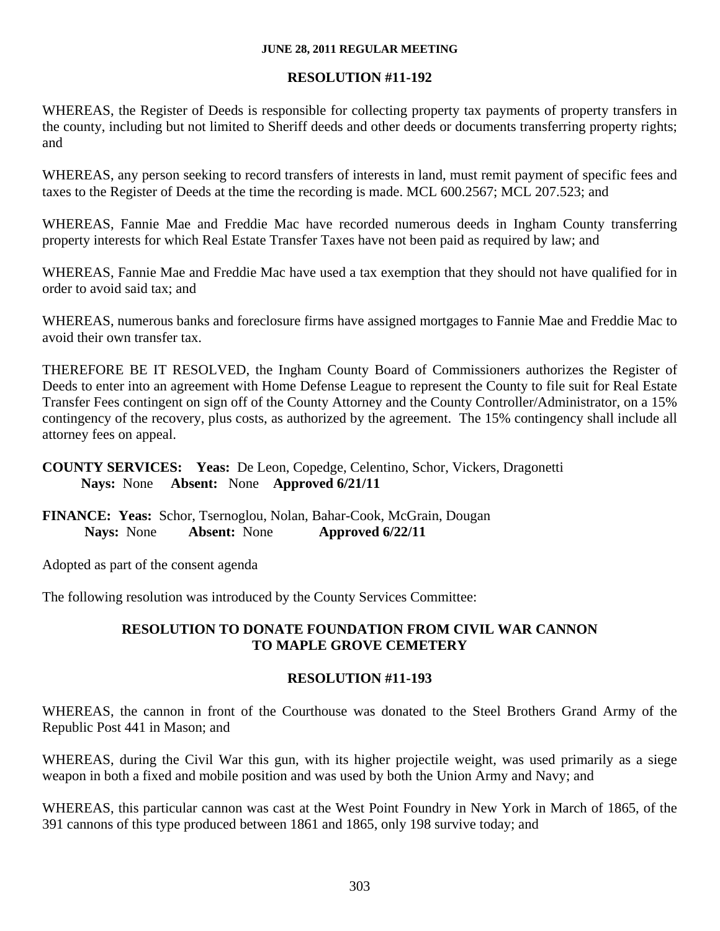#### **RESOLUTION #11-192**

WHEREAS, the Register of Deeds is responsible for collecting property tax payments of property transfers in the county, including but not limited to Sheriff deeds and other deeds or documents transferring property rights; and

WHEREAS, any person seeking to record transfers of interests in land, must remit payment of specific fees and taxes to the Register of Deeds at the time the recording is made. MCL 600.2567; MCL 207.523; and

WHEREAS, Fannie Mae and Freddie Mac have recorded numerous deeds in Ingham County transferring property interests for which Real Estate Transfer Taxes have not been paid as required by law; and

WHEREAS, Fannie Mae and Freddie Mac have used a tax exemption that they should not have qualified for in order to avoid said tax; and

WHEREAS, numerous banks and foreclosure firms have assigned mortgages to Fannie Mae and Freddie Mac to avoid their own transfer tax.

THEREFORE BE IT RESOLVED, the Ingham County Board of Commissioners authorizes the Register of Deeds to enter into an agreement with Home Defense League to represent the County to file suit for Real Estate Transfer Fees contingent on sign off of the County Attorney and the County Controller/Administrator, on a 15% contingency of the recovery, plus costs, as authorized by the agreement. The 15% contingency shall include all attorney fees on appeal.

**COUNTY SERVICES: Yeas:** De Leon, Copedge, Celentino, Schor, Vickers, Dragonetti **Nays:** None **Absent:** None **Approved 6/21/11** 

**FINANCE: Yeas:** Schor, Tsernoglou, Nolan, Bahar-Cook, McGrain, Dougan **Nays:** None **Absent:** None **Approved 6/22/11** 

Adopted as part of the consent agenda

The following resolution was introduced by the County Services Committee:

## **RESOLUTION TO DONATE FOUNDATION FROM CIVIL WAR CANNON TO MAPLE GROVE CEMETERY**

#### **RESOLUTION #11-193**

WHEREAS, the cannon in front of the Courthouse was donated to the Steel Brothers Grand Army of the Republic Post 441 in Mason; and

WHEREAS, during the Civil War this gun, with its higher projectile weight, was used primarily as a siege weapon in both a fixed and mobile position and was used by both the Union Army and Navy; and

WHEREAS, this particular cannon was cast at the West Point Foundry in New York in March of 1865, of the 391 cannons of this type produced between 1861 and 1865, only 198 survive today; and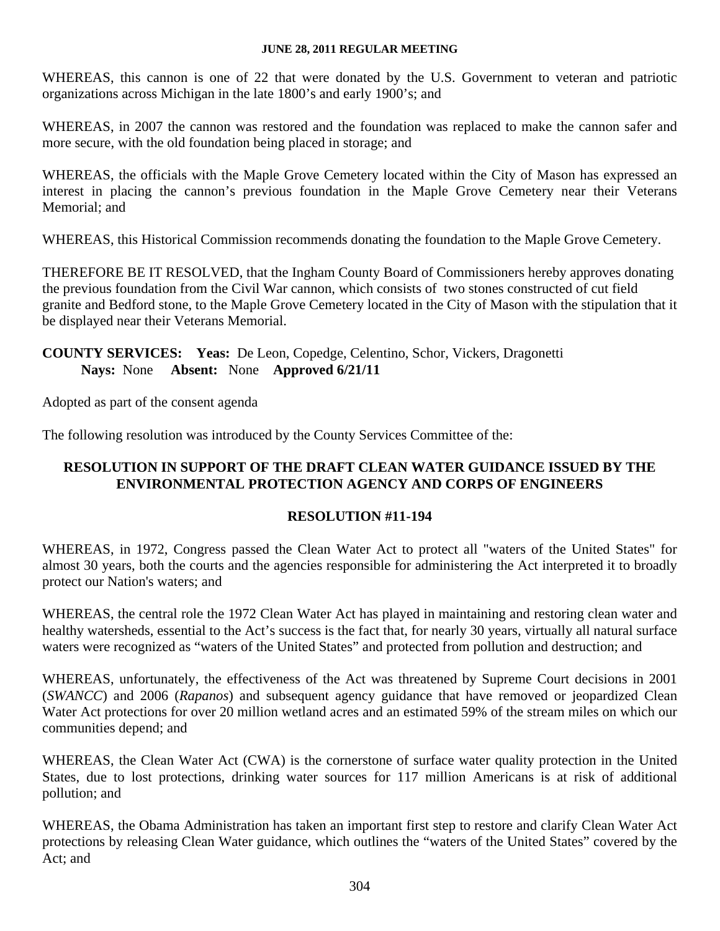WHEREAS, this cannon is one of 22 that were donated by the U.S. Government to veteran and patriotic organizations across Michigan in the late 1800's and early 1900's; and

WHEREAS, in 2007 the cannon was restored and the foundation was replaced to make the cannon safer and more secure, with the old foundation being placed in storage; and

WHEREAS, the officials with the Maple Grove Cemetery located within the City of Mason has expressed an interest in placing the cannon's previous foundation in the Maple Grove Cemetery near their Veterans Memorial; and

WHEREAS, this Historical Commission recommends donating the foundation to the Maple Grove Cemetery.

THEREFORE BE IT RESOLVED, that the Ingham County Board of Commissioners hereby approves donating the previous foundation from the Civil War cannon, which consists of two stones constructed of cut field granite and Bedford stone, to the Maple Grove Cemetery located in the City of Mason with the stipulation that it be displayed near their Veterans Memorial.

# **COUNTY SERVICES: Yeas:** De Leon, Copedge, Celentino, Schor, Vickers, Dragonetti **Nays:** None **Absent:** None **Approved 6/21/11**

Adopted as part of the consent agenda

The following resolution was introduced by the County Services Committee of the:

# **RESOLUTION IN SUPPORT OF THE DRAFT CLEAN WATER GUIDANCE ISSUED BY THE ENVIRONMENTAL PROTECTION AGENCY AND CORPS OF ENGINEERS**

# **RESOLUTION #11-194**

WHEREAS, in 1972, Congress passed the Clean Water Act to protect all "waters of the United States" for almost 30 years, both the courts and the agencies responsible for administering the Act interpreted it to broadly protect our Nation's waters; and

WHEREAS, the central role the 1972 Clean Water Act has played in maintaining and restoring clean water and healthy watersheds, essential to the Act's success is the fact that, for nearly 30 years, virtually all natural surface waters were recognized as "waters of the United States" and protected from pollution and destruction; and

WHEREAS, unfortunately, the effectiveness of the Act was threatened by Supreme Court decisions in 2001 (*SWANCC*) and 2006 (*Rapanos*) and subsequent agency guidance that have removed or jeopardized Clean Water Act protections for over 20 million wetland acres and an estimated 59% of the stream miles on which our communities depend; and

WHEREAS, the Clean Water Act (CWA) is the cornerstone of surface water quality protection in the United States, due to lost protections, drinking water sources for 117 million Americans is at risk of additional pollution; and

WHEREAS, the Obama Administration has taken an important first step to restore and clarify Clean Water Act protections by releasing Clean Water guidance, which outlines the "waters of the United States" covered by the Act; and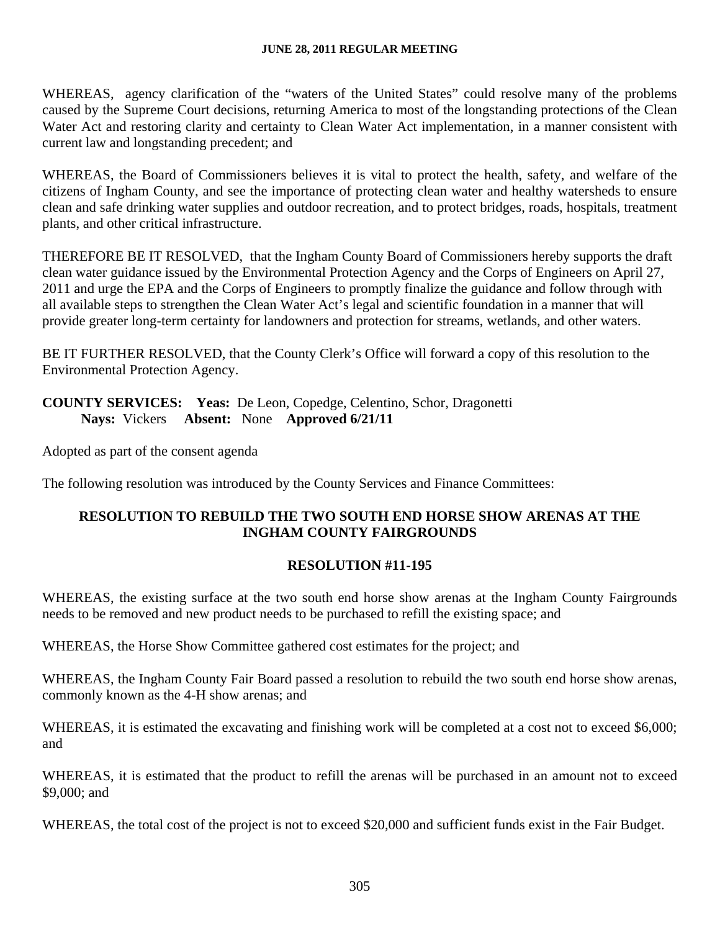WHEREAS, agency clarification of the "waters of the United States" could resolve many of the problems caused by the Supreme Court decisions, returning America to most of the longstanding protections of the Clean Water Act and restoring clarity and certainty to Clean Water Act implementation, in a manner consistent with current law and longstanding precedent; and

WHEREAS, the Board of Commissioners believes it is vital to protect the health, safety, and welfare of the citizens of Ingham County, and see the importance of protecting clean water and healthy watersheds to ensure clean and safe drinking water supplies and outdoor recreation, and to protect bridges, roads, hospitals, treatment plants, and other critical infrastructure.

THEREFORE BE IT RESOLVED, that the Ingham County Board of Commissioners hereby supports the draft clean water guidance issued by the Environmental Protection Agency and the Corps of Engineers on April 27, 2011 and urge the EPA and the Corps of Engineers to promptly finalize the guidance and follow through with all available steps to strengthen the Clean Water Act's legal and scientific foundation in a manner that will provide greater long-term certainty for landowners and protection for streams, wetlands, and other waters.

BE IT FURTHER RESOLVED, that the County Clerk's Office will forward a copy of this resolution to the Environmental Protection Agency.

# **COUNTY SERVICES: Yeas:** De Leon, Copedge, Celentino, Schor, Dragonetti **Nays:** Vickers **Absent:** None **Approved 6/21/11**

Adopted as part of the consent agenda

The following resolution was introduced by the County Services and Finance Committees:

# **RESOLUTION TO REBUILD THE TWO SOUTH END HORSE SHOW ARENAS AT THE INGHAM COUNTY FAIRGROUNDS**

#### **RESOLUTION #11-195**

WHEREAS, the existing surface at the two south end horse show arenas at the Ingham County Fairgrounds needs to be removed and new product needs to be purchased to refill the existing space; and

WHEREAS, the Horse Show Committee gathered cost estimates for the project; and

WHEREAS, the Ingham County Fair Board passed a resolution to rebuild the two south end horse show arenas, commonly known as the 4-H show arenas; and

WHEREAS, it is estimated the excavating and finishing work will be completed at a cost not to exceed \$6,000; and

WHEREAS, it is estimated that the product to refill the arenas will be purchased in an amount not to exceed \$9,000; and

WHEREAS, the total cost of the project is not to exceed \$20,000 and sufficient funds exist in the Fair Budget.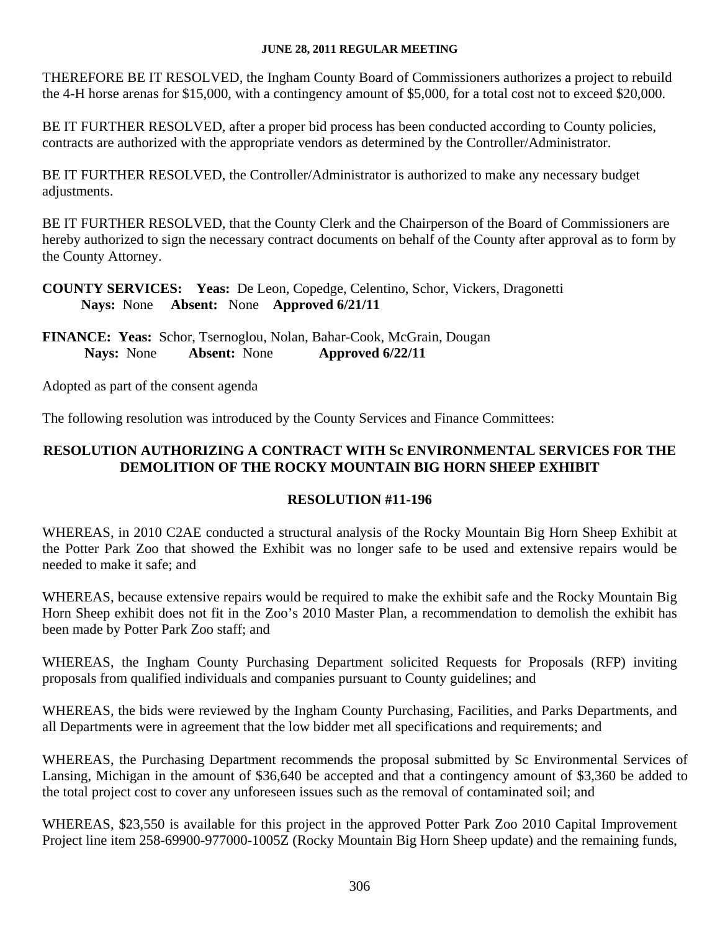THEREFORE BE IT RESOLVED, the Ingham County Board of Commissioners authorizes a project to rebuild the 4-H horse arenas for \$15,000, with a contingency amount of \$5,000, for a total cost not to exceed \$20,000.

BE IT FURTHER RESOLVED, after a proper bid process has been conducted according to County policies, contracts are authorized with the appropriate vendors as determined by the Controller/Administrator.

BE IT FURTHER RESOLVED, the Controller/Administrator is authorized to make any necessary budget adjustments.

BE IT FURTHER RESOLVED, that the County Clerk and the Chairperson of the Board of Commissioners are hereby authorized to sign the necessary contract documents on behalf of the County after approval as to form by the County Attorney.

**COUNTY SERVICES: Yeas:** De Leon, Copedge, Celentino, Schor, Vickers, Dragonetti **Nays:** None **Absent:** None **Approved 6/21/11** 

**FINANCE: Yeas:** Schor, Tsernoglou, Nolan, Bahar-Cook, McGrain, Dougan **Nays:** None **Absent:** None **Approved 6/22/11** 

Adopted as part of the consent agenda

The following resolution was introduced by the County Services and Finance Committees:

## **RESOLUTION AUTHORIZING A CONTRACT WITH Sc ENVIRONMENTAL SERVICES FOR THE DEMOLITION OF THE ROCKY MOUNTAIN BIG HORN SHEEP EXHIBIT**

#### **RESOLUTION #11-196**

WHEREAS, in 2010 C2AE conducted a structural analysis of the Rocky Mountain Big Horn Sheep Exhibit at the Potter Park Zoo that showed the Exhibit was no longer safe to be used and extensive repairs would be needed to make it safe; and

WHEREAS, because extensive repairs would be required to make the exhibit safe and the Rocky Mountain Big Horn Sheep exhibit does not fit in the Zoo's 2010 Master Plan, a recommendation to demolish the exhibit has been made by Potter Park Zoo staff; and

WHEREAS, the Ingham County Purchasing Department solicited Requests for Proposals (RFP) inviting proposals from qualified individuals and companies pursuant to County guidelines; and

WHEREAS, the bids were reviewed by the Ingham County Purchasing, Facilities, and Parks Departments, and all Departments were in agreement that the low bidder met all specifications and requirements; and

WHEREAS, the Purchasing Department recommends the proposal submitted by Sc Environmental Services of Lansing, Michigan in the amount of \$36,640 be accepted and that a contingency amount of \$3,360 be added to the total project cost to cover any unforeseen issues such as the removal of contaminated soil; and

WHEREAS, \$23,550 is available for this project in the approved Potter Park Zoo 2010 Capital Improvement Project line item 258-69900-977000-1005Z (Rocky Mountain Big Horn Sheep update) and the remaining funds,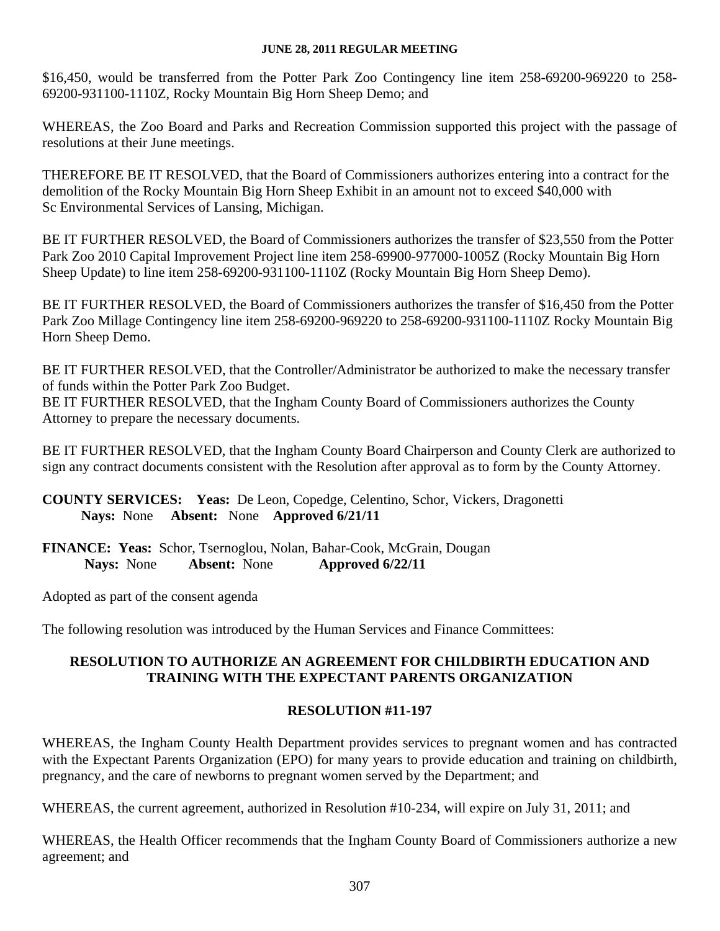\$16,450, would be transferred from the Potter Park Zoo Contingency line item 258-69200-969220 to 258- 69200-931100-1110Z, Rocky Mountain Big Horn Sheep Demo; and

WHEREAS, the Zoo Board and Parks and Recreation Commission supported this project with the passage of resolutions at their June meetings.

THEREFORE BE IT RESOLVED, that the Board of Commissioners authorizes entering into a contract for the demolition of the Rocky Mountain Big Horn Sheep Exhibit in an amount not to exceed \$40,000 with Sc Environmental Services of Lansing, Michigan.

BE IT FURTHER RESOLVED, the Board of Commissioners authorizes the transfer of \$23,550 from the Potter Park Zoo 2010 Capital Improvement Project line item 258-69900-977000-1005Z (Rocky Mountain Big Horn Sheep Update) to line item 258-69200-931100-1110Z (Rocky Mountain Big Horn Sheep Demo).

BE IT FURTHER RESOLVED, the Board of Commissioners authorizes the transfer of \$16,450 from the Potter Park Zoo Millage Contingency line item 258-69200-969220 to 258-69200-931100-1110Z Rocky Mountain Big Horn Sheep Demo.

BE IT FURTHER RESOLVED, that the Controller/Administrator be authorized to make the necessary transfer of funds within the Potter Park Zoo Budget. BE IT FURTHER RESOLVED, that the Ingham County Board of Commissioners authorizes the County

Attorney to prepare the necessary documents.

BE IT FURTHER RESOLVED, that the Ingham County Board Chairperson and County Clerk are authorized to sign any contract documents consistent with the Resolution after approval as to form by the County Attorney.

**COUNTY SERVICES: Yeas:** De Leon, Copedge, Celentino, Schor, Vickers, Dragonetti **Nays:** None **Absent:** None **Approved 6/21/11** 

**FINANCE: Yeas:** Schor, Tsernoglou, Nolan, Bahar-Cook, McGrain, Dougan **Nays:** None **Absent:** None **Approved 6/22/11** 

Adopted as part of the consent agenda

The following resolution was introduced by the Human Services and Finance Committees:

## **RESOLUTION TO AUTHORIZE AN AGREEMENT FOR CHILDBIRTH EDUCATION AND TRAINING WITH THE EXPECTANT PARENTS ORGANIZATION**

# **RESOLUTION #11-197**

WHEREAS, the Ingham County Health Department provides services to pregnant women and has contracted with the Expectant Parents Organization (EPO) for many years to provide education and training on childbirth, pregnancy, and the care of newborns to pregnant women served by the Department; and

WHEREAS, the current agreement, authorized in Resolution #10-234, will expire on July 31, 2011; and

WHEREAS, the Health Officer recommends that the Ingham County Board of Commissioners authorize a new agreement; and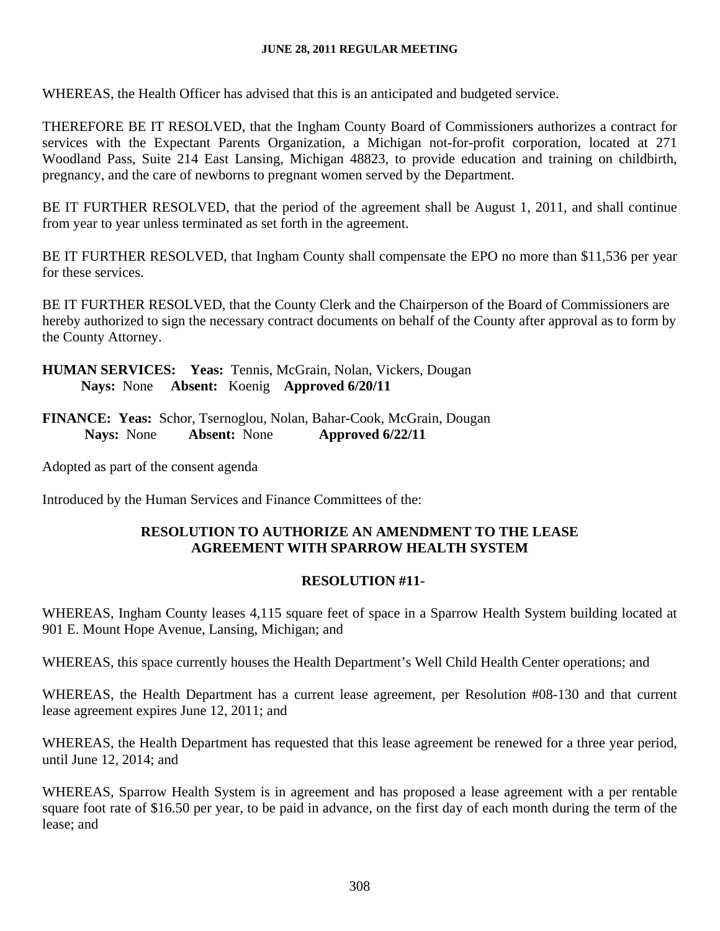WHEREAS, the Health Officer has advised that this is an anticipated and budgeted service.

THEREFORE BE IT RESOLVED, that the Ingham County Board of Commissioners authorizes a contract for services with the Expectant Parents Organization, a Michigan not-for-profit corporation, located at 271 Woodland Pass, Suite 214 East Lansing, Michigan 48823, to provide education and training on childbirth, pregnancy, and the care of newborns to pregnant women served by the Department.

BE IT FURTHER RESOLVED, that the period of the agreement shall be August 1, 2011, and shall continue from year to year unless terminated as set forth in the agreement.

BE IT FURTHER RESOLVED, that Ingham County shall compensate the EPO no more than \$11,536 per year for these services.

BE IT FURTHER RESOLVED, that the County Clerk and the Chairperson of the Board of Commissioners are hereby authorized to sign the necessary contract documents on behalf of the County after approval as to form by the County Attorney.

**HUMAN SERVICES: Yeas:** Tennis, McGrain, Nolan, Vickers, Dougan **Nays:** None **Absent:** Koenig **Approved 6/20/11** 

**FINANCE: Yeas:** Schor, Tsernoglou, Nolan, Bahar-Cook, McGrain, Dougan **Nays:** None **Absent:** None **Approved 6/22/11** 

Adopted as part of the consent agenda

Introduced by the Human Services and Finance Committees of the:

#### **RESOLUTION TO AUTHORIZE AN AMENDMENT TO THE LEASE AGREEMENT WITH SPARROW HEALTH SYSTEM**

#### **RESOLUTION #11-**

WHEREAS, Ingham County leases 4,115 square feet of space in a Sparrow Health System building located at 901 E. Mount Hope Avenue, Lansing, Michigan; and

WHEREAS, this space currently houses the Health Department's Well Child Health Center operations; and

WHEREAS, the Health Department has a current lease agreement, per Resolution #08-130 and that current lease agreement expires June 12, 2011; and

WHEREAS, the Health Department has requested that this lease agreement be renewed for a three year period, until June 12, 2014; and

WHEREAS, Sparrow Health System is in agreement and has proposed a lease agreement with a per rentable square foot rate of \$16.50 per year, to be paid in advance, on the first day of each month during the term of the lease; and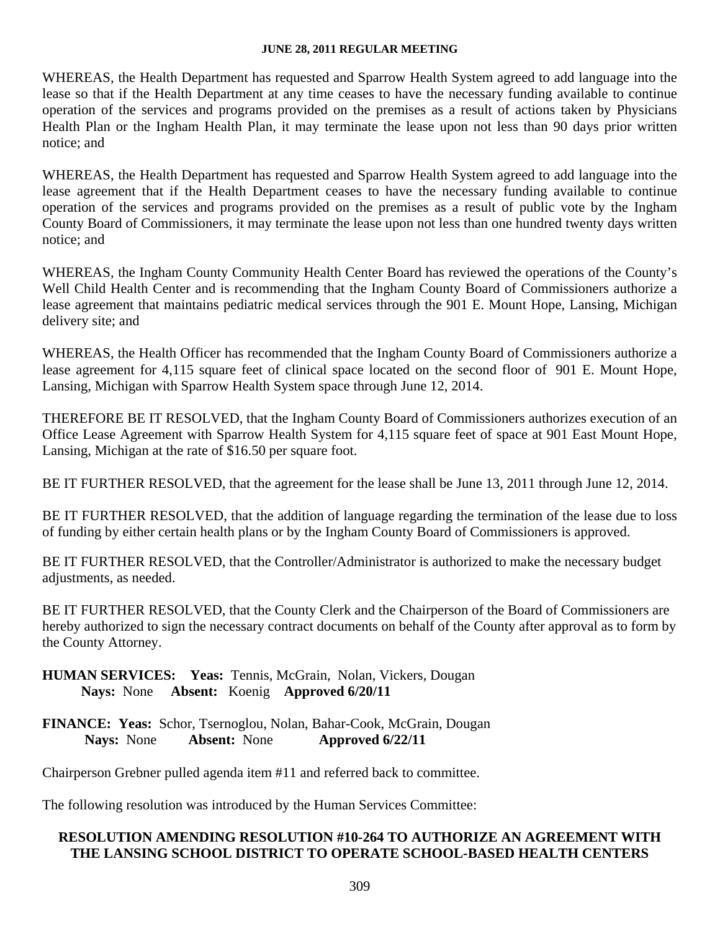WHEREAS, the Health Department has requested and Sparrow Health System agreed to add language into the lease so that if the Health Department at any time ceases to have the necessary funding available to continue operation of the services and programs provided on the premises as a result of actions taken by Physicians Health Plan or the Ingham Health Plan, it may terminate the lease upon not less than 90 days prior written notice; and

WHEREAS, the Health Department has requested and Sparrow Health System agreed to add language into the lease agreement that if the Health Department ceases to have the necessary funding available to continue operation of the services and programs provided on the premises as a result of public vote by the Ingham County Board of Commissioners, it may terminate the lease upon not less than one hundred twenty days written notice; and

WHEREAS, the Ingham County Community Health Center Board has reviewed the operations of the County's Well Child Health Center and is recommending that the Ingham County Board of Commissioners authorize a lease agreement that maintains pediatric medical services through the 901 E. Mount Hope, Lansing, Michigan delivery site; and

WHEREAS, the Health Officer has recommended that the Ingham County Board of Commissioners authorize a lease agreement for 4,115 square feet of clinical space located on the second floor of 901 E. Mount Hope, Lansing, Michigan with Sparrow Health System space through June 12, 2014.

THEREFORE BE IT RESOLVED, that the Ingham County Board of Commissioners authorizes execution of an Office Lease Agreement with Sparrow Health System for 4,115 square feet of space at 901 East Mount Hope, Lansing, Michigan at the rate of \$16.50 per square foot.

BE IT FURTHER RESOLVED, that the agreement for the lease shall be June 13, 2011 through June 12, 2014.

BE IT FURTHER RESOLVED, that the addition of language regarding the termination of the lease due to loss of funding by either certain health plans or by the Ingham County Board of Commissioners is approved.

BE IT FURTHER RESOLVED, that the Controller/Administrator is authorized to make the necessary budget adjustments, as needed.

BE IT FURTHER RESOLVED, that the County Clerk and the Chairperson of the Board of Commissioners are hereby authorized to sign the necessary contract documents on behalf of the County after approval as to form by the County Attorney.

- **HUMAN SERVICES: Yeas:** Tennis, McGrain, Nolan, Vickers, Dougan **Nays:** None **Absent:** Koenig **Approved 6/20/11**
- **FINANCE: Yeas:** Schor, Tsernoglou, Nolan, Bahar-Cook, McGrain, Dougan **Nays:** None **Absent:** None **Approved 6/22/11**

Chairperson Grebner pulled agenda item #11 and referred back to committee.

The following resolution was introduced by the Human Services Committee:

# **RESOLUTION AMENDING RESOLUTION #10-264 TO AUTHORIZE AN AGREEMENT WITH THE LANSING SCHOOL DISTRICT TO OPERATE SCHOOL-BASED HEALTH CENTERS**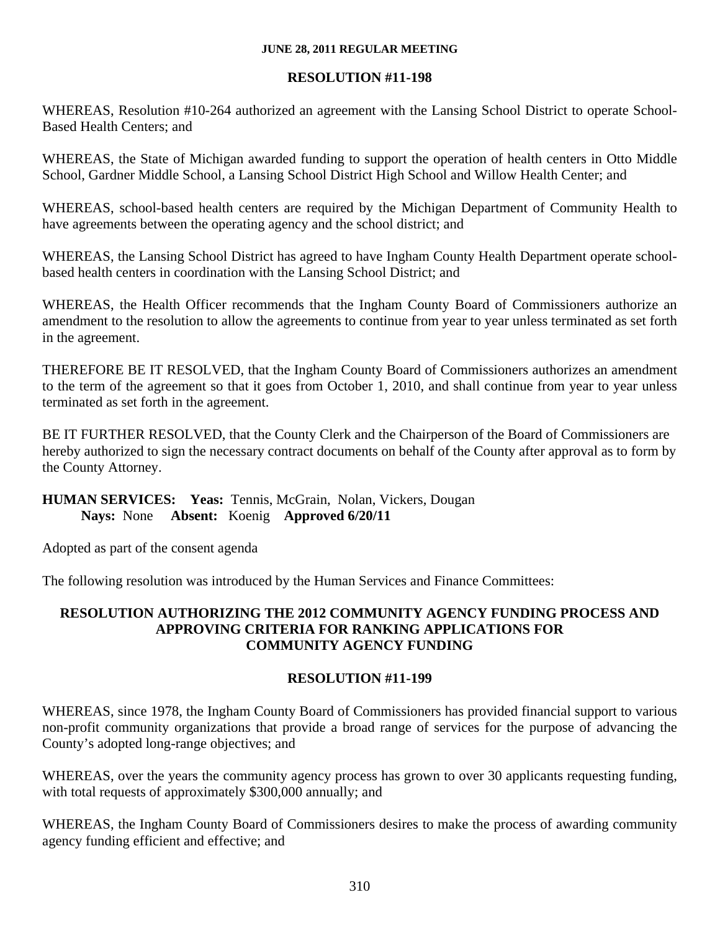# **RESOLUTION #11-198**

WHEREAS, Resolution #10-264 authorized an agreement with the Lansing School District to operate School-Based Health Centers; and

WHEREAS, the State of Michigan awarded funding to support the operation of health centers in Otto Middle School, Gardner Middle School, a Lansing School District High School and Willow Health Center; and

WHEREAS, school-based health centers are required by the Michigan Department of Community Health to have agreements between the operating agency and the school district; and

WHEREAS, the Lansing School District has agreed to have Ingham County Health Department operate schoolbased health centers in coordination with the Lansing School District; and

WHEREAS, the Health Officer recommends that the Ingham County Board of Commissioners authorize an amendment to the resolution to allow the agreements to continue from year to year unless terminated as set forth in the agreement.

THEREFORE BE IT RESOLVED, that the Ingham County Board of Commissioners authorizes an amendment to the term of the agreement so that it goes from October 1, 2010, and shall continue from year to year unless terminated as set forth in the agreement.

BE IT FURTHER RESOLVED, that the County Clerk and the Chairperson of the Board of Commissioners are hereby authorized to sign the necessary contract documents on behalf of the County after approval as to form by the County Attorney.

# **HUMAN SERVICES: Yeas:** Tennis, McGrain, Nolan, Vickers, Dougan **Nays:** None **Absent:** Koenig **Approved 6/20/11**

Adopted as part of the consent agenda

The following resolution was introduced by the Human Services and Finance Committees:

# **RESOLUTION AUTHORIZING THE 2012 COMMUNITY AGENCY FUNDING PROCESS AND APPROVING CRITERIA FOR RANKING APPLICATIONS FOR COMMUNITY AGENCY FUNDING**

# **RESOLUTION #11-199**

WHEREAS, since 1978, the Ingham County Board of Commissioners has provided financial support to various non-profit community organizations that provide a broad range of services for the purpose of advancing the County's adopted long-range objectives; and

WHEREAS, over the years the community agency process has grown to over 30 applicants requesting funding, with total requests of approximately \$300,000 annually; and

WHEREAS, the Ingham County Board of Commissioners desires to make the process of awarding community agency funding efficient and effective; and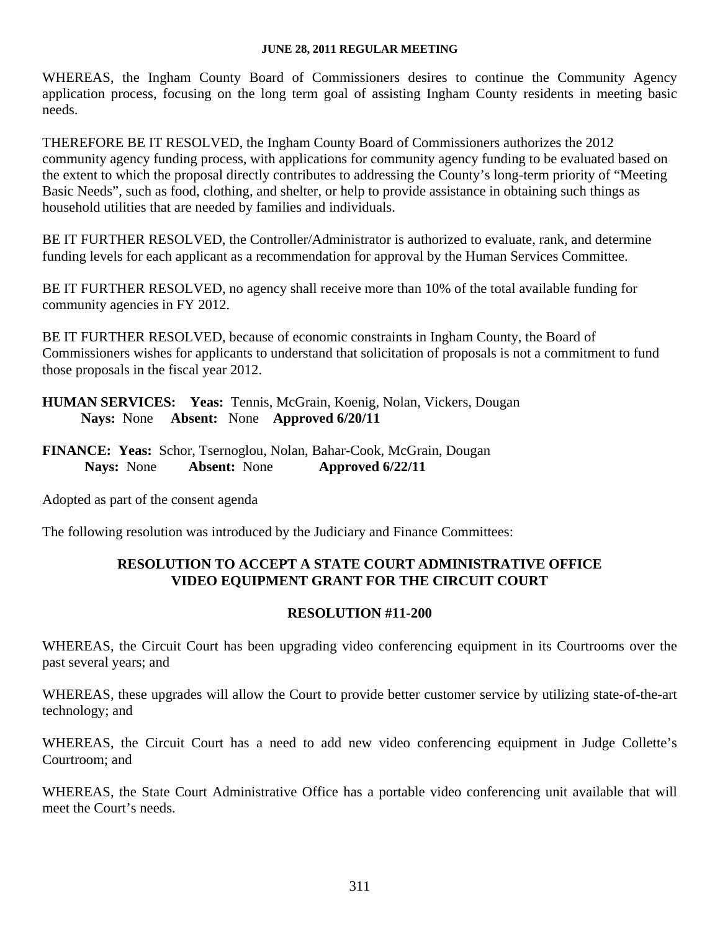WHEREAS, the Ingham County Board of Commissioners desires to continue the Community Agency application process, focusing on the long term goal of assisting Ingham County residents in meeting basic needs.

THEREFORE BE IT RESOLVED, the Ingham County Board of Commissioners authorizes the 2012 community agency funding process, with applications for community agency funding to be evaluated based on the extent to which the proposal directly contributes to addressing the County's long-term priority of "Meeting Basic Needs", such as food, clothing, and shelter, or help to provide assistance in obtaining such things as household utilities that are needed by families and individuals.

BE IT FURTHER RESOLVED, the Controller/Administrator is authorized to evaluate, rank, and determine funding levels for each applicant as a recommendation for approval by the Human Services Committee.

BE IT FURTHER RESOLVED, no agency shall receive more than 10% of the total available funding for community agencies in FY 2012.

BE IT FURTHER RESOLVED, because of economic constraints in Ingham County, the Board of Commissioners wishes for applicants to understand that solicitation of proposals is not a commitment to fund those proposals in the fiscal year 2012.

**HUMAN SERVICES: Yeas:** Tennis, McGrain, Koenig, Nolan, Vickers, Dougan **Nays:** None **Absent:** None **Approved 6/20/11** 

**FINANCE: Yeas:** Schor, Tsernoglou, Nolan, Bahar-Cook, McGrain, Dougan **Nays:** None **Absent:** None **Approved 6/22/11** 

Adopted as part of the consent agenda

The following resolution was introduced by the Judiciary and Finance Committees:

## **RESOLUTION TO ACCEPT A STATE COURT ADMINISTRATIVE OFFICE VIDEO EQUIPMENT GRANT FOR THE CIRCUIT COURT**

#### **RESOLUTION #11-200**

WHEREAS, the Circuit Court has been upgrading video conferencing equipment in its Courtrooms over the past several years; and

WHEREAS, these upgrades will allow the Court to provide better customer service by utilizing state-of-the-art technology; and

WHEREAS, the Circuit Court has a need to add new video conferencing equipment in Judge Collette's Courtroom; and

WHEREAS, the State Court Administrative Office has a portable video conferencing unit available that will meet the Court's needs.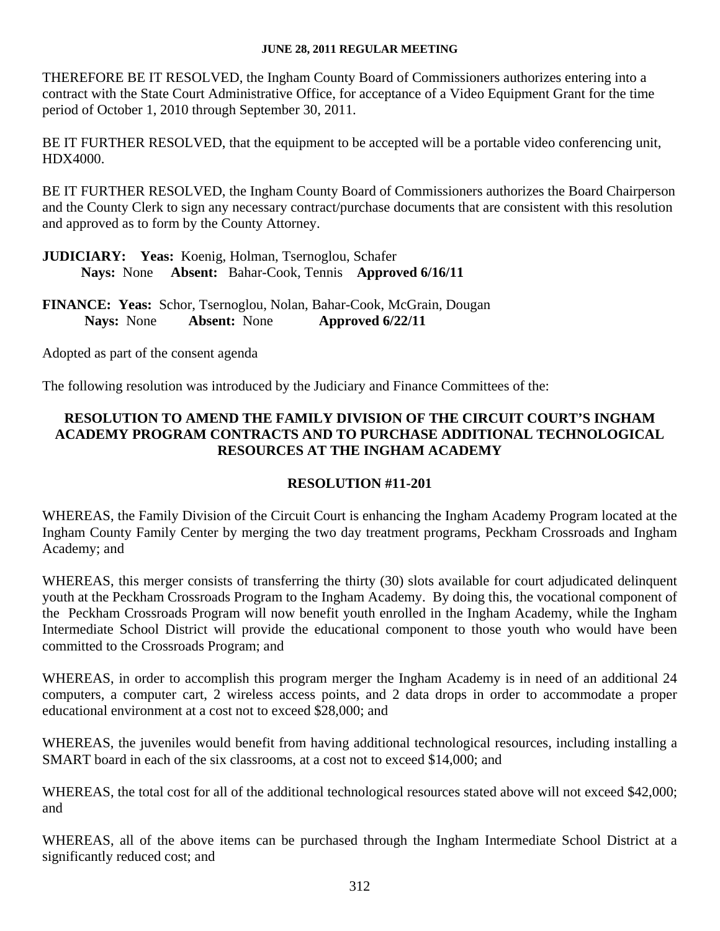THEREFORE BE IT RESOLVED, the Ingham County Board of Commissioners authorizes entering into a contract with the State Court Administrative Office, for acceptance of a Video Equipment Grant for the time period of October 1, 2010 through September 30, 2011.

BE IT FURTHER RESOLVED, that the equipment to be accepted will be a portable video conferencing unit, HDX4000.

BE IT FURTHER RESOLVED, the Ingham County Board of Commissioners authorizes the Board Chairperson and the County Clerk to sign any necessary contract/purchase documents that are consistent with this resolution and approved as to form by the County Attorney.

**JUDICIARY: Yeas:** Koenig, Holman, Tsernoglou, Schafer **Nays:** None **Absent:** Bahar-Cook, Tennis **Approved 6/16/11** 

**FINANCE: Yeas:** Schor, Tsernoglou, Nolan, Bahar-Cook, McGrain, Dougan **Nays:** None **Absent:** None **Approved 6/22/11** 

Adopted as part of the consent agenda

The following resolution was introduced by the Judiciary and Finance Committees of the:

# **RESOLUTION TO AMEND THE FAMILY DIVISION OF THE CIRCUIT COURT'S INGHAM ACADEMY PROGRAM CONTRACTS AND TO PURCHASE ADDITIONAL TECHNOLOGICAL RESOURCES AT THE INGHAM ACADEMY**

# **RESOLUTION #11-201**

WHEREAS, the Family Division of the Circuit Court is enhancing the Ingham Academy Program located at the Ingham County Family Center by merging the two day treatment programs, Peckham Crossroads and Ingham Academy; and

WHEREAS, this merger consists of transferring the thirty (30) slots available for court adjudicated delinquent youth at the Peckham Crossroads Program to the Ingham Academy. By doing this, the vocational component of the Peckham Crossroads Program will now benefit youth enrolled in the Ingham Academy, while the Ingham Intermediate School District will provide the educational component to those youth who would have been committed to the Crossroads Program; and

WHEREAS, in order to accomplish this program merger the Ingham Academy is in need of an additional 24 computers, a computer cart, 2 wireless access points, and 2 data drops in order to accommodate a proper educational environment at a cost not to exceed \$28,000; and

WHEREAS, the juveniles would benefit from having additional technological resources, including installing a SMART board in each of the six classrooms, at a cost not to exceed \$14,000; and

WHEREAS, the total cost for all of the additional technological resources stated above will not exceed \$42,000; and

WHEREAS, all of the above items can be purchased through the Ingham Intermediate School District at a significantly reduced cost; and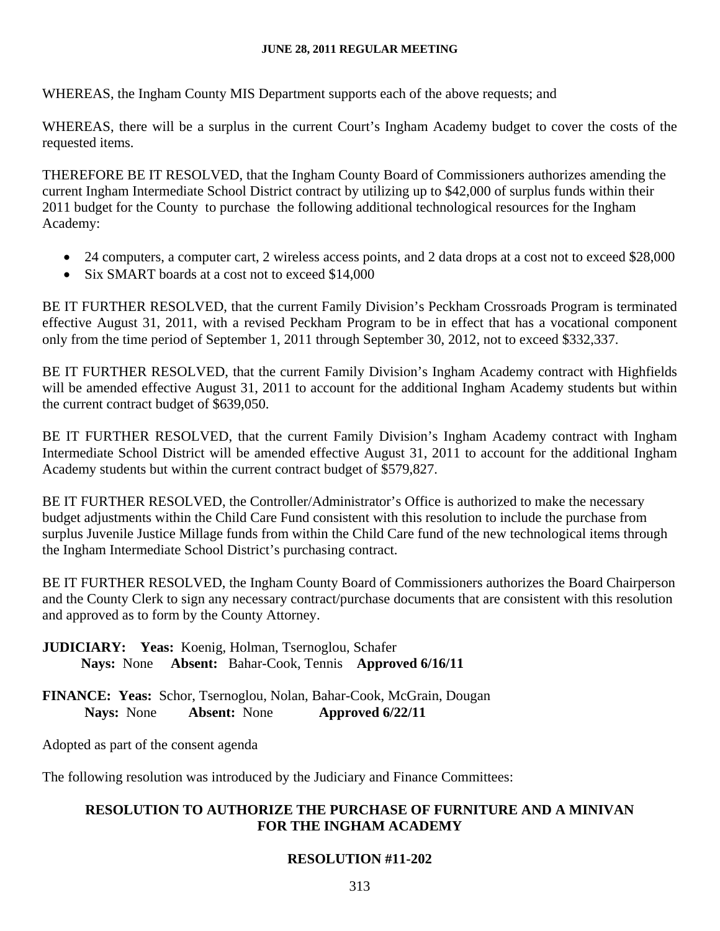WHEREAS, the Ingham County MIS Department supports each of the above requests; and

WHEREAS, there will be a surplus in the current Court's Ingham Academy budget to cover the costs of the requested items.

THEREFORE BE IT RESOLVED, that the Ingham County Board of Commissioners authorizes amending the current Ingham Intermediate School District contract by utilizing up to \$42,000 of surplus funds within their 2011 budget for the County to purchase the following additional technological resources for the Ingham Academy:

- 24 computers, a computer cart, 2 wireless access points, and 2 data drops at a cost not to exceed \$28,000
- Six SMART boards at a cost not to exceed \$14,000

BE IT FURTHER RESOLVED, that the current Family Division's Peckham Crossroads Program is terminated effective August 31, 2011, with a revised Peckham Program to be in effect that has a vocational component only from the time period of September 1, 2011 through September 30, 2012, not to exceed \$332,337.

BE IT FURTHER RESOLVED, that the current Family Division's Ingham Academy contract with Highfields will be amended effective August 31, 2011 to account for the additional Ingham Academy students but within the current contract budget of \$639,050.

BE IT FURTHER RESOLVED, that the current Family Division's Ingham Academy contract with Ingham Intermediate School District will be amended effective August 31, 2011 to account for the additional Ingham Academy students but within the current contract budget of \$579,827.

BE IT FURTHER RESOLVED, the Controller/Administrator's Office is authorized to make the necessary budget adjustments within the Child Care Fund consistent with this resolution to include the purchase from surplus Juvenile Justice Millage funds from within the Child Care fund of the new technological items through the Ingham Intermediate School District's purchasing contract.

BE IT FURTHER RESOLVED, the Ingham County Board of Commissioners authorizes the Board Chairperson and the County Clerk to sign any necessary contract/purchase documents that are consistent with this resolution and approved as to form by the County Attorney.

## **JUDICIARY: Yeas:** Koenig, Holman, Tsernoglou, Schafer **Nays:** None **Absent:** Bahar-Cook, Tennis **Approved 6/16/11**

**FINANCE: Yeas:** Schor, Tsernoglou, Nolan, Bahar-Cook, McGrain, Dougan **Nays:** None **Absent:** None **Approved 6/22/11** 

Adopted as part of the consent agenda

The following resolution was introduced by the Judiciary and Finance Committees:

# **RESOLUTION TO AUTHORIZE THE PURCHASE OF FURNITURE AND A MINIVAN FOR THE INGHAM ACADEMY**

# **RESOLUTION #11-202**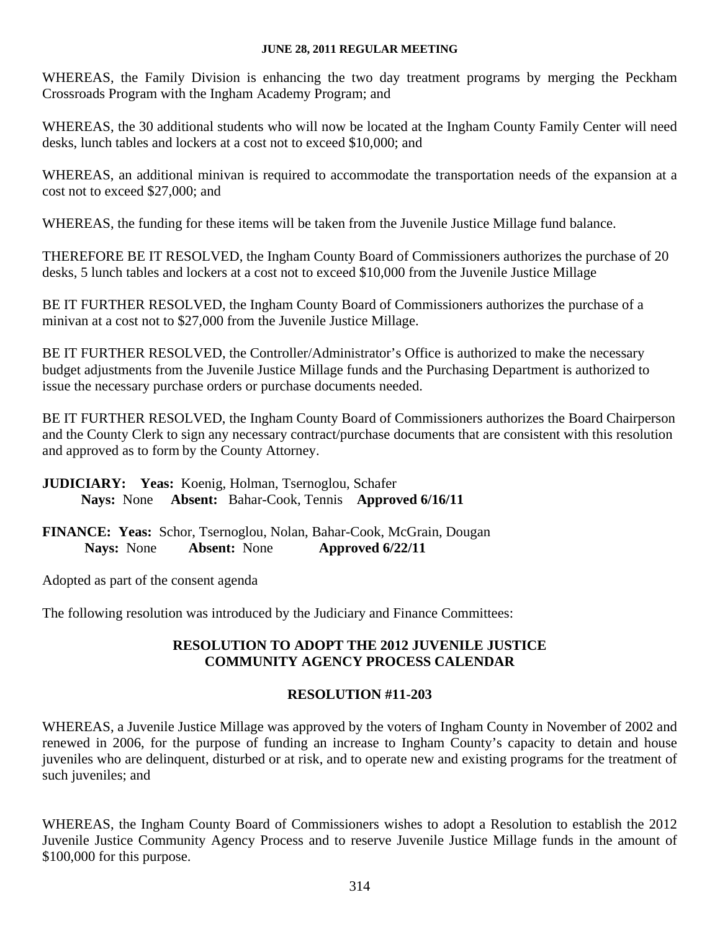WHEREAS, the Family Division is enhancing the two day treatment programs by merging the Peckham Crossroads Program with the Ingham Academy Program; and

WHEREAS, the 30 additional students who will now be located at the Ingham County Family Center will need desks, lunch tables and lockers at a cost not to exceed \$10,000; and

WHEREAS, an additional minivan is required to accommodate the transportation needs of the expansion at a cost not to exceed \$27,000; and

WHEREAS, the funding for these items will be taken from the Juvenile Justice Millage fund balance.

THEREFORE BE IT RESOLVED, the Ingham County Board of Commissioners authorizes the purchase of 20 desks, 5 lunch tables and lockers at a cost not to exceed \$10,000 from the Juvenile Justice Millage

BE IT FURTHER RESOLVED, the Ingham County Board of Commissioners authorizes the purchase of a minivan at a cost not to \$27,000 from the Juvenile Justice Millage.

BE IT FURTHER RESOLVED, the Controller/Administrator's Office is authorized to make the necessary budget adjustments from the Juvenile Justice Millage funds and the Purchasing Department is authorized to issue the necessary purchase orders or purchase documents needed.

BE IT FURTHER RESOLVED, the Ingham County Board of Commissioners authorizes the Board Chairperson and the County Clerk to sign any necessary contract/purchase documents that are consistent with this resolution and approved as to form by the County Attorney.

# **JUDICIARY: Yeas:** Koenig, Holman, Tsernoglou, Schafer **Nays:** None **Absent:** Bahar-Cook, Tennis **Approved 6/16/11**

**FINANCE: Yeas:** Schor, Tsernoglou, Nolan, Bahar-Cook, McGrain, Dougan **Nays:** None **Absent:** None **Approved 6/22/11** 

Adopted as part of the consent agenda

The following resolution was introduced by the Judiciary and Finance Committees:

# **RESOLUTION TO ADOPT THE 2012 JUVENILE JUSTICE COMMUNITY AGENCY PROCESS CALENDAR**

# **RESOLUTION #11-203**

WHEREAS, a Juvenile Justice Millage was approved by the voters of Ingham County in November of 2002 and renewed in 2006, for the purpose of funding an increase to Ingham County's capacity to detain and house juveniles who are delinquent, disturbed or at risk, and to operate new and existing programs for the treatment of such juveniles; and

WHEREAS, the Ingham County Board of Commissioners wishes to adopt a Resolution to establish the 2012 Juvenile Justice Community Agency Process and to reserve Juvenile Justice Millage funds in the amount of \$100,000 for this purpose.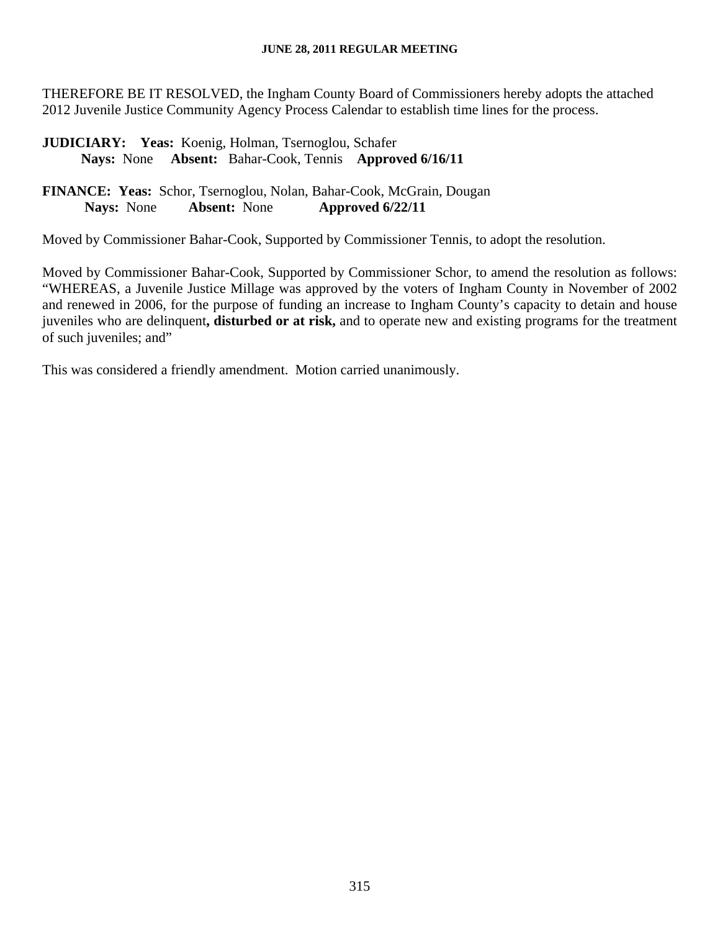THEREFORE BE IT RESOLVED, the Ingham County Board of Commissioners hereby adopts the attached 2012 Juvenile Justice Community Agency Process Calendar to establish time lines for the process.

## **JUDICIARY: Yeas:** Koenig, Holman, Tsernoglou, Schafer **Nays:** None **Absent:** Bahar-Cook, Tennis **Approved 6/16/11**

## **FINANCE: Yeas:** Schor, Tsernoglou, Nolan, Bahar-Cook, McGrain, Dougan **Nays:** None **Absent:** None **Approved 6/22/11**

Moved by Commissioner Bahar-Cook, Supported by Commissioner Tennis, to adopt the resolution.

Moved by Commissioner Bahar-Cook, Supported by Commissioner Schor, to amend the resolution as follows: "WHEREAS, a Juvenile Justice Millage was approved by the voters of Ingham County in November of 2002 and renewed in 2006, for the purpose of funding an increase to Ingham County's capacity to detain and house juveniles who are delinquent**, disturbed or at risk,** and to operate new and existing programs for the treatment of such juveniles; and"

This was considered a friendly amendment. Motion carried unanimously.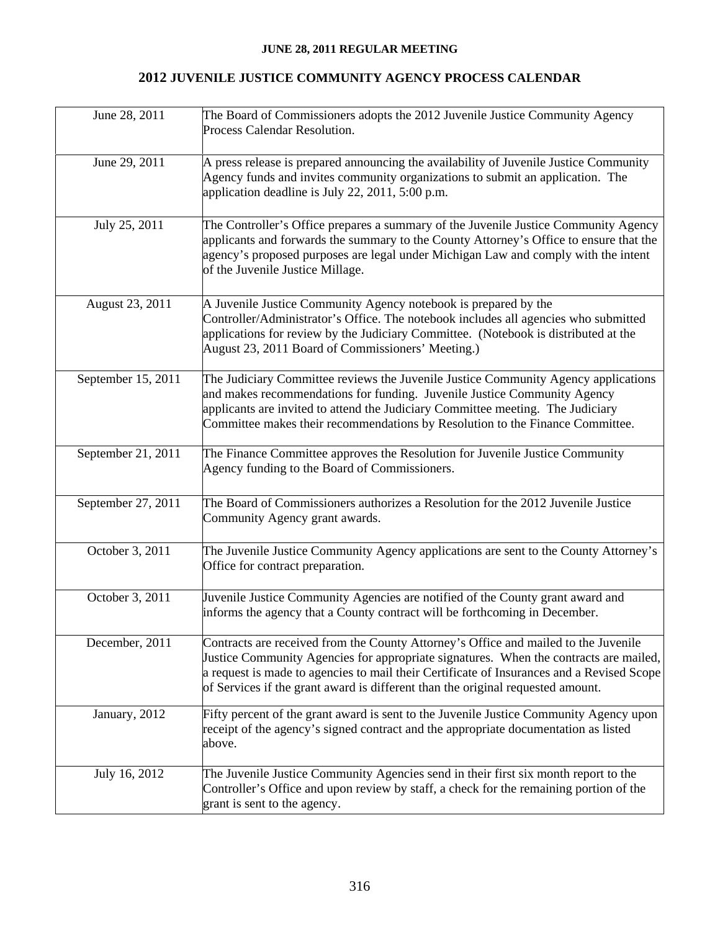# **2012 JUVENILE JUSTICE COMMUNITY AGENCY PROCESS CALENDAR**

| June 28, 2011      | The Board of Commissioners adopts the 2012 Juvenile Justice Community Agency<br>Process Calendar Resolution.                                                                                                                                                                                                                                                 |
|--------------------|--------------------------------------------------------------------------------------------------------------------------------------------------------------------------------------------------------------------------------------------------------------------------------------------------------------------------------------------------------------|
| June 29, 2011      | A press release is prepared announcing the availability of Juvenile Justice Community<br>Agency funds and invites community organizations to submit an application. The<br>application deadline is July 22, 2011, 5:00 p.m.                                                                                                                                  |
| July 25, 2011      | The Controller's Office prepares a summary of the Juvenile Justice Community Agency<br>applicants and forwards the summary to the County Attorney's Office to ensure that the<br>agency's proposed purposes are legal under Michigan Law and comply with the intent<br>of the Juvenile Justice Millage.                                                      |
| August 23, 2011    | A Juvenile Justice Community Agency notebook is prepared by the<br>Controller/Administrator's Office. The notebook includes all agencies who submitted<br>applications for review by the Judiciary Committee. (Notebook is distributed at the<br>August 23, 2011 Board of Commissioners' Meeting.)                                                           |
| September 15, 2011 | The Judiciary Committee reviews the Juvenile Justice Community Agency applications<br>and makes recommendations for funding. Juvenile Justice Community Agency<br>applicants are invited to attend the Judiciary Committee meeting. The Judiciary<br>Committee makes their recommendations by Resolution to the Finance Committee.                           |
| September 21, 2011 | The Finance Committee approves the Resolution for Juvenile Justice Community<br>Agency funding to the Board of Commissioners.                                                                                                                                                                                                                                |
| September 27, 2011 | The Board of Commissioners authorizes a Resolution for the 2012 Juvenile Justice<br>Community Agency grant awards.                                                                                                                                                                                                                                           |
| October 3, 2011    | The Juvenile Justice Community Agency applications are sent to the County Attorney's<br>Office for contract preparation.                                                                                                                                                                                                                                     |
| October 3, 2011    | Juvenile Justice Community Agencies are notified of the County grant award and<br>informs the agency that a County contract will be forthcoming in December.                                                                                                                                                                                                 |
| December, 2011     | Contracts are received from the County Attorney's Office and mailed to the Juvenile<br>Justice Community Agencies for appropriate signatures. When the contracts are mailed,<br>a request is made to agencies to mail their Certificate of Insurances and a Revised Scope<br>of Services if the grant award is different than the original requested amount. |
| January, 2012      | Fifty percent of the grant award is sent to the Juvenile Justice Community Agency upon<br>receipt of the agency's signed contract and the appropriate documentation as listed<br>above.                                                                                                                                                                      |
| July 16, 2012      | The Juvenile Justice Community Agencies send in their first six month report to the<br>Controller's Office and upon review by staff, a check for the remaining portion of the<br>grant is sent to the agency.                                                                                                                                                |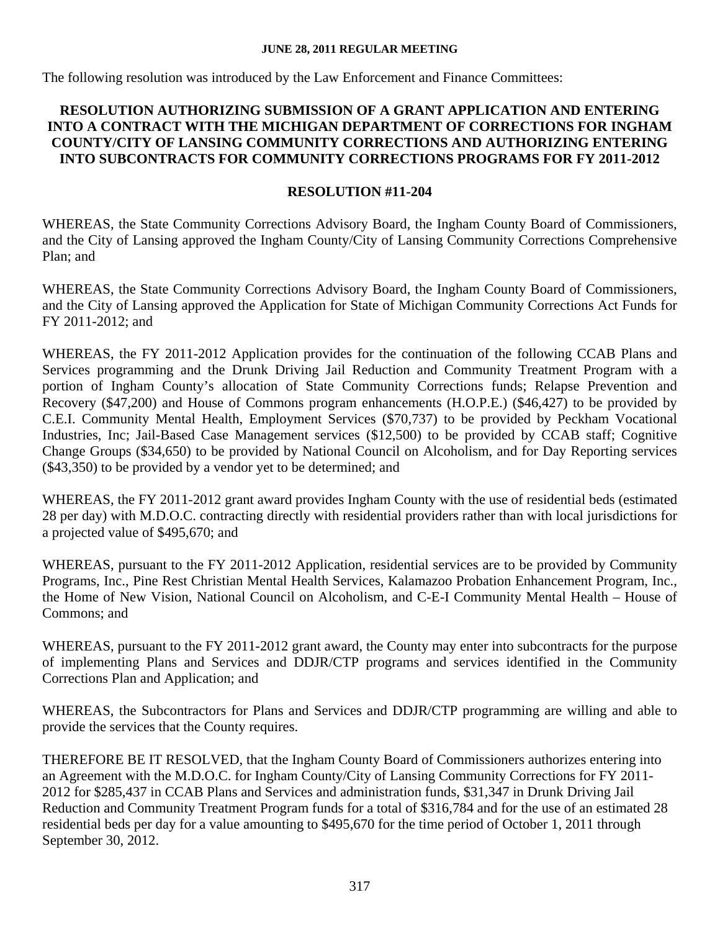The following resolution was introduced by the Law Enforcement and Finance Committees:

## **RESOLUTION AUTHORIZING SUBMISSION OF A GRANT APPLICATION AND ENTERING INTO A CONTRACT WITH THE MICHIGAN DEPARTMENT OF CORRECTIONS FOR INGHAM COUNTY/CITY OF LANSING COMMUNITY CORRECTIONS AND AUTHORIZING ENTERING INTO SUBCONTRACTS FOR COMMUNITY CORRECTIONS PROGRAMS FOR FY 2011-2012**

#### **RESOLUTION #11-204**

WHEREAS, the State Community Corrections Advisory Board, the Ingham County Board of Commissioners, and the City of Lansing approved the Ingham County/City of Lansing Community Corrections Comprehensive Plan; and

WHEREAS, the State Community Corrections Advisory Board, the Ingham County Board of Commissioners, and the City of Lansing approved the Application for State of Michigan Community Corrections Act Funds for FY 2011-2012; and

WHEREAS, the FY 2011-2012 Application provides for the continuation of the following CCAB Plans and Services programming and the Drunk Driving Jail Reduction and Community Treatment Program with a portion of Ingham County's allocation of State Community Corrections funds; Relapse Prevention and Recovery (\$47,200) and House of Commons program enhancements (H.O.P.E.) (\$46,427) to be provided by C.E.I. Community Mental Health, Employment Services (\$70,737) to be provided by Peckham Vocational Industries, Inc; Jail-Based Case Management services (\$12,500) to be provided by CCAB staff; Cognitive Change Groups (\$34,650) to be provided by National Council on Alcoholism, and for Day Reporting services (\$43,350) to be provided by a vendor yet to be determined; and

WHEREAS, the FY 2011-2012 grant award provides Ingham County with the use of residential beds (estimated 28 per day) with M.D.O.C. contracting directly with residential providers rather than with local jurisdictions for a projected value of \$495,670; and

WHEREAS, pursuant to the FY 2011-2012 Application, residential services are to be provided by Community Programs, Inc., Pine Rest Christian Mental Health Services, Kalamazoo Probation Enhancement Program, Inc., the Home of New Vision, National Council on Alcoholism, and C-E-I Community Mental Health – House of Commons; and

WHEREAS, pursuant to the FY 2011-2012 grant award, the County may enter into subcontracts for the purpose of implementing Plans and Services and DDJR/CTP programs and services identified in the Community Corrections Plan and Application; and

WHEREAS, the Subcontractors for Plans and Services and DDJR/CTP programming are willing and able to provide the services that the County requires.

THEREFORE BE IT RESOLVED, that the Ingham County Board of Commissioners authorizes entering into an Agreement with the M.D.O.C. for Ingham County/City of Lansing Community Corrections for FY 2011- 2012 for \$285,437 in CCAB Plans and Services and administration funds, \$31,347 in Drunk Driving Jail Reduction and Community Treatment Program funds for a total of \$316,784 and for the use of an estimated 28 residential beds per day for a value amounting to \$495,670 for the time period of October 1, 2011 through September 30, 2012.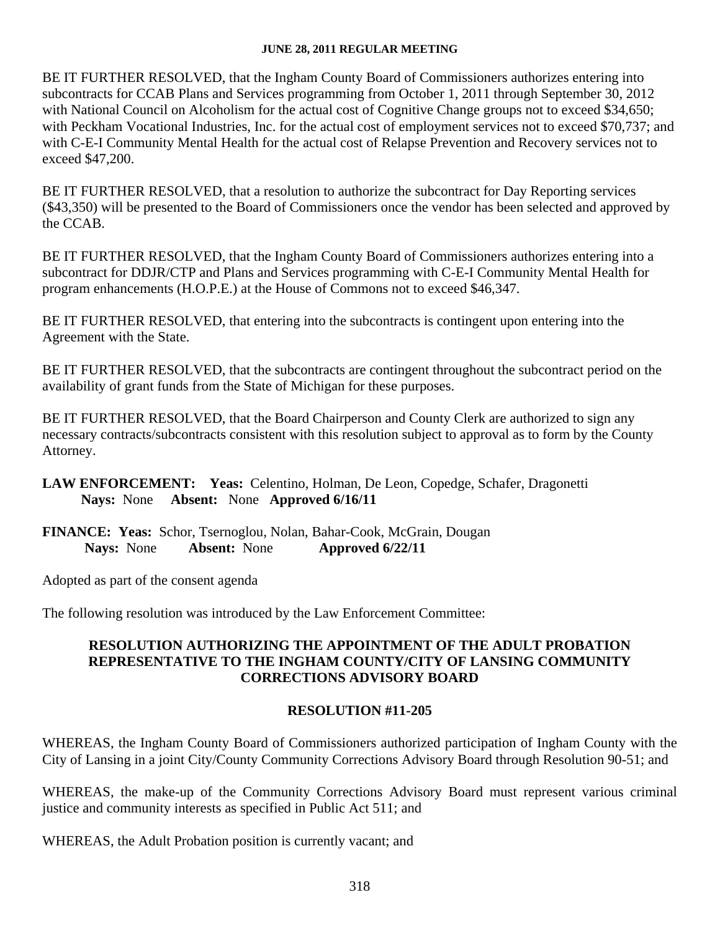BE IT FURTHER RESOLVED, that the Ingham County Board of Commissioners authorizes entering into subcontracts for CCAB Plans and Services programming from October 1, 2011 through September 30, 2012 with National Council on Alcoholism for the actual cost of Cognitive Change groups not to exceed \$34,650; with Peckham Vocational Industries, Inc. for the actual cost of employment services not to exceed \$70,737; and with C-E-I Community Mental Health for the actual cost of Relapse Prevention and Recovery services not to exceed \$47,200.

BE IT FURTHER RESOLVED, that a resolution to authorize the subcontract for Day Reporting services (\$43,350) will be presented to the Board of Commissioners once the vendor has been selected and approved by the CCAB.

BE IT FURTHER RESOLVED, that the Ingham County Board of Commissioners authorizes entering into a subcontract for DDJR/CTP and Plans and Services programming with C-E-I Community Mental Health for program enhancements (H.O.P.E.) at the House of Commons not to exceed \$46,347.

BE IT FURTHER RESOLVED, that entering into the subcontracts is contingent upon entering into the Agreement with the State.

BE IT FURTHER RESOLVED, that the subcontracts are contingent throughout the subcontract period on the availability of grant funds from the State of Michigan for these purposes.

BE IT FURTHER RESOLVED, that the Board Chairperson and County Clerk are authorized to sign any necessary contracts/subcontracts consistent with this resolution subject to approval as to form by the County Attorney.

**LAW ENFORCEMENT: Yeas:** Celentino, Holman, De Leon, Copedge, Schafer, Dragonetti **Nays:** None **Absent:** None **Approved 6/16/11** 

**FINANCE: Yeas:** Schor, Tsernoglou, Nolan, Bahar-Cook, McGrain, Dougan **Nays:** None **Absent:** None **Approved 6/22/11** 

Adopted as part of the consent agenda

The following resolution was introduced by the Law Enforcement Committee:

## **RESOLUTION AUTHORIZING THE APPOINTMENT OF THE ADULT PROBATION REPRESENTATIVE TO THE INGHAM COUNTY/CITY OF LANSING COMMUNITY CORRECTIONS ADVISORY BOARD**

# **RESOLUTION #11-205**

WHEREAS, the Ingham County Board of Commissioners authorized participation of Ingham County with the City of Lansing in a joint City/County Community Corrections Advisory Board through Resolution 90-51; and

WHEREAS, the make-up of the Community Corrections Advisory Board must represent various criminal justice and community interests as specified in Public Act 511; and

WHEREAS, the Adult Probation position is currently vacant; and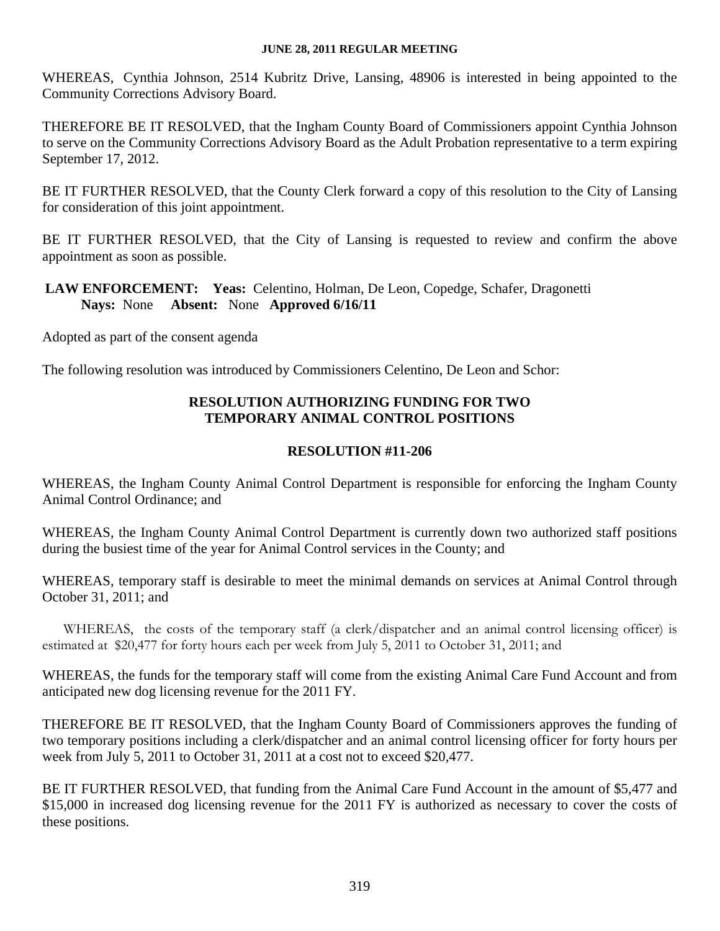WHEREAS, Cynthia Johnson, 2514 Kubritz Drive, Lansing, 48906 is interested in being appointed to the Community Corrections Advisory Board.

THEREFORE BE IT RESOLVED, that the Ingham County Board of Commissioners appoint Cynthia Johnson to serve on the Community Corrections Advisory Board as the Adult Probation representative to a term expiring September 17, 2012.

BE IT FURTHER RESOLVED, that the County Clerk forward a copy of this resolution to the City of Lansing for consideration of this joint appointment.

BE IT FURTHER RESOLVED, that the City of Lansing is requested to review and confirm the above appointment as soon as possible.

# **LAW ENFORCEMENT: Yeas:** Celentino, Holman, De Leon, Copedge, Schafer, Dragonetti **Nays:** None **Absent:** None **Approved 6/16/11**

Adopted as part of the consent agenda

The following resolution was introduced by Commissioners Celentino, De Leon and Schor:

# **RESOLUTION AUTHORIZING FUNDING FOR TWO TEMPORARY ANIMAL CONTROL POSITIONS**

## **RESOLUTION #11-206**

WHEREAS, the Ingham County Animal Control Department is responsible for enforcing the Ingham County Animal Control Ordinance; and

WHEREAS, the Ingham County Animal Control Department is currently down two authorized staff positions during the busiest time of the year for Animal Control services in the County; and

WHEREAS, temporary staff is desirable to meet the minimal demands on services at Animal Control through October 31, 2011; and

WHEREAS, the costs of the temporary staff (a clerk/dispatcher and an animal control licensing officer) is estimated at \$20,477 for forty hours each per week from July 5, 2011 to October 31, 2011; and

WHEREAS, the funds for the temporary staff will come from the existing Animal Care Fund Account and from anticipated new dog licensing revenue for the 2011 FY.

THEREFORE BE IT RESOLVED, that the Ingham County Board of Commissioners approves the funding of two temporary positions including a clerk/dispatcher and an animal control licensing officer for forty hours per week from July 5, 2011 to October 31, 2011 at a cost not to exceed \$20,477.

BE IT FURTHER RESOLVED, that funding from the Animal Care Fund Account in the amount of \$5,477 and \$15,000 in increased dog licensing revenue for the 2011 FY is authorized as necessary to cover the costs of these positions.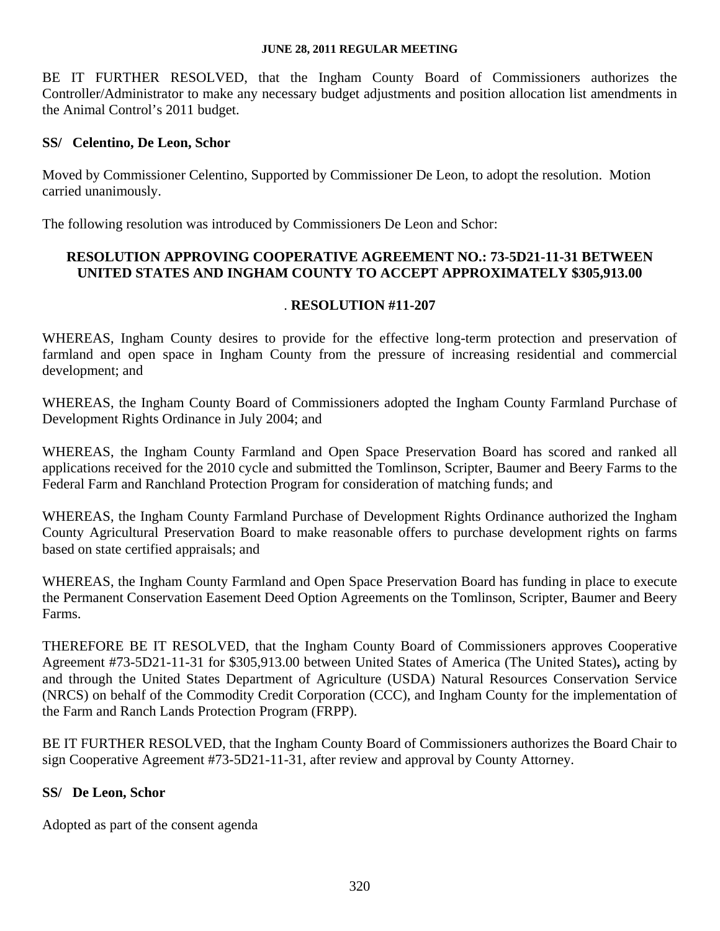BE IT FURTHER RESOLVED, that the Ingham County Board of Commissioners authorizes the Controller/Administrator to make any necessary budget adjustments and position allocation list amendments in the Animal Control's 2011 budget.

#### **SS/ Celentino, De Leon, Schor**

Moved by Commissioner Celentino, Supported by Commissioner De Leon, to adopt the resolution. Motion carried unanimously.

The following resolution was introduced by Commissioners De Leon and Schor:

# **RESOLUTION APPROVING COOPERATIVE AGREEMENT NO.: 73-5D21-11-31 BETWEEN UNITED STATES AND INGHAM COUNTY TO ACCEPT APPROXIMATELY \$305,913.00**

## . **RESOLUTION #11-207**

WHEREAS, Ingham County desires to provide for the effective long-term protection and preservation of farmland and open space in Ingham County from the pressure of increasing residential and commercial development; and

WHEREAS, the Ingham County Board of Commissioners adopted the Ingham County Farmland Purchase of Development Rights Ordinance in July 2004; and

WHEREAS, the Ingham County Farmland and Open Space Preservation Board has scored and ranked all applications received for the 2010 cycle and submitted the Tomlinson, Scripter, Baumer and Beery Farms to the Federal Farm and Ranchland Protection Program for consideration of matching funds; and

WHEREAS, the Ingham County Farmland Purchase of Development Rights Ordinance authorized the Ingham County Agricultural Preservation Board to make reasonable offers to purchase development rights on farms based on state certified appraisals; and

WHEREAS, the Ingham County Farmland and Open Space Preservation Board has funding in place to execute the Permanent Conservation Easement Deed Option Agreements on the Tomlinson, Scripter, Baumer and Beery Farms.

THEREFORE BE IT RESOLVED, that the Ingham County Board of Commissioners approves Cooperative Agreement #73-5D21-11-31 for \$305,913.00 between United States of America (The United States)**,** acting by and through the United States Department of Agriculture (USDA) Natural Resources Conservation Service (NRCS) on behalf of the Commodity Credit Corporation (CCC), and Ingham County for the implementation of the Farm and Ranch Lands Protection Program (FRPP).

BE IT FURTHER RESOLVED, that the Ingham County Board of Commissioners authorizes the Board Chair to sign Cooperative Agreement #73-5D21-11-31, after review and approval by County Attorney.

# **SS/ De Leon, Schor**

Adopted as part of the consent agenda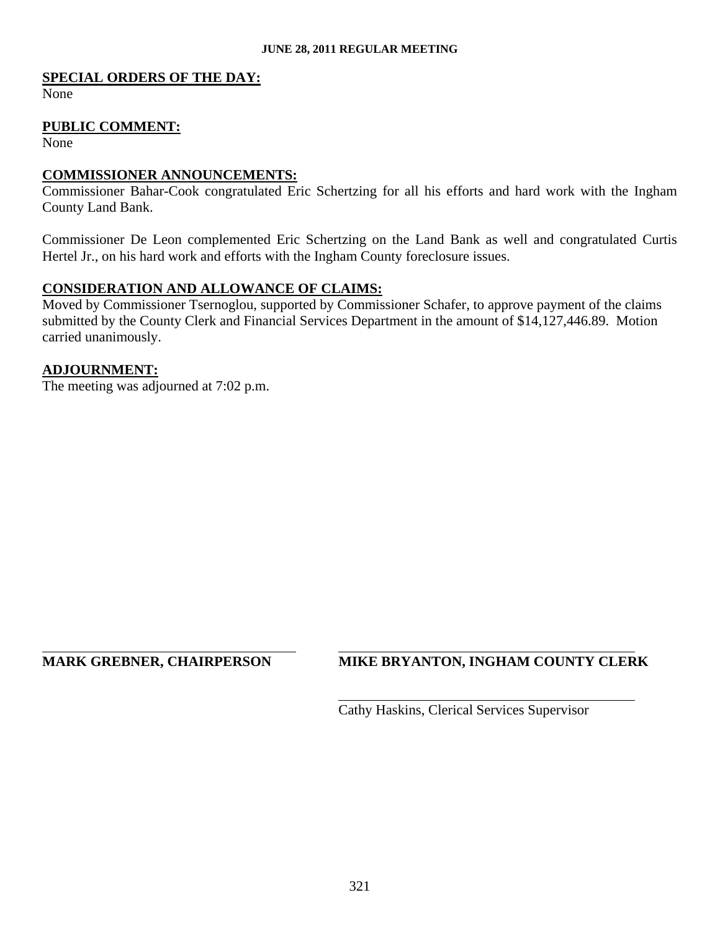#### **SPECIAL ORDERS OF THE DAY:**

None

#### **PUBLIC COMMENT:**

None

## **COMMISSIONER ANNOUNCEMENTS:**

Commissioner Bahar-Cook congratulated Eric Schertzing for all his efforts and hard work with the Ingham County Land Bank.

Commissioner De Leon complemented Eric Schertzing on the Land Bank as well and congratulated Curtis Hertel Jr., on his hard work and efforts with the Ingham County foreclosure issues.

## **CONSIDERATION AND ALLOWANCE OF CLAIMS:**

Moved by Commissioner Tsernoglou, supported by Commissioner Schafer, to approve payment of the claims submitted by the County Clerk and Financial Services Department in the amount of \$14,127,446.89. Motion carried unanimously.

#### **ADJOURNMENT:**

l

The meeting was adjourned at 7:02 p.m.

#### **MARK GREBNER, CHAIRPERSON MIKE BRYANTON, INGHAM COUNTY CLERK**

Cathy Haskins, Clerical Services Supervisor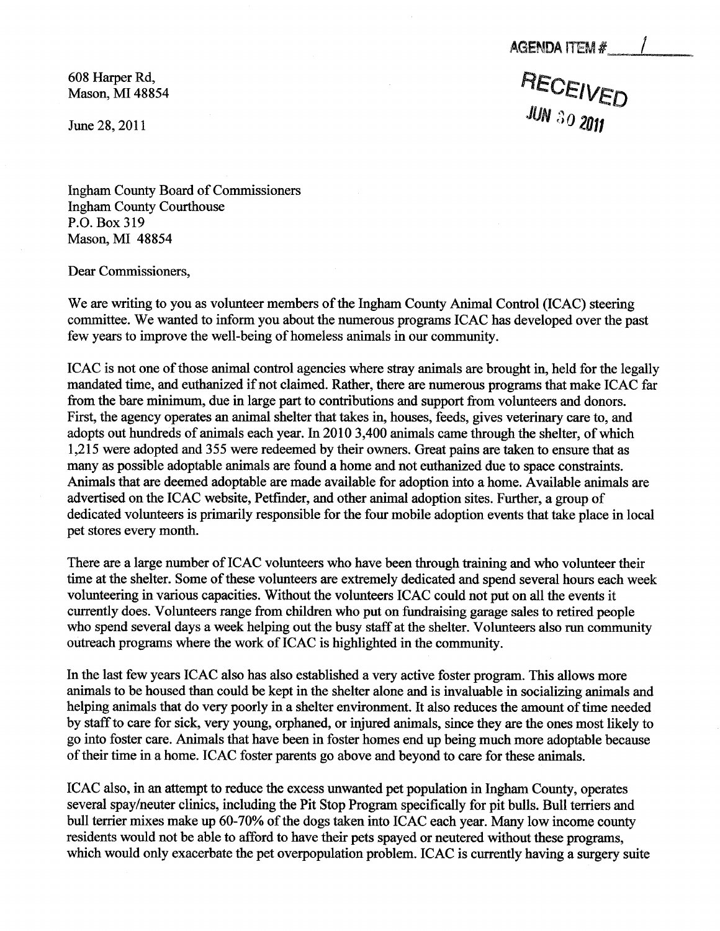**AGENDA ITEM #** 

**RECEIVED** 

<span id="page-32-0"></span>608 Harper Rd, Mason, MI 48854

June 28, 2011

Ingham County Board of Commissioners Ingham County Courthouse P.O. Box 319 Mason, MI 48854

Dear Commissioners,

We are writing to you as volunteer members of the Ingham County Animal Control (ICAC) steering committee. We wanted to inform you about the numerous programs ICAC has developed over the past few years to improve the well-being of homeless animals in our community.

ICAC is not one of those animal control agencies where stray animals are brought in, held for the legally mandated time, and euthanized if not claimed. Rather, there are numerous programs that make ICAC far from the bare minimum, due in large part to contributions and support from volunteers and donors. First, the agency operates an animal shelter that takes in, houses, feeds, gives veterinary care to, and adopts out hundreds of animals each year. In 2010 3,400 animals came through the shelter, of which 1,215 were adopted and 355 were redeemed by their owners. Great pains are taken to ensure that as many as possible adoptable animals are found a home and not euthanized due to space constraints. Animals that are deemed adoptable are made available for adoption into a home. Available animals are advertised on the ICAC website, Petfinder, and other animal adoption sites. Further, a group of dedicated volunteers is primarily responsible for the four mobile adoption events that take place in local pet stores every month.

There are a large number of ICAC volunteers who have been through training and who volunteer their time at the shelter. Some of these volunteers are extremely dedicated and spend several hours each week volunteering in various capacities. Without the volunteers ICAC could not put on all the events it currently does. Volunteers range from children who put on fundraising garage sales to retired people who spend several days a week helping out the busy staff at the shelter. Volunteers also run community outreach programs where the work of ICAC is highlighted in the community.

In the last few years ICAC also has also established a very active foster program. This allows more animals to be housed than could be kept in the shelter alone and is invaluable in socializing animals and helping animals that do very poorly in a shelter environment. It also reduces the amount of time needed by staff to care for sick, very young, orphaned, or injured animals, since they are the ones most likely to go into foster care. Animals that have been in foster homes end up being much more adoptable because of their time in home. ICAC foster parents go above and beyond to care for these animals.

ICAC also, in an attempt to reduce the excess unwanted pet population in Ingham County, operates several spay/neuter clinics, including the Pit Stop Program specifically for pit bulls. Bull terriers and bull terrier mixes make up 60-70% of the dogs taken into ICAC each year. Many low income county residents would not be able to afford to have their pets spayed or neutered without these programs, which would only exacerbate the pet overpopulation problem. ICAC is currently having a surgery suite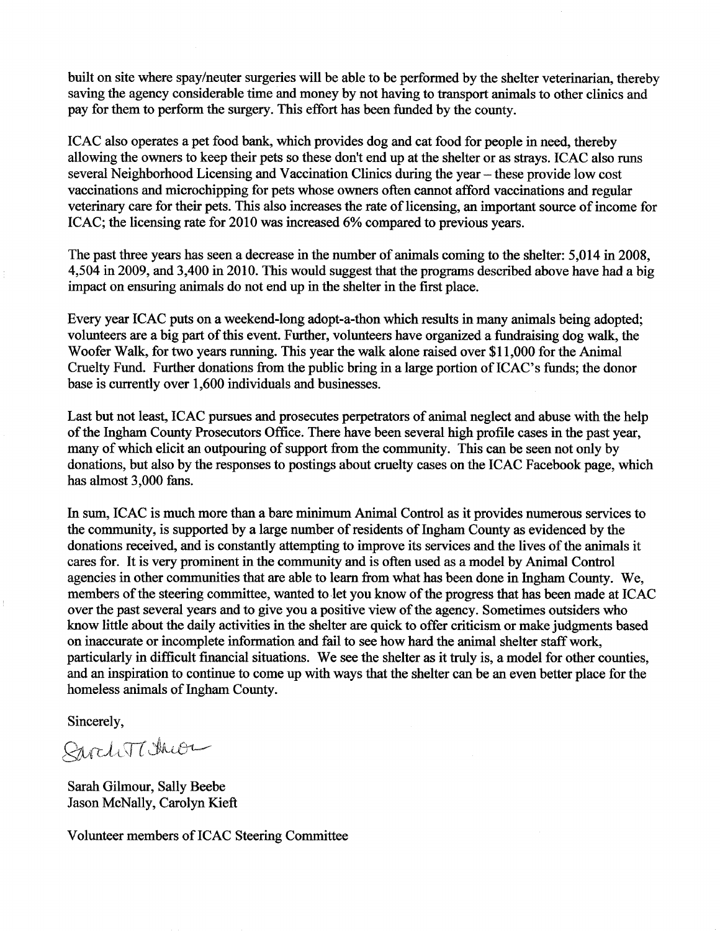built on site where spay/neuter surgeries will be able to be performed by the shelter veterinarian, thereby saving the agency considerable time and money by not having to transport animals to other clinics and pay for them to perform the surgery. This effort has been funded by the county.

ICAC also operates a pet food bank, which provides dog and cat food for people in need, thereby allowing the owners to keep their pets so these don't end up at the shelter or as strays. ICAC also runs several Neighborhood Licensing and Vaccination Clinics during the year – these provide low cost vaccinations and microchipping for pets whose owners often cannot afford vaccinations and regular veterinary care for their pets. This also increases the rate of licensing, an important source of income for ICAC; the licensing rate for 2010 was increased 6% compared to previous years.

The past three years has seen a decrease in the number of animals coming to the shelter: 5,014 in 2008, 4,504 in 2009, and 3,400 in 2010. This would suggest that the programs described above have had a big impact on ensuring animals do not end up in the shelter in the first place.

Every year ICAC puts on weekend-long adopt-a-thon which results in many animals being adopted; volunteers are a big part of this event. Further, volunteers have organized a fundraising dog walk, the Woofer Walk, for two years running. This year the walk alone raised over \$11,000 for the Animal Cruelty Fund. Further donations from the public bring in a large portion of ICAC's funds; the donor base is currently over 1,600 individuals and businesses.

Last but not least, ICAC pursues and prosecutes perpetrators of animal neglect and abuse with the help of the Ingham County Prosecutors Office. There have been several high profile cases in the past year, many of which elicit an outpouring of support from the community. This can be seen not only by donations, but also by the responses to postings about cruelty cases on the ICAC Facebook page, which has almost 3,000 fans.

In sum, ICAC is much more than a bare minimum Animal Control as it provides numerous services to the community, is supported by a large number of residents of Ingham County as evidenced by the donations received, and is constantly attempting to improve its services and the lives of the animals it cares for. It is very prominent in the community and is often used as a model by Animal Control agencies in other communities that are able to learn from what has been done in Ingham County. We, members of the steering committee, wanted to let you know of the progress that has been made at ICAC over the past several years and to give you a positive view of the agency. Sometimes outsiders who know little about the daily activities in the shelter are quick to offer criticism or make judgments based on inaccurate or incomplete information and fail to see how hard the animal shelter staff work, particularly in difficult financial situations. We see the shelter as it truly is, a model for other counties, and an inspiration to continue to come up with ways that the shelter can be an even better place for the homeless animals of Ingham County.

Sincerely,

Rarchottshion

Sarah Gilmour, Sally Beebe Jason McNally, Carolyn Kieft

Volunteer members of ICAC Steering Committee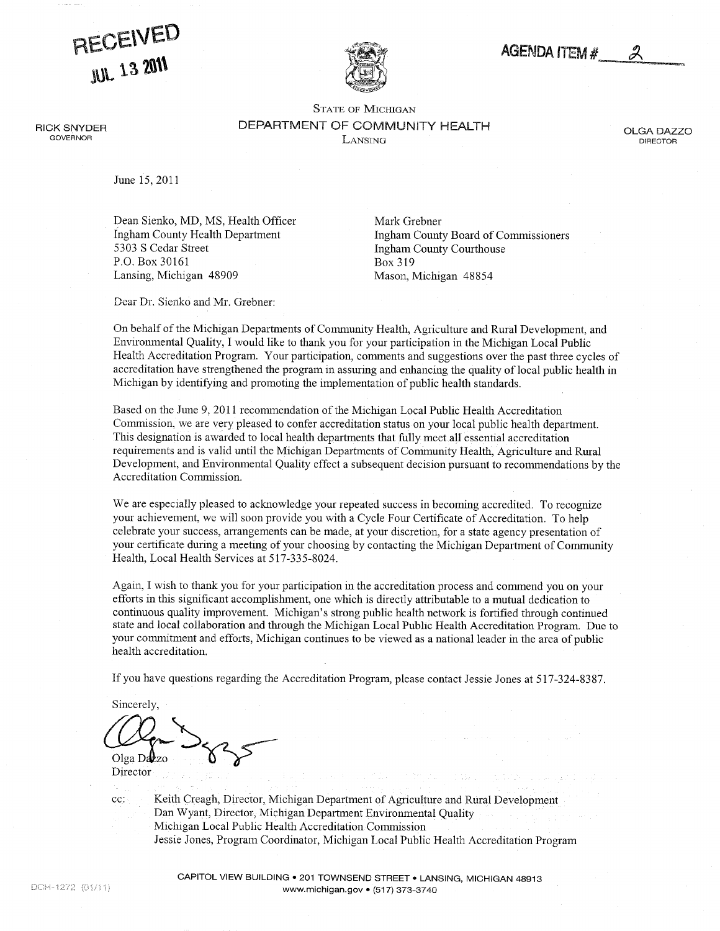<span id="page-34-0"></span>RECEIVED  $JUL$  13 2011



# **AGENDA ITEM #**

STATE OF MICHIGAN DEPARTMENT OF COMMUNITY HEALTH **LANSING** 

OLGA DAZZO DIRECTOR

June 15,2011

RICK SNYDER **GOVERNOR** 

> Dean Sienko, MD, MS, Health Officer Ingham County Health Department 5303 Cedar Street P.O. Box 30161 Lansing, Michigan 48909

Mark Grebner Ingham County Board of Commissioners Ingham County Courthouse Box 319 Mason, Michigan 48854

Dear Dr. Sienko and Mr. Grebner:

On behalf of the Michigan Departments of Community Health, Agriculture and Rural Development, and Environmental Quality, I would like to thank you for your participation in the Michigan Local Public Health Accreditation Program. Your participation, comments and suggestions over the past three cycles of accreditation have strengthened the program in assuring and enhancing the quality of local public health in Michigan by identifying and promoting the implementation of public health standards.

Based on the June 9, 2011 recommendation of the Michigan Local Public Health Accreditation Commission, we are very pleased to confer accreditation status on your local public health department. This designation is awarded to local health departments that fully meet all essential accreditation requirements and is valid until the Michigan Departments of Community Health, Agriculture and Rural Development, and Environmental Quality effect a subsequent decision pursuant to recommendations by the Accreditation Commission.

We are especially pleased to acknowledge your repeated success in becoming accredited. To recognize your achievement, we will soon provide you with a Cycle Four Certificate of Accreditation. To help celebrate your success, arrangements can be made, at your discretion, for a state agency presentation of your certificate during a meeting of your choosing by contacting the Michigan Department of Community Health, Local Health Services at 517-335-8024.

Again, I wish to thank you for your participation in the accreditation process and commend you on your efforts in this significant accomplishment, one which is directly attributable to mutual dedication to continuous quality improvement. Michigan's strong public health network is fortified through continued state and local collaboration and through the Michigan Local Public Health Accreditation Program. Due to your commitment and efforts, Michigan continues to be viewed as national leader in the area of public health accreditation.

If you have questions regarding the Accreditation Program, please contact Jessie Jones at 517-324-8387.

Sincerely,

Olga Darzo **Director** 

cc: Keith Creagh, Director, Michigan Department of Agriculture and Rural Development Dan Wyant, Director, Michigan Department Environmental Quality Michigan Local Public Health Accreditation Commission Jessie Jones, Program Coordinator, Michigan Local Public Health Accreditation Program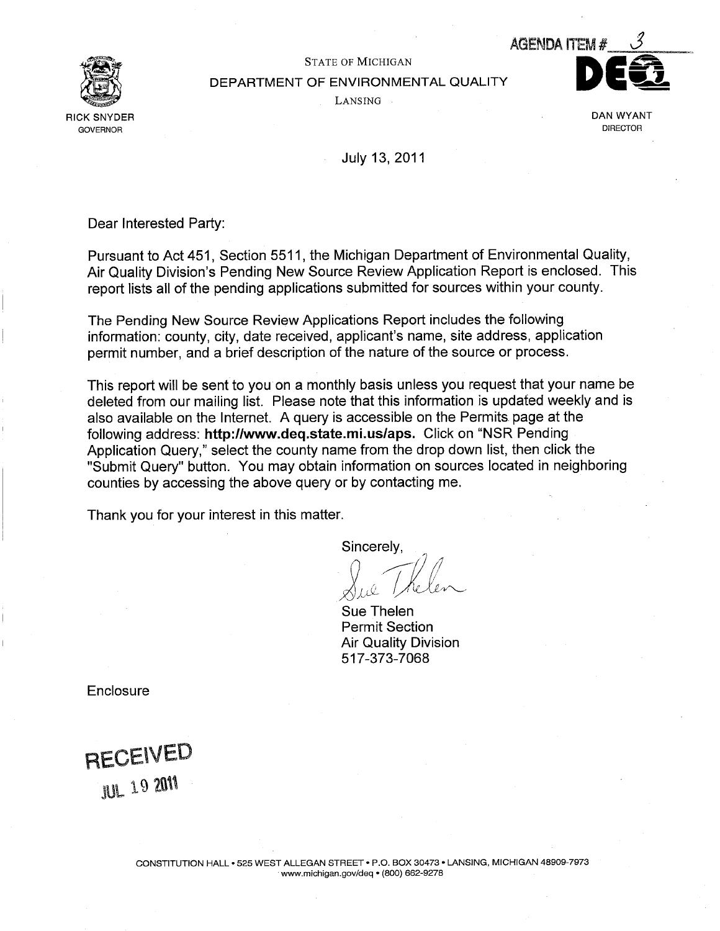<span id="page-35-0"></span>

STATE OF MICHIGAN DEPARTMENT OF ENVIRONMENTAL QUALITY





July 13, 2011

Dear Interested Party:

Pursuant to Act 451, Section 5511, the Michigan Department of Environmental Quality, Air Quality Division's Pending New Source Review Application Report is enclosed. This report lists all of the pending applications submitted for sources within your county.

The Pending New Source Review Applications Report includes the following information: county, city, date received, applicant's name, site address, application permit number, and a brief description of the nature of the source or process.

This report will be sent to you on a monthly basis unless you request that your name be deleted from our mailing list. Please note that this information is updated weekly and is also available on the Internet. A query is accessible on the Permits page at the following address: http://www.deq.state.mi.us/aps. Click on "NSR Pending Application Query," select the county name from the drop down list, then click the "Submit Query" button. You may obtain information on sources located in neighboring counties by accessing the above query or by contacting me.

Thank you for your interest in this matter.

Sincerely,

Sue Thelen Permit Section Air Quality Division 517-373-7068

**Enclosure** 

RECEIVED **JUL 19 2011**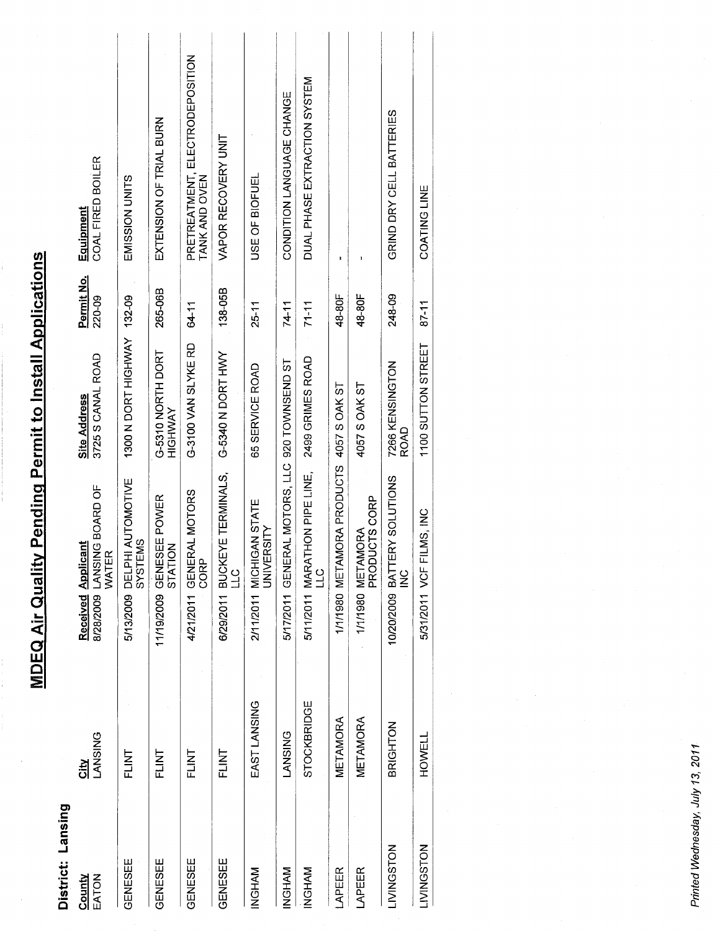| District: Lansing           |                            |                                                           |                                          |                      |                                                  |
|-----------------------------|----------------------------|-----------------------------------------------------------|------------------------------------------|----------------------|--------------------------------------------------|
| <b>ATON</b><br><b>Viuno</b> | <b>LANSING</b><br><u>치</u> | 8/28/2009 LANSING BOARD OF<br>Received Applicant<br>WATER | 3725 S CANAL ROAD<br><b>Site Address</b> | Permit No.<br>220-09 | COAL FIRED BOILER<br>Equipment                   |
| <b>GENESEE</b>              | FLINT                      | 5/13/2009 DELPHI AUTOMOTIVE<br>SYSTEMS                    | 1300 N DORT HIGHWAY 132-09               |                      | EMISSION UNITS                                   |
| <b>JENESEE</b>              | FLINT                      | 11/19/2009 GENESEE POWER<br>STATION                       | G-5310 NORTH DORT<br><b>HIGHWAY</b>      | 265-06B              | EXTENSION OF TRIAL BURN                          |
| <b>GENESEE</b>              | FLINT                      | 4/21/2011 GENERAL MOTORS<br>CORP                          | G-3100 VAN SLYKE RD                      | 64-11                | PRETREATMENT, ELECTRODEPOSITION<br>TANK AND OVEN |
| <b>GENESEE</b>              | <b>TAIR</b>                | 6/29/2011 BUCKEYE TERMINALS,<br>)<br>그                    | G-5340 N DORT HWY                        | 138-05B              | VAPOR RECOVERY UNIT                              |
| NGHAM                       | EAST LANSING               | 2/11/2011 MICHIGAN STATE<br><b>UNIVERSITY</b>             | 65 SERVICE ROAD                          | $25 - 11$            | USE OF BIOFUEL                                   |
| NGHAM                       | <b>LANSING</b>             | 5/17/2011 GENERAL MOTORS, LLC 920 TOWNSEND ST             |                                          | 74-11                | CONDITION LANGUAGE CHANGE                        |
| NGHAM                       | STOCKBRIDGE                | 5/11/2011 MARATHON PIPE LINE,<br>으<br>그                   | 2499 GRIMES ROAD                         | $71 - 11$            | DUAL PHASE EXTRACTION SYSTEM                     |
| <b>APEER</b>                | METAMORA                   | MORA PRODUCTS<br>1/1/1980 METAI                           | 4057 S OAK ST                            | 48-80F               | ï                                                |
| <b>APEER</b>                | METAMORA                   | PRODUCTS CORP<br>1/1/1980 METAMORA                        | 4057 S OAK ST                            | 48-80F               |                                                  |
| <b>NOTSPININ</b>            | BRIGHTON                   | 10/20/2009 BATTERY SOLUTIONS<br>$\frac{6}{5}$             | 7266 KENSINGTON<br>ROAD                  | 248-09               | GRIND DRY CELL BATTERIES                         |
| NOTSPNINI                   | HOWEL1                     | 5/31/2011 VCF FILMS, INC                                  | 1100 SUTTON STREET                       | $87 - 11$            | COATING LINE                                     |
|                             |                            |                                                           |                                          |                      |                                                  |

**MDEQ Air Quality Pending Permit to Install Applications** 

Printed Wednesday, July 13, 2011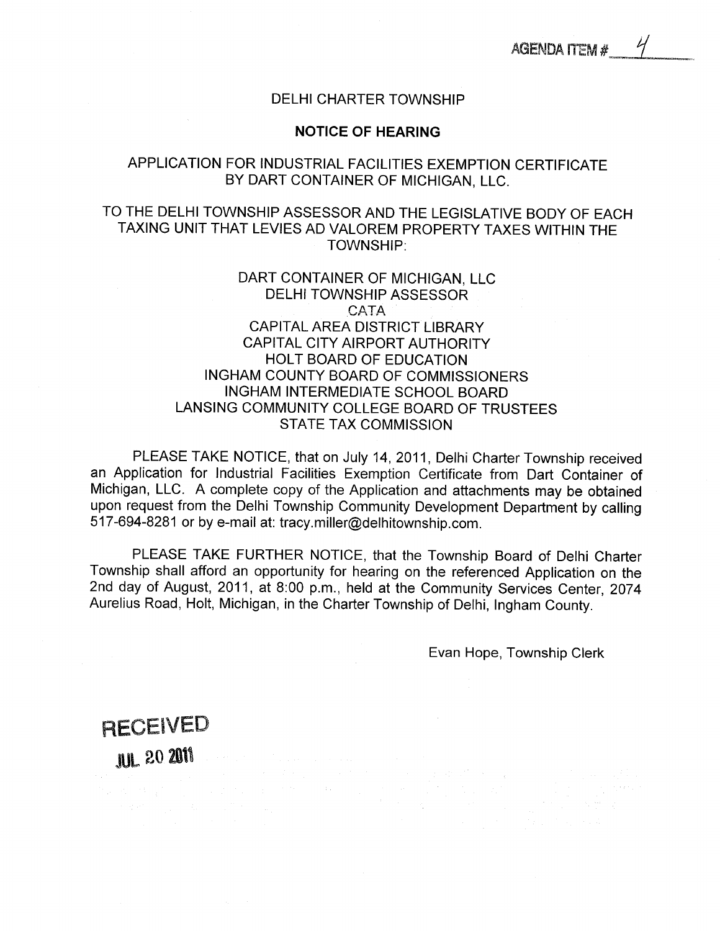#### DELHI CHARTER TOWNSHIP

#### NOTICE OF HEARING

# APPLICATION FOR INDUSTRIAL FACILITIES EXEMPTION CERTIFICATE BY DART CONTAINER OF MICHIGAN, LLC.

# TO THE DELHI TOWNSHIP ASSESSOR AND THE LEGISLATIVE BODY OF EACH TAXING UNIT THAT LEVIES AD VALOREM PROPERTY TAXES WITHIN THE TOWNSHIP:

## DART CONTAINER OF MICHIGAN, LLC DELHI TOWNSHIP ASSESSOR CATA CAPITAL AREA DISTRICT LIBRARY CAPITAL CITY AIRPORT AUTHORITY HOLT BOARD OF EDUCATION INGHAM COUNTY BOARD OF COMMISSIONERS INGHAM INTERMEDIATE SCHOOL BOARD LANSING COMMUNITY COLLEGE BOARD OF TRUSTEES STATE TAX COMMISSION

PLEASE TAKE NOTICE, that on July 14, 2011, Delhi Charter Township received an Application for Industrial Facilities Exemption Certificate from Dart Container of Michigan, LLC. A complete copy of the Application and attachments may be obtained upon request from the Delhi Township Community Development Department by calling 517-694-8281 or by e-mail at: tracy.miller@delhitownship.com.

PLEASE TAKE FURTHER NOTICE, that the Township Board of Delhi Charter Township shall afford an opportunity for hearing on the referenced Application on the 2nd day of August, 2011, at 8:00 p.m., held at the Community Services Center, 2074 Aurelius Road, Holt, Michigan, in the Charter Township of Delhi, Ingham County.

Evan Hope, Township Clerk

 $\label{eq:2.1} \mathcal{F}^{(1)} = \frac{1}{2} \mathcal{F}^{(1)} \mathcal{F}^{(2)} \mathcal{F}^{(1)} \mathcal{F}^{(2)} \mathcal{F}^{(1)} \mathcal{F}^{(2)} \mathcal{F}^{(1)} \mathcal{F}^{(2)} \mathcal{F}^{(1)} \mathcal{F}^{(2)} \mathcal{F}^{(1)} \mathcal{F}^{(1)} \mathcal{F}^{(1)} \mathcal{F}^{(1)} \mathcal{F}^{(1)} \mathcal{F}^{(1)} \mathcal{F}^{(1)} \mathcal{F}^{(1)} \mathcal{F}^{(1)} \mathcal$ 

RECEIVED

**JUL 20 2011 Section 1999**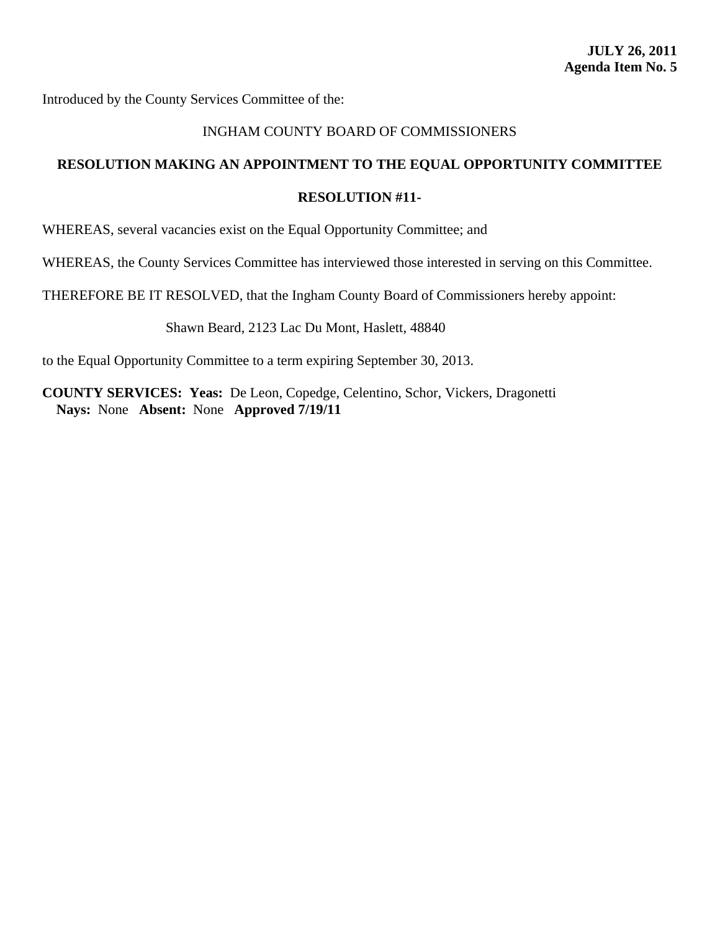Introduced by the County Services Committee of the:

## INGHAM COUNTY BOARD OF COMMISSIONERS

## **RESOLUTION MAKING AN APPOINTMENT TO THE EQUAL OPPORTUNITY COMMITTEE**

## **RESOLUTION #11-**

WHEREAS, several vacancies exist on the Equal Opportunity Committee; and

WHEREAS, the County Services Committee has interviewed those interested in serving on this Committee.

THEREFORE BE IT RESOLVED, that the Ingham County Board of Commissioners hereby appoint:

Shawn Beard, 2123 Lac Du Mont, Haslett, 48840

to the Equal Opportunity Committee to a term expiring September 30, 2013.

**COUNTY SERVICES: Yeas:** De Leon, Copedge, Celentino, Schor, Vickers, Dragonetti **Nays:** None **Absent:** None **Approved 7/19/11**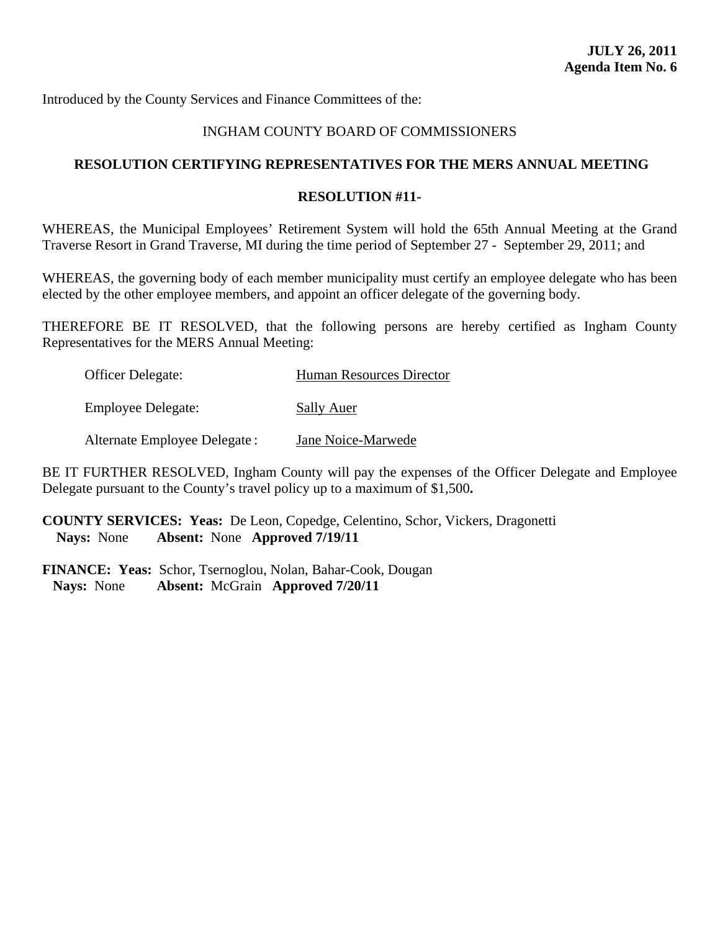## INGHAM COUNTY BOARD OF COMMISSIONERS

## **RESOLUTION CERTIFYING REPRESENTATIVES FOR THE MERS ANNUAL MEETING**

## **RESOLUTION #11-**

WHEREAS, the Municipal Employees' Retirement System will hold the 65th Annual Meeting at the Grand Traverse Resort in Grand Traverse, MI during the time period of September 27 - September 29, 2011; and

WHEREAS, the governing body of each member municipality must certify an employee delegate who has been elected by the other employee members, and appoint an officer delegate of the governing body.

THEREFORE BE IT RESOLVED, that the following persons are hereby certified as Ingham County Representatives for the MERS Annual Meeting:

| <b>Officer Delegate:</b>              | <b>Human Resources Director</b>                                  |
|---------------------------------------|------------------------------------------------------------------|
|                                       |                                                                  |
| $\mathbf{r}$ 1 $\mathbf{r}$ 1 $\cdot$ | $\begin{array}{ccc} \text{c} & \text{11} & \text{A} \end{array}$ |

Employee Delegate: Sally Auer

Alternate Employee Delegate : Jane Noice-Marwede

BE IT FURTHER RESOLVED, Ingham County will pay the expenses of the Officer Delegate and Employee Delegate pursuant to the County's travel policy up to a maximum of \$1,500**.**

**COUNTY SERVICES: Yeas:** De Leon, Copedge, Celentino, Schor, Vickers, Dragonetti  **Nays:** None **Absent:** None **Approved 7/19/11**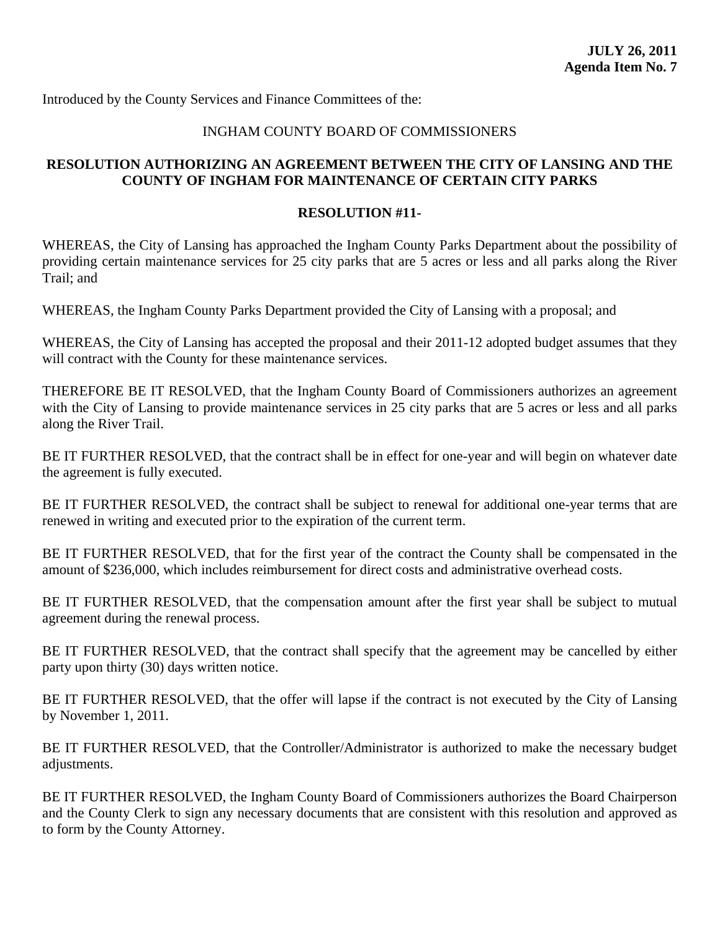## INGHAM COUNTY BOARD OF COMMISSIONERS

## **RESOLUTION AUTHORIZING AN AGREEMENT BETWEEN THE CITY OF LANSING AND THE COUNTY OF INGHAM FOR MAINTENANCE OF CERTAIN CITY PARKS**

### **RESOLUTION #11-**

WHEREAS, the City of Lansing has approached the Ingham County Parks Department about the possibility of providing certain maintenance services for 25 city parks that are 5 acres or less and all parks along the River Trail; and

WHEREAS, the Ingham County Parks Department provided the City of Lansing with a proposal; and

WHEREAS, the City of Lansing has accepted the proposal and their 2011-12 adopted budget assumes that they will contract with the County for these maintenance services.

THEREFORE BE IT RESOLVED, that the Ingham County Board of Commissioners authorizes an agreement with the City of Lansing to provide maintenance services in 25 city parks that are 5 acres or less and all parks along the River Trail.

BE IT FURTHER RESOLVED, that the contract shall be in effect for one-year and will begin on whatever date the agreement is fully executed.

BE IT FURTHER RESOLVED, the contract shall be subject to renewal for additional one-year terms that are renewed in writing and executed prior to the expiration of the current term.

BE IT FURTHER RESOLVED, that for the first year of the contract the County shall be compensated in the amount of \$236,000, which includes reimbursement for direct costs and administrative overhead costs.

BE IT FURTHER RESOLVED, that the compensation amount after the first year shall be subject to mutual agreement during the renewal process.

BE IT FURTHER RESOLVED, that the contract shall specify that the agreement may be cancelled by either party upon thirty (30) days written notice.

BE IT FURTHER RESOLVED, that the offer will lapse if the contract is not executed by the City of Lansing by November 1, 2011.

BE IT FURTHER RESOLVED, that the Controller/Administrator is authorized to make the necessary budget adjustments.

BE IT FURTHER RESOLVED, the Ingham County Board of Commissioners authorizes the Board Chairperson and the County Clerk to sign any necessary documents that are consistent with this resolution and approved as to form by the County Attorney.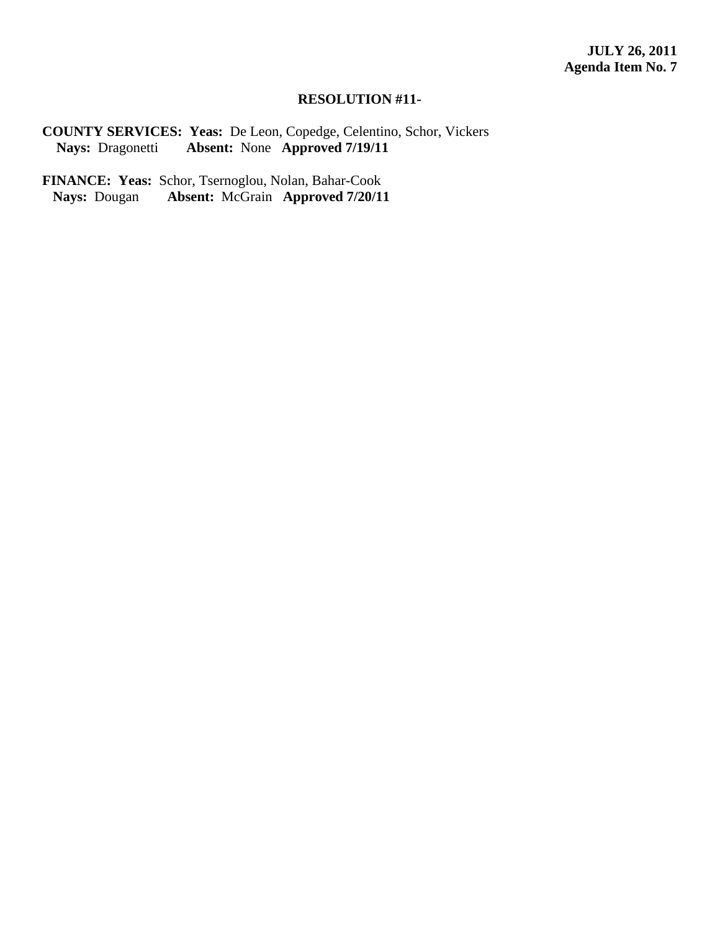# **RESOLUTION #11-**

**COUNTY SERVICES: Yeas:** De Leon, Copedge, Celentino, Schor, Vickers Nays: Dragonetti **Absent:** None **Approved 7/19/11** 

FINANCE: Yeas: Schor, Tsernoglou, Nolan, Bahar-Cook<br>Nays: Dougan Absent: McGrain Approved 7/20/11  **Absent:** McGrain **Approved 7/20/11**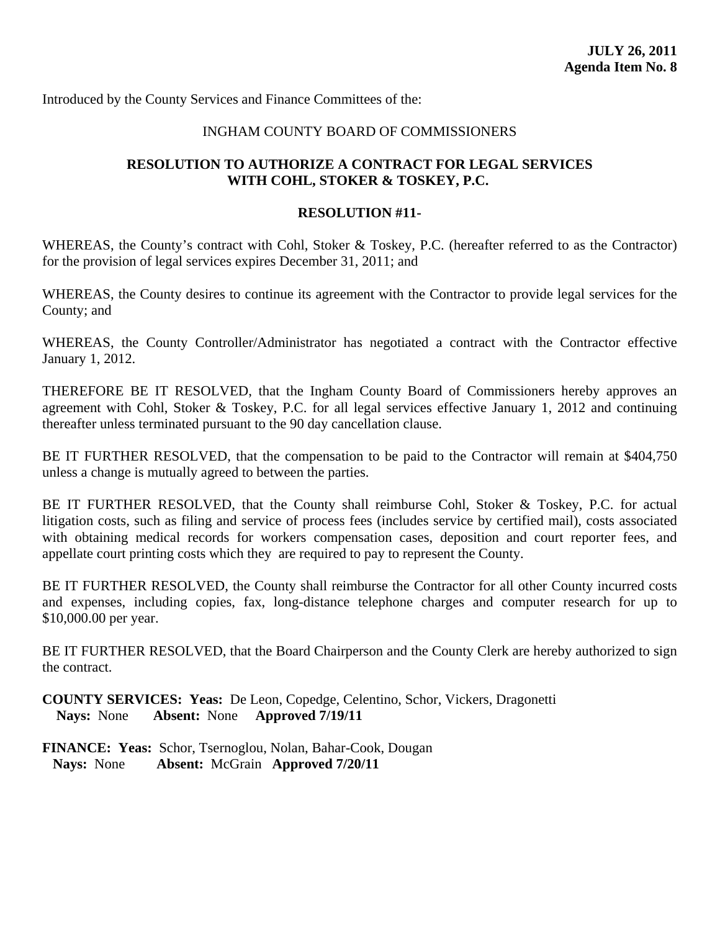### INGHAM COUNTY BOARD OF COMMISSIONERS

## **RESOLUTION TO AUTHORIZE A CONTRACT FOR LEGAL SERVICES WITH COHL, STOKER & TOSKEY, P.C.**

#### **RESOLUTION #11-**

WHEREAS, the County's contract with Cohl, Stoker & Toskey, P.C. (hereafter referred to as the Contractor) for the provision of legal services expires December 31, 2011; and

WHEREAS, the County desires to continue its agreement with the Contractor to provide legal services for the County; and

WHEREAS, the County Controller/Administrator has negotiated a contract with the Contractor effective January 1, 2012.

THEREFORE BE IT RESOLVED, that the Ingham County Board of Commissioners hereby approves an agreement with Cohl, Stoker & Toskey, P.C. for all legal services effective January 1, 2012 and continuing thereafter unless terminated pursuant to the 90 day cancellation clause.

BE IT FURTHER RESOLVED, that the compensation to be paid to the Contractor will remain at \$404,750 unless a change is mutually agreed to between the parties.

BE IT FURTHER RESOLVED, that the County shall reimburse Cohl, Stoker & Toskey, P.C. for actual litigation costs, such as filing and service of process fees (includes service by certified mail), costs associated with obtaining medical records for workers compensation cases, deposition and court reporter fees, and appellate court printing costs which they are required to pay to represent the County.

BE IT FURTHER RESOLVED, the County shall reimburse the Contractor for all other County incurred costs and expenses, including copies, fax, long-distance telephone charges and computer research for up to \$10,000.00 per year.

BE IT FURTHER RESOLVED, that the Board Chairperson and the County Clerk are hereby authorized to sign the contract.

**COUNTY SERVICES: Yeas:** De Leon, Copedge, Celentino, Schor, Vickers, Dragonetti  **Nays:** None **Absent:** None **Approved 7/19/11**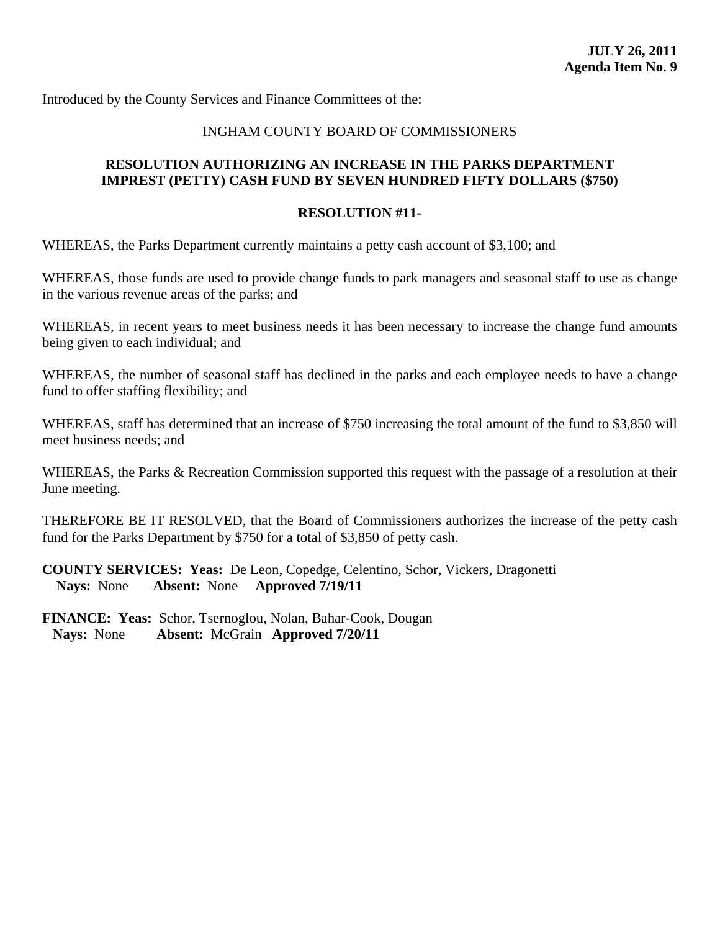## INGHAM COUNTY BOARD OF COMMISSIONERS

## **RESOLUTION AUTHORIZING AN INCREASE IN THE PARKS DEPARTMENT IMPREST (PETTY) CASH FUND BY SEVEN HUNDRED FIFTY DOLLARS (\$750)**

#### **RESOLUTION #11-**

WHEREAS, the Parks Department currently maintains a petty cash account of \$3,100; and

WHEREAS, those funds are used to provide change funds to park managers and seasonal staff to use as change in the various revenue areas of the parks; and

WHEREAS, in recent years to meet business needs it has been necessary to increase the change fund amounts being given to each individual; and

WHEREAS, the number of seasonal staff has declined in the parks and each employee needs to have a change fund to offer staffing flexibility; and

WHEREAS, staff has determined that an increase of \$750 increasing the total amount of the fund to \$3,850 will meet business needs; and

WHEREAS, the Parks & Recreation Commission supported this request with the passage of a resolution at their June meeting.

THEREFORE BE IT RESOLVED, that the Board of Commissioners authorizes the increase of the petty cash fund for the Parks Department by \$750 for a total of \$3,850 of petty cash.

**COUNTY SERVICES: Yeas:** De Leon, Copedge, Celentino, Schor, Vickers, Dragonetti  **Nays:** None **Absent:** None **Approved 7/19/11**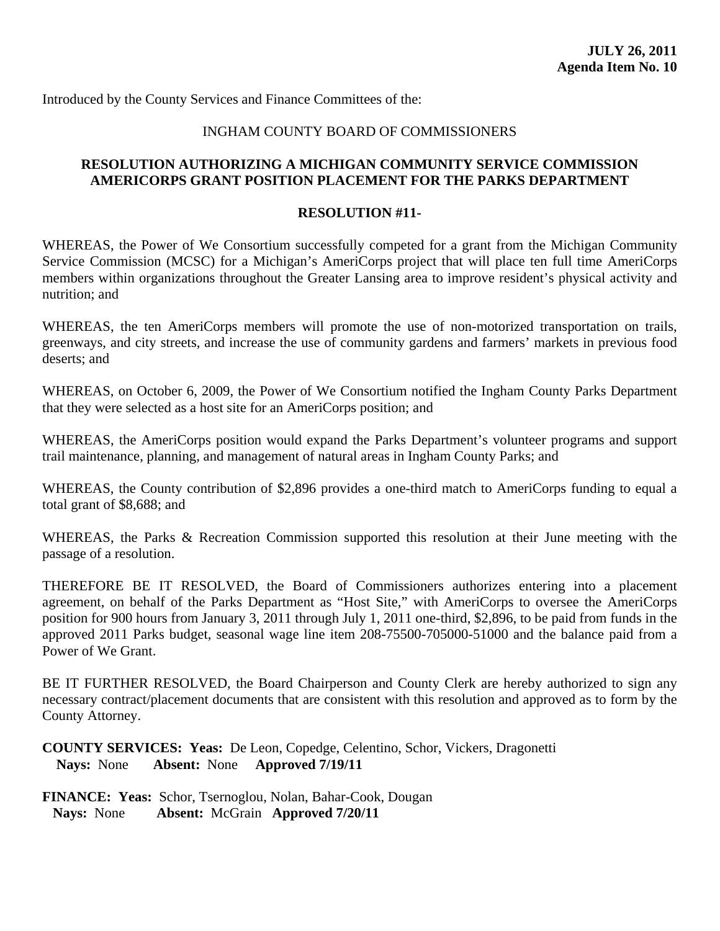## INGHAM COUNTY BOARD OF COMMISSIONERS

## **RESOLUTION AUTHORIZING A MICHIGAN COMMUNITY SERVICE COMMISSION AMERICORPS GRANT POSITION PLACEMENT FOR THE PARKS DEPARTMENT**

#### **RESOLUTION #11-**

WHEREAS, the Power of We Consortium successfully competed for a grant from the Michigan Community Service Commission (MCSC) for a Michigan's AmeriCorps project that will place ten full time AmeriCorps members within organizations throughout the Greater Lansing area to improve resident's physical activity and nutrition; and

WHEREAS, the ten AmeriCorps members will promote the use of non-motorized transportation on trails, greenways, and city streets, and increase the use of community gardens and farmers' markets in previous food deserts; and

WHEREAS, on October 6, 2009, the Power of We Consortium notified the Ingham County Parks Department that they were selected as a host site for an AmeriCorps position; and

WHEREAS, the AmeriCorps position would expand the Parks Department's volunteer programs and support trail maintenance, planning, and management of natural areas in Ingham County Parks; and

WHEREAS, the County contribution of \$2,896 provides a one-third match to AmeriCorps funding to equal a total grant of \$8,688; and

WHEREAS, the Parks & Recreation Commission supported this resolution at their June meeting with the passage of a resolution.

THEREFORE BE IT RESOLVED, the Board of Commissioners authorizes entering into a placement agreement, on behalf of the Parks Department as "Host Site," with AmeriCorps to oversee the AmeriCorps position for 900 hours from January 3, 2011 through July 1, 2011 one-third, \$2,896, to be paid from funds in the approved 2011 Parks budget, seasonal wage line item 208-75500-705000-51000 and the balance paid from a Power of We Grant.

BE IT FURTHER RESOLVED, the Board Chairperson and County Clerk are hereby authorized to sign any necessary contract/placement documents that are consistent with this resolution and approved as to form by the County Attorney.

**COUNTY SERVICES: Yeas:** De Leon, Copedge, Celentino, Schor, Vickers, Dragonetti  **Nays:** None **Absent:** None **Approved 7/19/11**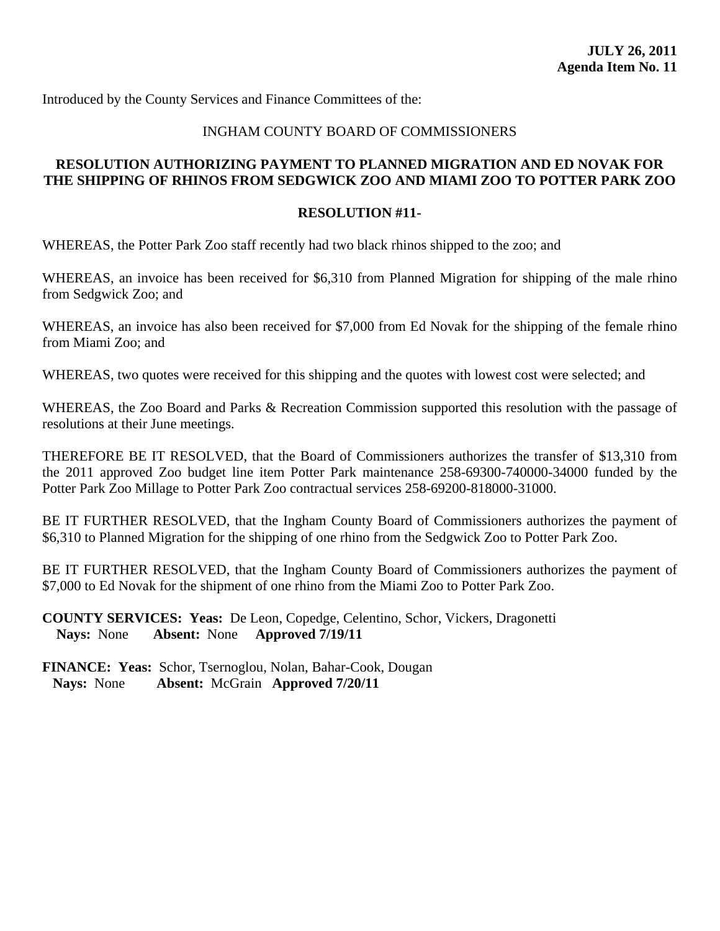## INGHAM COUNTY BOARD OF COMMISSIONERS

## **RESOLUTION AUTHORIZING PAYMENT TO PLANNED MIGRATION AND ED NOVAK FOR THE SHIPPING OF RHINOS FROM SEDGWICK ZOO AND MIAMI ZOO TO POTTER PARK ZOO**

#### **RESOLUTION #11-**

WHEREAS, the Potter Park Zoo staff recently had two black rhinos shipped to the zoo; and

WHEREAS, an invoice has been received for \$6,310 from Planned Migration for shipping of the male rhino from Sedgwick Zoo; and

WHEREAS, an invoice has also been received for \$7,000 from Ed Novak for the shipping of the female rhino from Miami Zoo; and

WHEREAS, two quotes were received for this shipping and the quotes with lowest cost were selected; and

WHEREAS, the Zoo Board and Parks & Recreation Commission supported this resolution with the passage of resolutions at their June meetings.

THEREFORE BE IT RESOLVED, that the Board of Commissioners authorizes the transfer of \$13,310 from the 2011 approved Zoo budget line item Potter Park maintenance 258-69300-740000-34000 funded by the Potter Park Zoo Millage to Potter Park Zoo contractual services 258-69200-818000-31000.

BE IT FURTHER RESOLVED, that the Ingham County Board of Commissioners authorizes the payment of \$6,310 to Planned Migration for the shipping of one rhino from the Sedgwick Zoo to Potter Park Zoo.

BE IT FURTHER RESOLVED, that the Ingham County Board of Commissioners authorizes the payment of \$7,000 to Ed Novak for the shipment of one rhino from the Miami Zoo to Potter Park Zoo.

**COUNTY SERVICES: Yeas:** De Leon, Copedge, Celentino, Schor, Vickers, Dragonetti  **Nays:** None **Absent:** None **Approved 7/19/11**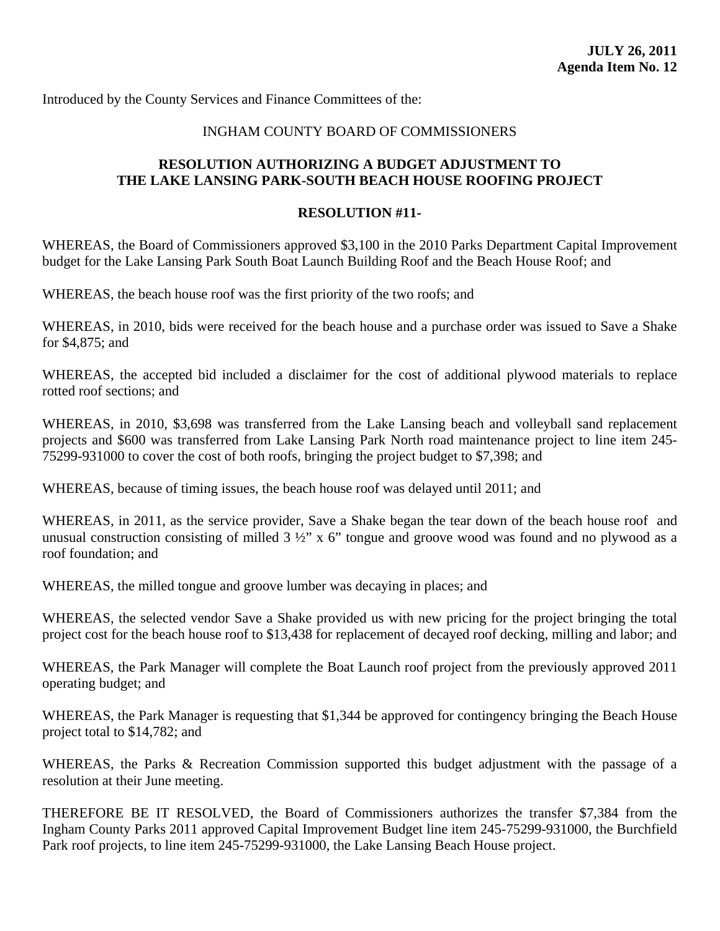## INGHAM COUNTY BOARD OF COMMISSIONERS

## **RESOLUTION AUTHORIZING A BUDGET ADJUSTMENT TO THE LAKE LANSING PARK-SOUTH BEACH HOUSE ROOFING PROJECT**

### **RESOLUTION #11-**

WHEREAS, the Board of Commissioners approved \$3,100 in the 2010 Parks Department Capital Improvement budget for the Lake Lansing Park South Boat Launch Building Roof and the Beach House Roof; and

WHEREAS, the beach house roof was the first priority of the two roofs; and

WHEREAS, in 2010, bids were received for the beach house and a purchase order was issued to Save a Shake for \$4,875; and

WHEREAS, the accepted bid included a disclaimer for the cost of additional plywood materials to replace rotted roof sections; and

WHEREAS, in 2010, \$3,698 was transferred from the Lake Lansing beach and volleyball sand replacement projects and \$600 was transferred from Lake Lansing Park North road maintenance project to line item 245- 75299-931000 to cover the cost of both roofs, bringing the project budget to \$7,398; and

WHEREAS, because of timing issues, the beach house roof was delayed until 2011; and

WHEREAS, in 2011, as the service provider, Save a Shake began the tear down of the beach house roof and unusual construction consisting of milled  $3\frac{1}{2}$ " x 6" tongue and groove wood was found and no plywood as a roof foundation; and

WHEREAS, the milled tongue and groove lumber was decaying in places; and

WHEREAS, the selected vendor Save a Shake provided us with new pricing for the project bringing the total project cost for the beach house roof to \$13,438 for replacement of decayed roof decking, milling and labor; and

WHEREAS, the Park Manager will complete the Boat Launch roof project from the previously approved 2011 operating budget; and

WHEREAS, the Park Manager is requesting that \$1,344 be approved for contingency bringing the Beach House project total to \$14,782; and

WHEREAS, the Parks & Recreation Commission supported this budget adjustment with the passage of a resolution at their June meeting.

THEREFORE BE IT RESOLVED, the Board of Commissioners authorizes the transfer \$7,384 from the Ingham County Parks 2011 approved Capital Improvement Budget line item 245-75299-931000, the Burchfield Park roof projects, to line item 245-75299-931000, the Lake Lansing Beach House project.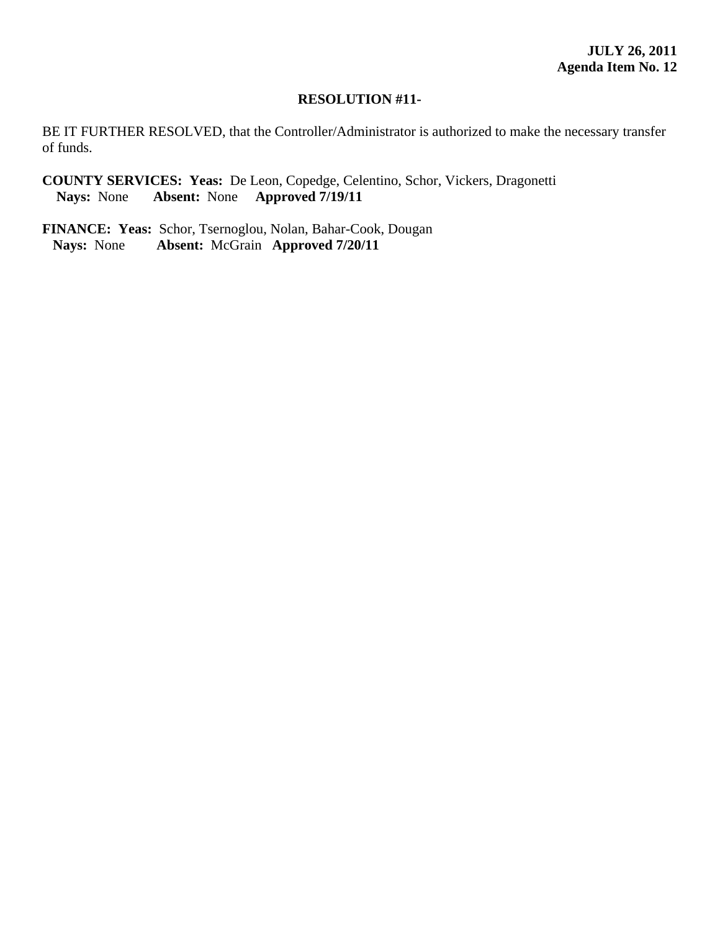#### **RESOLUTION #11-**

BE IT FURTHER RESOLVED, that the Controller/Administrator is authorized to make the necessary transfer of funds.

**COUNTY SERVICES: Yeas:** De Leon, Copedge, Celentino, Schor, Vickers, Dragonetti  **Nays:** None **Absent:** None **Approved 7/19/11**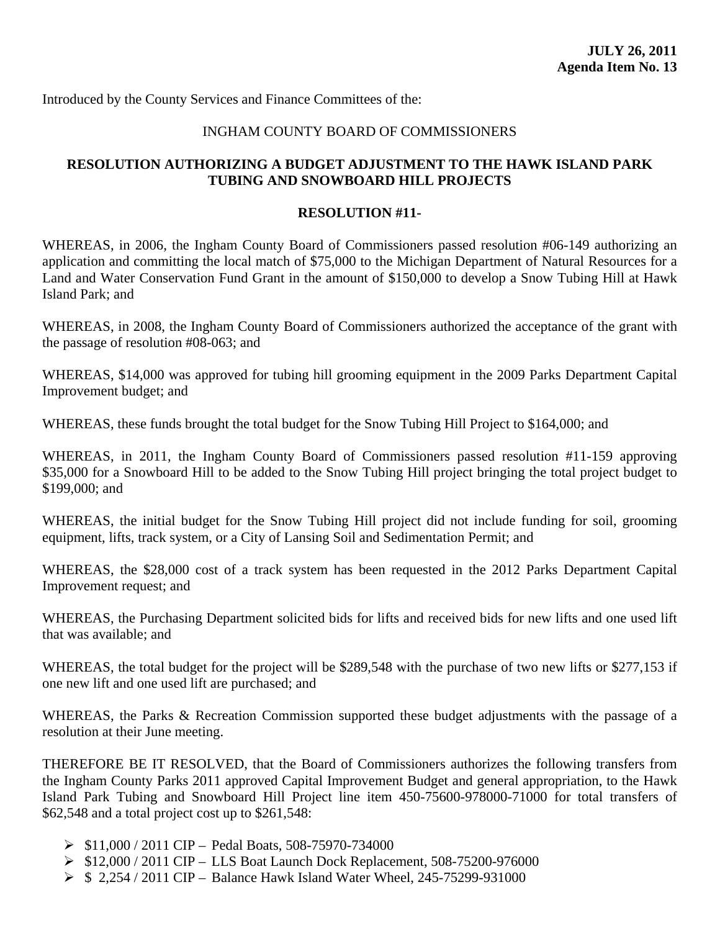## INGHAM COUNTY BOARD OF COMMISSIONERS

## **RESOLUTION AUTHORIZING A BUDGET ADJUSTMENT TO THE HAWK ISLAND PARK TUBING AND SNOWBOARD HILL PROJECTS**

#### **RESOLUTION #11-**

WHEREAS, in 2006, the Ingham County Board of Commissioners passed resolution #06-149 authorizing an application and committing the local match of \$75,000 to the Michigan Department of Natural Resources for a Land and Water Conservation Fund Grant in the amount of \$150,000 to develop a Snow Tubing Hill at Hawk Island Park; and

WHEREAS, in 2008, the Ingham County Board of Commissioners authorized the acceptance of the grant with the passage of resolution #08-063; and

WHEREAS, \$14,000 was approved for tubing hill grooming equipment in the 2009 Parks Department Capital Improvement budget; and

WHEREAS, these funds brought the total budget for the Snow Tubing Hill Project to \$164,000; and

WHEREAS, in 2011, the Ingham County Board of Commissioners passed resolution #11-159 approving \$35,000 for a Snowboard Hill to be added to the Snow Tubing Hill project bringing the total project budget to \$199,000; and

WHEREAS, the initial budget for the Snow Tubing Hill project did not include funding for soil, grooming equipment, lifts, track system, or a City of Lansing Soil and Sedimentation Permit; and

WHEREAS, the \$28,000 cost of a track system has been requested in the 2012 Parks Department Capital Improvement request; and

WHEREAS, the Purchasing Department solicited bids for lifts and received bids for new lifts and one used lift that was available; and

WHEREAS, the total budget for the project will be \$289,548 with the purchase of two new lifts or \$277,153 if one new lift and one used lift are purchased; and

WHEREAS, the Parks & Recreation Commission supported these budget adjustments with the passage of a resolution at their June meeting.

THEREFORE BE IT RESOLVED, that the Board of Commissioners authorizes the following transfers from the Ingham County Parks 2011 approved Capital Improvement Budget and general appropriation, to the Hawk Island Park Tubing and Snowboard Hill Project line item 450-75600-978000-71000 for total transfers of \$62,548 and a total project cost up to \$261,548:

- ¾ \$11,000 / 2011 CIP Pedal Boats, 508-75970-734000
- ¾ \$12,000 / 2011 CIP LLS Boat Launch Dock Replacement, 508-75200-976000
- ¾ \$ 2,254 / 2011 CIP Balance Hawk Island Water Wheel, 245-75299-931000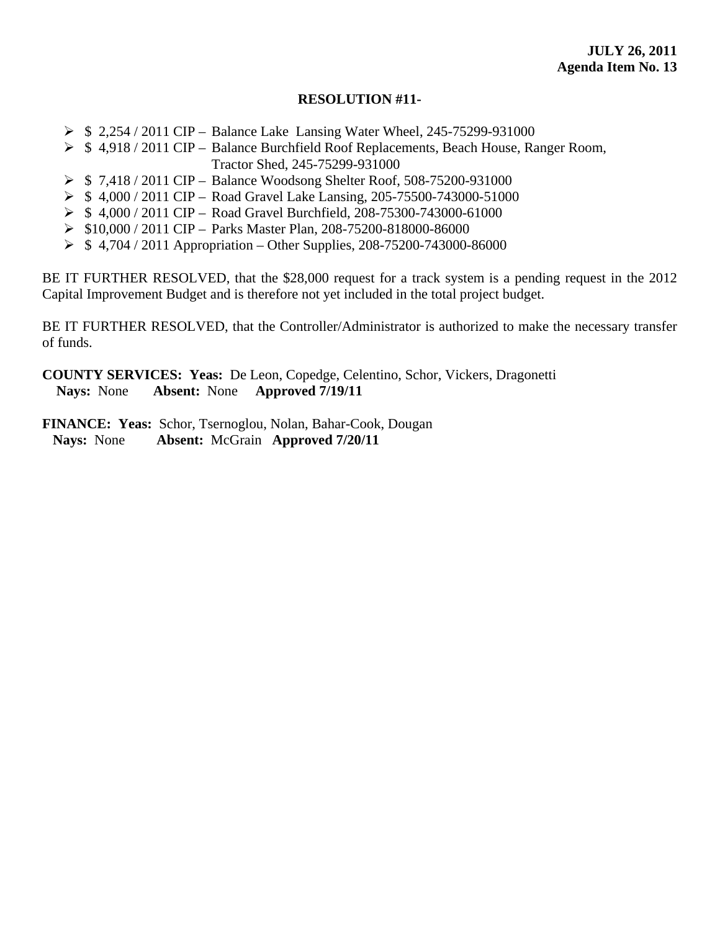## **RESOLUTION #11-**

- $\triangleright$  \$ 2,254 / 2011 CIP Balance Lake Lansing Water Wheel, 245-75299-931000
- ¾ \$ 4,918 / 2011 CIP Balance Burchfield Roof Replacements, Beach House, Ranger Room, Tractor Shed, 245-75299-931000
- ¾ \$ 7,418 / 2011 CIP Balance Woodsong Shelter Roof, 508-75200-931000
- ¾ \$ 4,000 / 2011 CIP Road Gravel Lake Lansing, 205-75500-743000-51000
- ¾ \$ 4,000 / 2011 CIP Road Gravel Burchfield, 208-75300-743000-61000
- ¾ \$10,000 / 2011 CIP Parks Master Plan, 208-75200-818000-86000
- ¾ \$ 4,704 / 2011 Appropriation Other Supplies, 208-75200-743000-86000

BE IT FURTHER RESOLVED, that the \$28,000 request for a track system is a pending request in the 2012 Capital Improvement Budget and is therefore not yet included in the total project budget.

BE IT FURTHER RESOLVED, that the Controller/Administrator is authorized to make the necessary transfer of funds.

**COUNTY SERVICES: Yeas:** De Leon, Copedge, Celentino, Schor, Vickers, Dragonetti  **Nays:** None **Absent:** None **Approved 7/19/11**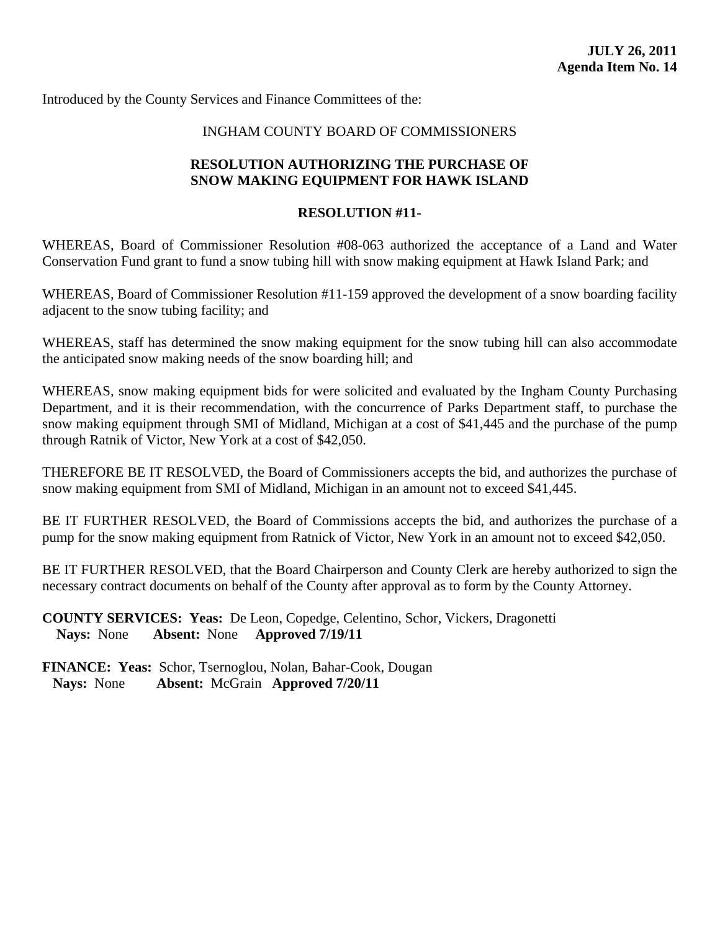## INGHAM COUNTY BOARD OF COMMISSIONERS

## **RESOLUTION AUTHORIZING THE PURCHASE OF SNOW MAKING EQUIPMENT FOR HAWK ISLAND**

#### **RESOLUTION #11-**

WHEREAS, Board of Commissioner Resolution #08-063 authorized the acceptance of a Land and Water Conservation Fund grant to fund a snow tubing hill with snow making equipment at Hawk Island Park; and

WHEREAS, Board of Commissioner Resolution #11-159 approved the development of a snow boarding facility adjacent to the snow tubing facility; and

WHEREAS, staff has determined the snow making equipment for the snow tubing hill can also accommodate the anticipated snow making needs of the snow boarding hill; and

WHEREAS, snow making equipment bids for were solicited and evaluated by the Ingham County Purchasing Department, and it is their recommendation, with the concurrence of Parks Department staff, to purchase the snow making equipment through SMI of Midland, Michigan at a cost of \$41,445 and the purchase of the pump through Ratnik of Victor, New York at a cost of \$42,050.

THEREFORE BE IT RESOLVED, the Board of Commissioners accepts the bid, and authorizes the purchase of snow making equipment from SMI of Midland, Michigan in an amount not to exceed \$41,445.

BE IT FURTHER RESOLVED, the Board of Commissions accepts the bid, and authorizes the purchase of a pump for the snow making equipment from Ratnick of Victor, New York in an amount not to exceed \$42,050.

BE IT FURTHER RESOLVED, that the Board Chairperson and County Clerk are hereby authorized to sign the necessary contract documents on behalf of the County after approval as to form by the County Attorney.

**COUNTY SERVICES: Yeas:** De Leon, Copedge, Celentino, Schor, Vickers, Dragonetti  **Nays:** None **Absent:** None **Approved 7/19/11**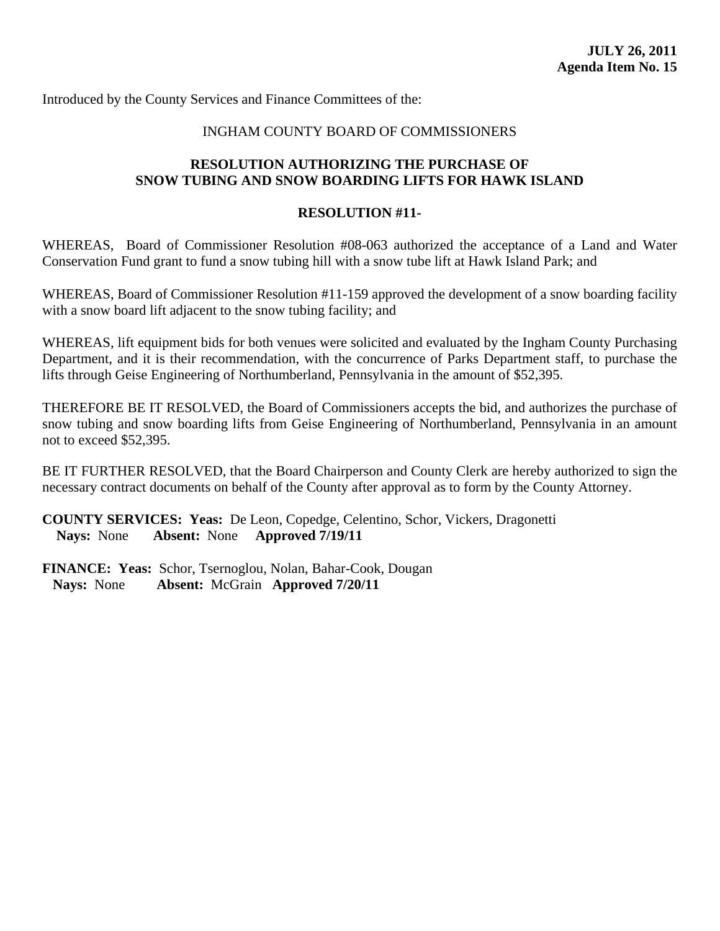## INGHAM COUNTY BOARD OF COMMISSIONERS

## **RESOLUTION AUTHORIZING THE PURCHASE OF SNOW TUBING AND SNOW BOARDING LIFTS FOR HAWK ISLAND**

#### **RESOLUTION #11-**

WHEREAS, Board of Commissioner Resolution #08-063 authorized the acceptance of a Land and Water Conservation Fund grant to fund a snow tubing hill with a snow tube lift at Hawk Island Park; and

WHEREAS, Board of Commissioner Resolution #11-159 approved the development of a snow boarding facility with a snow board lift adjacent to the snow tubing facility; and

WHEREAS, lift equipment bids for both venues were solicited and evaluated by the Ingham County Purchasing Department, and it is their recommendation, with the concurrence of Parks Department staff, to purchase the lifts through Geise Engineering of Northumberland, Pennsylvania in the amount of \$52,395.

THEREFORE BE IT RESOLVED, the Board of Commissioners accepts the bid, and authorizes the purchase of snow tubing and snow boarding lifts from Geise Engineering of Northumberland, Pennsylvania in an amount not to exceed \$52,395.

BE IT FURTHER RESOLVED, that the Board Chairperson and County Clerk are hereby authorized to sign the necessary contract documents on behalf of the County after approval as to form by the County Attorney.

**COUNTY SERVICES: Yeas:** De Leon, Copedge, Celentino, Schor, Vickers, Dragonetti  **Nays:** None **Absent:** None **Approved 7/19/11**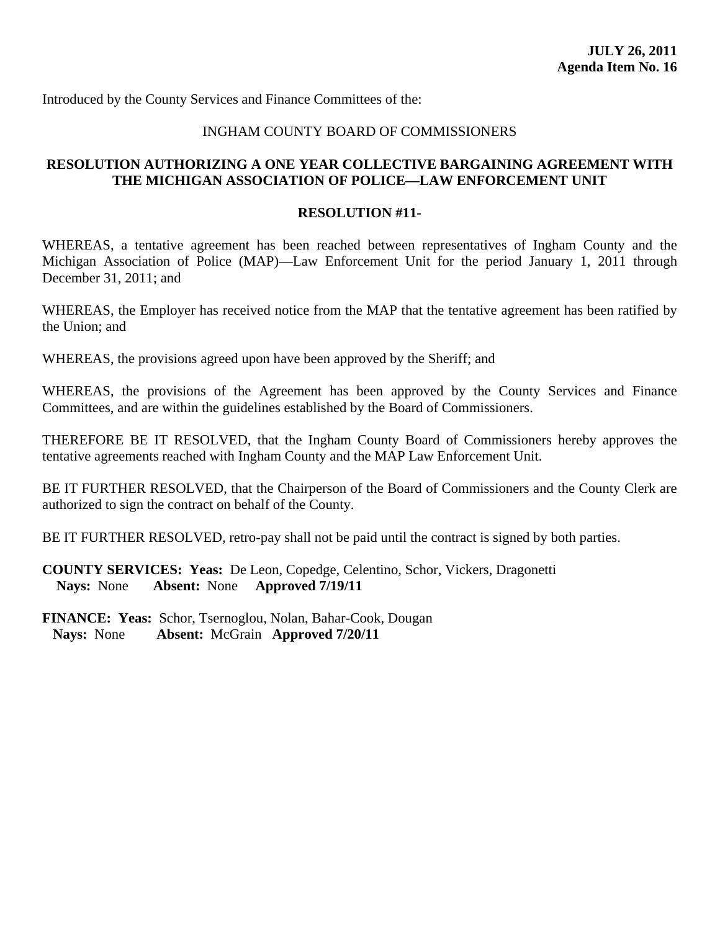## INGHAM COUNTY BOARD OF COMMISSIONERS

## **RESOLUTION AUTHORIZING A ONE YEAR COLLECTIVE BARGAINING AGREEMENT WITH THE MICHIGAN ASSOCIATION OF POLICE—LAW ENFORCEMENT UNIT**

#### **RESOLUTION #11-**

WHEREAS, a tentative agreement has been reached between representatives of Ingham County and the Michigan Association of Police (MAP)—Law Enforcement Unit for the period January 1, 2011 through December 31, 2011; and

WHEREAS, the Employer has received notice from the MAP that the tentative agreement has been ratified by the Union; and

WHEREAS, the provisions agreed upon have been approved by the Sheriff; and

WHEREAS, the provisions of the Agreement has been approved by the County Services and Finance Committees, and are within the guidelines established by the Board of Commissioners.

THEREFORE BE IT RESOLVED, that the Ingham County Board of Commissioners hereby approves the tentative agreements reached with Ingham County and the MAP Law Enforcement Unit.

BE IT FURTHER RESOLVED, that the Chairperson of the Board of Commissioners and the County Clerk are authorized to sign the contract on behalf of the County.

BE IT FURTHER RESOLVED, retro-pay shall not be paid until the contract is signed by both parties.

**COUNTY SERVICES: Yeas:** De Leon, Copedge, Celentino, Schor, Vickers, Dragonetti  **Nays:** None **Absent:** None **Approved 7/19/11**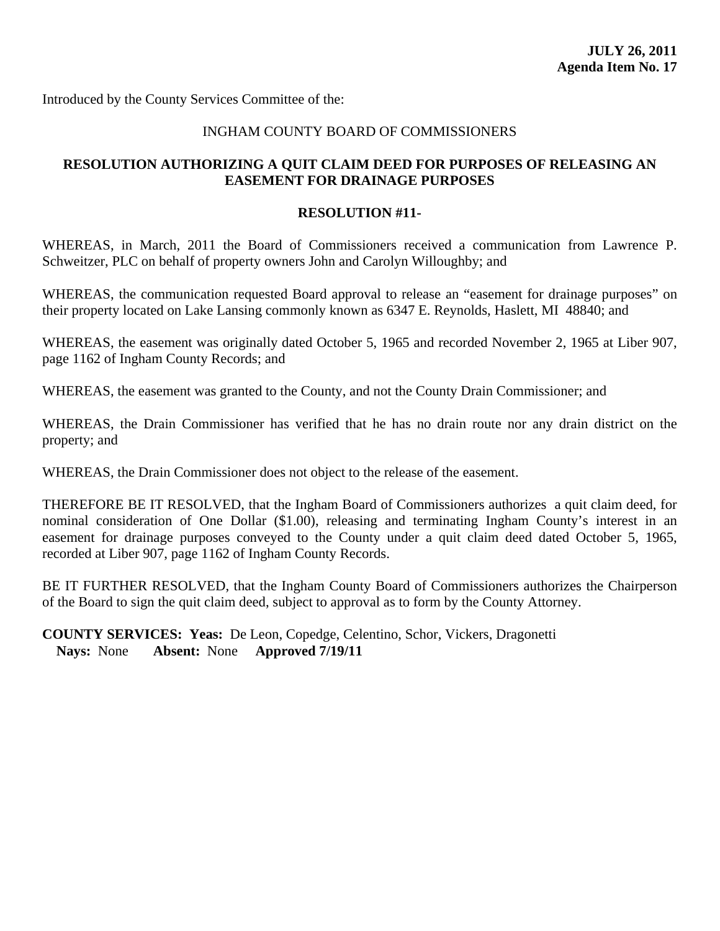Introduced by the County Services Committee of the:

# INGHAM COUNTY BOARD OF COMMISSIONERS

## **RESOLUTION AUTHORIZING A QUIT CLAIM DEED FOR PURPOSES OF RELEASING AN EASEMENT FOR DRAINAGE PURPOSES**

### **RESOLUTION #11-**

WHEREAS, in March, 2011 the Board of Commissioners received a communication from Lawrence P. Schweitzer, PLC on behalf of property owners John and Carolyn Willoughby; and

WHEREAS, the communication requested Board approval to release an "easement for drainage purposes" on their property located on Lake Lansing commonly known as 6347 E. Reynolds, Haslett, MI 48840; and

WHEREAS, the easement was originally dated October 5, 1965 and recorded November 2, 1965 at Liber 907, page 1162 of Ingham County Records; and

WHEREAS, the easement was granted to the County, and not the County Drain Commissioner; and

WHEREAS, the Drain Commissioner has verified that he has no drain route nor any drain district on the property; and

WHEREAS, the Drain Commissioner does not object to the release of the easement.

THEREFORE BE IT RESOLVED, that the Ingham Board of Commissioners authorizes a quit claim deed, for nominal consideration of One Dollar (\$1.00), releasing and terminating Ingham County's interest in an easement for drainage purposes conveyed to the County under a quit claim deed dated October 5, 1965, recorded at Liber 907, page 1162 of Ingham County Records.

BE IT FURTHER RESOLVED, that the Ingham County Board of Commissioners authorizes the Chairperson of the Board to sign the quit claim deed, subject to approval as to form by the County Attorney.

**COUNTY SERVICES: Yeas:** De Leon, Copedge, Celentino, Schor, Vickers, Dragonetti  **Nays:** None **Absent:** None **Approved 7/19/11**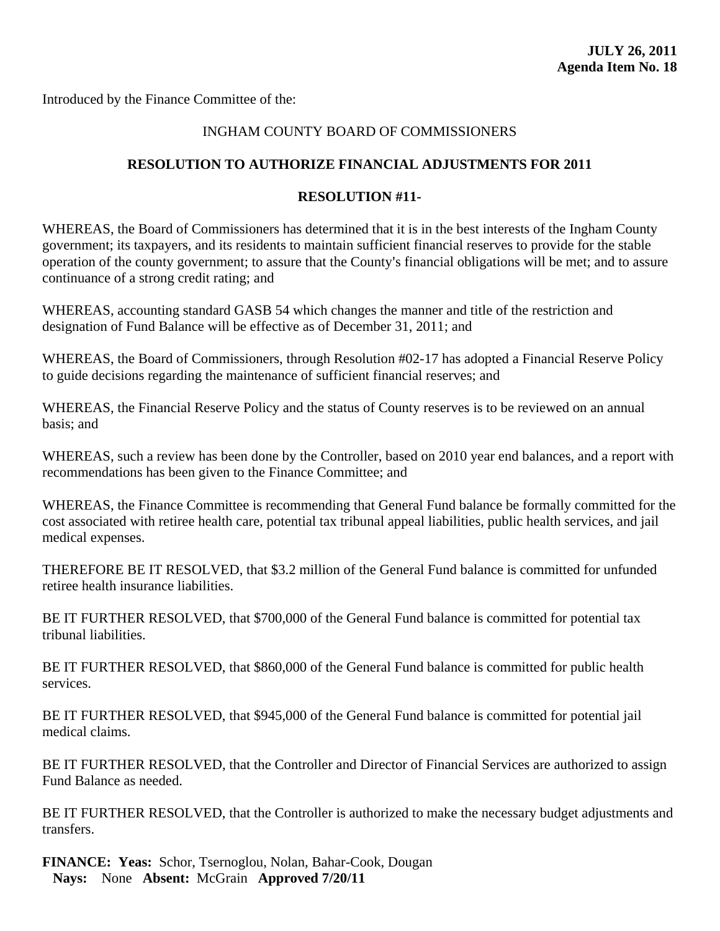Introduced by the Finance Committee of the:

# INGHAM COUNTY BOARD OF COMMISSIONERS

# **RESOLUTION TO AUTHORIZE FINANCIAL ADJUSTMENTS FOR 2011**

## **RESOLUTION #11-**

WHEREAS, the Board of Commissioners has determined that it is in the best interests of the Ingham County government; its taxpayers, and its residents to maintain sufficient financial reserves to provide for the stable operation of the county government; to assure that the County's financial obligations will be met; and to assure continuance of a strong credit rating; and

WHEREAS, accounting standard GASB 54 which changes the manner and title of the restriction and designation of Fund Balance will be effective as of December 31, 2011; and

WHEREAS, the Board of Commissioners, through Resolution #02-17 has adopted a Financial Reserve Policy to guide decisions regarding the maintenance of sufficient financial reserves; and

WHEREAS, the Financial Reserve Policy and the status of County reserves is to be reviewed on an annual basis; and

WHEREAS, such a review has been done by the Controller, based on 2010 year end balances, and a report with recommendations has been given to the Finance Committee; and

WHEREAS, the Finance Committee is recommending that General Fund balance be formally committed for the cost associated with retiree health care, potential tax tribunal appeal liabilities, public health services, and jail medical expenses.

THEREFORE BE IT RESOLVED, that \$3.2 million of the General Fund balance is committed for unfunded retiree health insurance liabilities.

BE IT FURTHER RESOLVED, that \$700,000 of the General Fund balance is committed for potential tax tribunal liabilities.

BE IT FURTHER RESOLVED, that \$860,000 of the General Fund balance is committed for public health services.

BE IT FURTHER RESOLVED, that \$945,000 of the General Fund balance is committed for potential jail medical claims.

BE IT FURTHER RESOLVED, that the Controller and Director of Financial Services are authorized to assign Fund Balance as needed.

BE IT FURTHER RESOLVED, that the Controller is authorized to make the necessary budget adjustments and transfers.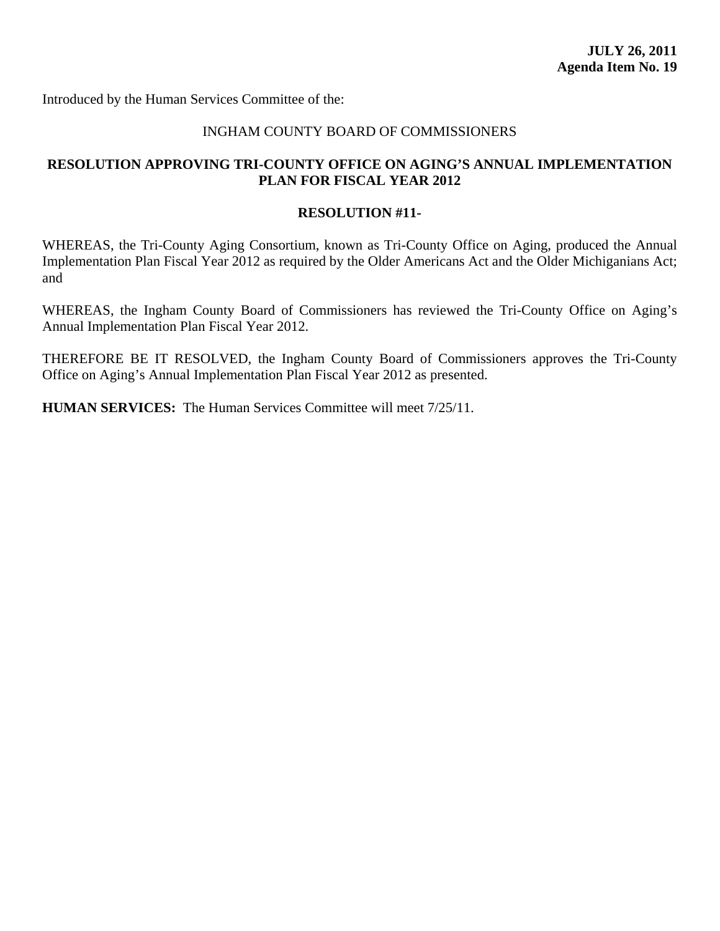Introduced by the Human Services Committee of the:

### INGHAM COUNTY BOARD OF COMMISSIONERS

## **RESOLUTION APPROVING TRI-COUNTY OFFICE ON AGING'S ANNUAL IMPLEMENTATION PLAN FOR FISCAL YEAR 2012**

#### **RESOLUTION #11-**

WHEREAS, the Tri-County Aging Consortium, known as Tri-County Office on Aging, produced the Annual Implementation Plan Fiscal Year 2012 as required by the Older Americans Act and the Older Michiganians Act; and

WHEREAS, the Ingham County Board of Commissioners has reviewed the Tri-County Office on Aging's Annual Implementation Plan Fiscal Year 2012.

THEREFORE BE IT RESOLVED, the Ingham County Board of Commissioners approves the Tri-County Office on Aging's Annual Implementation Plan Fiscal Year 2012 as presented.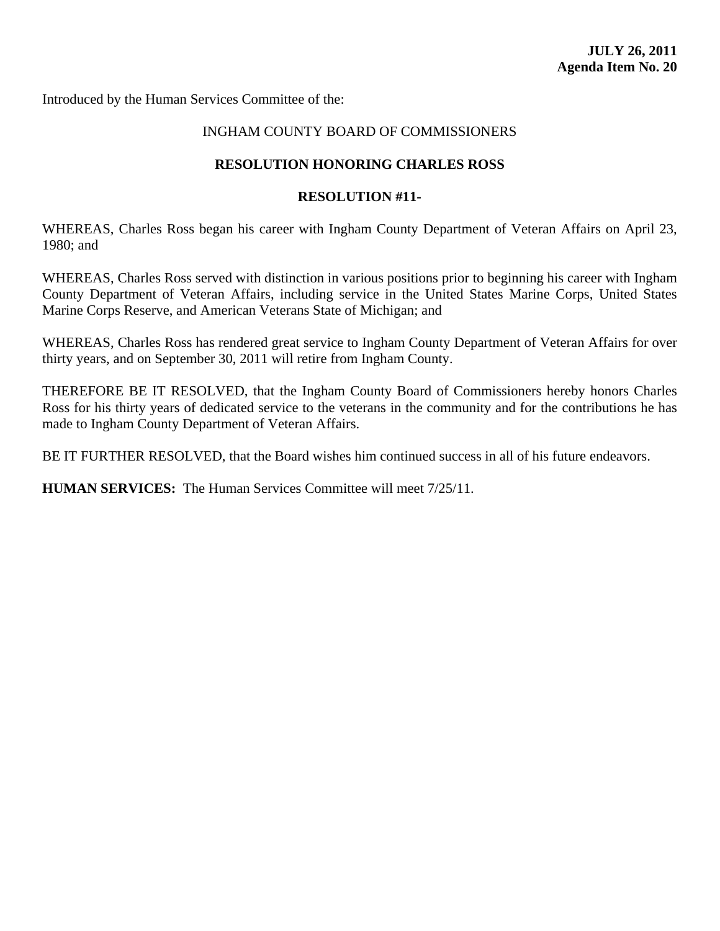Introduced by the Human Services Committee of the:

## INGHAM COUNTY BOARD OF COMMISSIONERS

## **RESOLUTION HONORING CHARLES ROSS**

### **RESOLUTION #11-**

WHEREAS, Charles Ross began his career with Ingham County Department of Veteran Affairs on April 23, 1980; and

WHEREAS, Charles Ross served with distinction in various positions prior to beginning his career with Ingham County Department of Veteran Affairs, including service in the United States Marine Corps, United States Marine Corps Reserve, and American Veterans State of Michigan; and

WHEREAS, Charles Ross has rendered great service to Ingham County Department of Veteran Affairs for over thirty years, and on September 30, 2011 will retire from Ingham County.

THEREFORE BE IT RESOLVED, that the Ingham County Board of Commissioners hereby honors Charles Ross for his thirty years of dedicated service to the veterans in the community and for the contributions he has made to Ingham County Department of Veteran Affairs.

BE IT FURTHER RESOLVED, that the Board wishes him continued success in all of his future endeavors.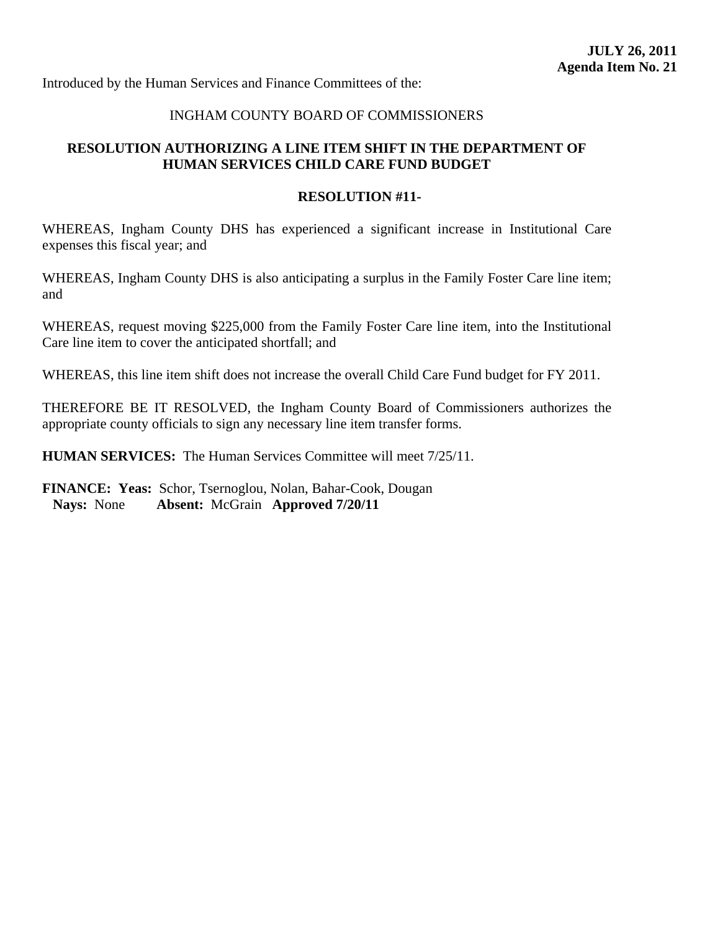#### INGHAM COUNTY BOARD OF COMMISSIONERS

## **RESOLUTION AUTHORIZING A LINE ITEM SHIFT IN THE DEPARTMENT OF HUMAN SERVICES CHILD CARE FUND BUDGET**

#### **RESOLUTION #11-**

WHEREAS, Ingham County DHS has experienced a significant increase in Institutional Care expenses this fiscal year; and

WHEREAS, Ingham County DHS is also anticipating a surplus in the Family Foster Care line item; and

WHEREAS, request moving \$225,000 from the Family Foster Care line item, into the Institutional Care line item to cover the anticipated shortfall; and

WHEREAS, this line item shift does not increase the overall Child Care Fund budget for FY 2011.

THEREFORE BE IT RESOLVED, the Ingham County Board of Commissioners authorizes the appropriate county officials to sign any necessary line item transfer forms.

**HUMAN SERVICES:** The Human Services Committee will meet 7/25/11.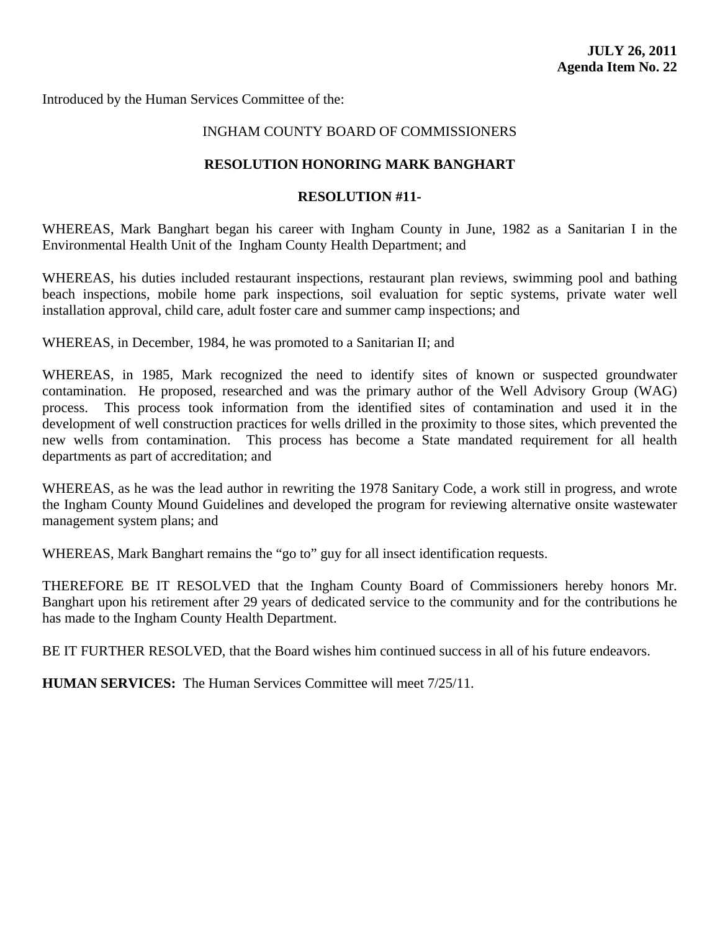Introduced by the Human Services Committee of the:

## INGHAM COUNTY BOARD OF COMMISSIONERS

### **RESOLUTION HONORING MARK BANGHART**

### **RESOLUTION #11-**

WHEREAS, Mark Banghart began his career with Ingham County in June, 1982 as a Sanitarian I in the Environmental Health Unit of the Ingham County Health Department; and

WHEREAS, his duties included restaurant inspections, restaurant plan reviews, swimming pool and bathing beach inspections, mobile home park inspections, soil evaluation for septic systems, private water well installation approval, child care, adult foster care and summer camp inspections; and

WHEREAS, in December, 1984, he was promoted to a Sanitarian II; and

WHEREAS, in 1985, Mark recognized the need to identify sites of known or suspected groundwater contamination. He proposed, researched and was the primary author of the Well Advisory Group (WAG) process. This process took information from the identified sites of contamination and used it in the development of well construction practices for wells drilled in the proximity to those sites, which prevented the new wells from contamination. This process has become a State mandated requirement for all health departments as part of accreditation; and

WHEREAS, as he was the lead author in rewriting the 1978 Sanitary Code, a work still in progress, and wrote the Ingham County Mound Guidelines and developed the program for reviewing alternative onsite wastewater management system plans; and

WHEREAS, Mark Banghart remains the "go to" guy for all insect identification requests.

THEREFORE BE IT RESOLVED that the Ingham County Board of Commissioners hereby honors Mr. Banghart upon his retirement after 29 years of dedicated service to the community and for the contributions he has made to the Ingham County Health Department.

BE IT FURTHER RESOLVED, that the Board wishes him continued success in all of his future endeavors.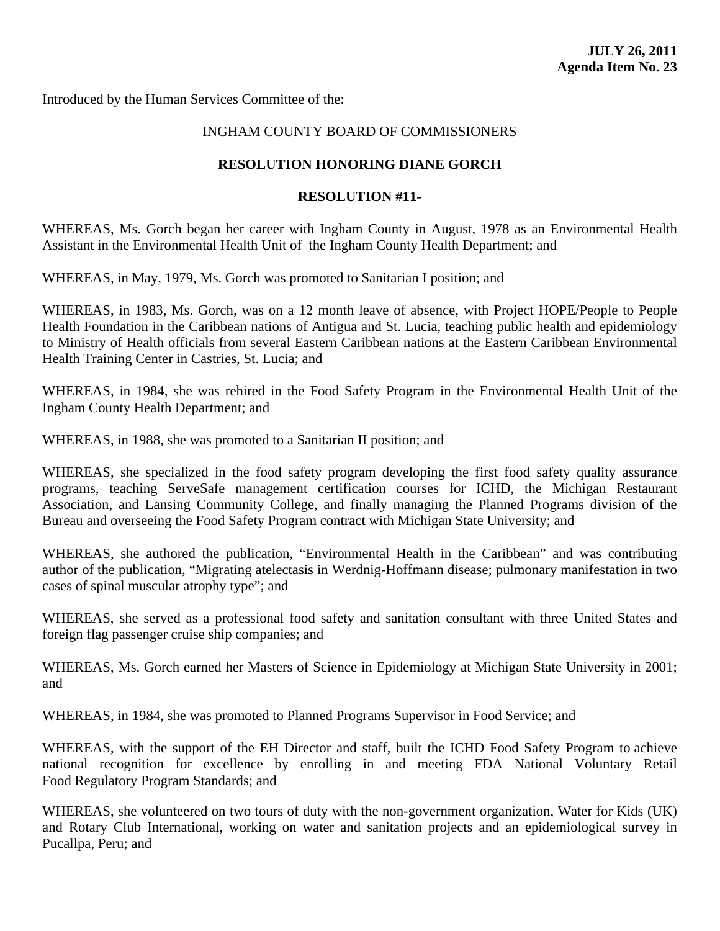Introduced by the Human Services Committee of the:

# INGHAM COUNTY BOARD OF COMMISSIONERS

### **RESOLUTION HONORING DIANE GORCH**

#### **RESOLUTION #11-**

WHEREAS, Ms. Gorch began her career with Ingham County in August, 1978 as an Environmental Health Assistant in the Environmental Health Unit of the Ingham County Health Department; and

WHEREAS, in May, 1979, Ms. Gorch was promoted to Sanitarian I position; and

WHEREAS, in 1983, Ms. Gorch, was on a 12 month leave of absence, with Project HOPE/People to People Health Foundation in the Caribbean nations of Antigua and St. Lucia, teaching public health and epidemiology to Ministry of Health officials from several Eastern Caribbean nations at the Eastern Caribbean Environmental Health Training Center in Castries, St. Lucia; and

WHEREAS, in 1984, she was rehired in the Food Safety Program in the Environmental Health Unit of the Ingham County Health Department; and

WHEREAS, in 1988, she was promoted to a Sanitarian II position; and

WHEREAS, she specialized in the food safety program developing the first food safety quality assurance programs, teaching ServeSafe management certification courses for ICHD, the Michigan Restaurant Association, and Lansing Community College, and finally managing the Planned Programs division of the Bureau and overseeing the Food Safety Program contract with Michigan State University; and

WHEREAS, she authored the publication, "Environmental Health in the Caribbean" and was contributing author of the publication, "Migrating atelectasis in Werdnig-Hoffmann disease; pulmonary manifestation in two cases of spinal muscular atrophy type"; and

WHEREAS, she served as a professional food safety and sanitation consultant with three United States and foreign flag passenger cruise ship companies; and

WHEREAS, Ms. Gorch earned her Masters of Science in Epidemiology at Michigan State University in 2001; and

WHEREAS, in 1984, she was promoted to Planned Programs Supervisor in Food Service; and

WHEREAS, with the support of the EH Director and staff, built the ICHD Food Safety Program to achieve national recognition for excellence by enrolling in and meeting FDA National Voluntary Retail Food Regulatory Program Standards; and

WHEREAS, she volunteered on two tours of duty with the non-government organization, Water for Kids (UK) and Rotary Club International, working on water and sanitation projects and an epidemiological survey in Pucallpa, Peru; and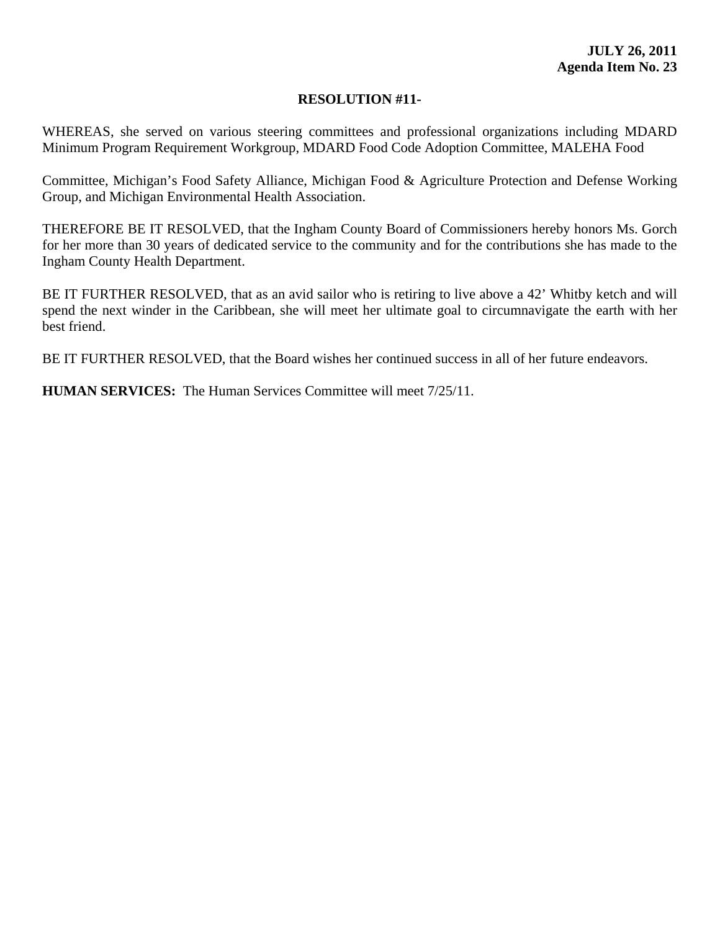## **RESOLUTION #11-**

WHEREAS, she served on various steering committees and professional organizations including MDARD Minimum Program Requirement Workgroup, MDARD Food Code Adoption Committee, MALEHA Food

Committee, Michigan's Food Safety Alliance, Michigan Food & Agriculture Protection and Defense Working Group, and Michigan Environmental Health Association.

THEREFORE BE IT RESOLVED, that the Ingham County Board of Commissioners hereby honors Ms. Gorch for her more than 30 years of dedicated service to the community and for the contributions she has made to the Ingham County Health Department.

BE IT FURTHER RESOLVED, that as an avid sailor who is retiring to live above a 42' Whitby ketch and will spend the next winder in the Caribbean, she will meet her ultimate goal to circumnavigate the earth with her best friend.

BE IT FURTHER RESOLVED, that the Board wishes her continued success in all of her future endeavors.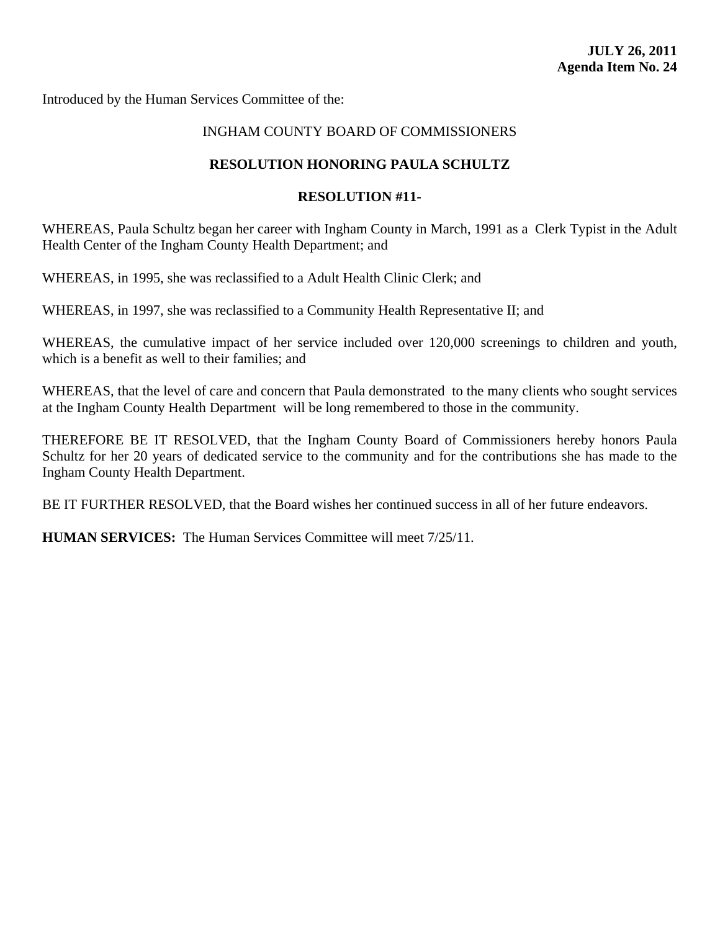Introduced by the Human Services Committee of the:

## INGHAM COUNTY BOARD OF COMMISSIONERS

## **RESOLUTION HONORING PAULA SCHULTZ**

#### **RESOLUTION #11-**

WHEREAS, Paula Schultz began her career with Ingham County in March, 1991 as a Clerk Typist in the Adult Health Center of the Ingham County Health Department; and

WHEREAS, in 1995, she was reclassified to a Adult Health Clinic Clerk; and

WHEREAS, in 1997, she was reclassified to a Community Health Representative II; and

WHEREAS, the cumulative impact of her service included over 120,000 screenings to children and youth, which is a benefit as well to their families; and

WHEREAS, that the level of care and concern that Paula demonstrated to the many clients who sought services at the Ingham County Health Department will be long remembered to those in the community.

THEREFORE BE IT RESOLVED, that the Ingham County Board of Commissioners hereby honors Paula Schultz for her 20 years of dedicated service to the community and for the contributions she has made to the Ingham County Health Department.

BE IT FURTHER RESOLVED, that the Board wishes her continued success in all of her future endeavors.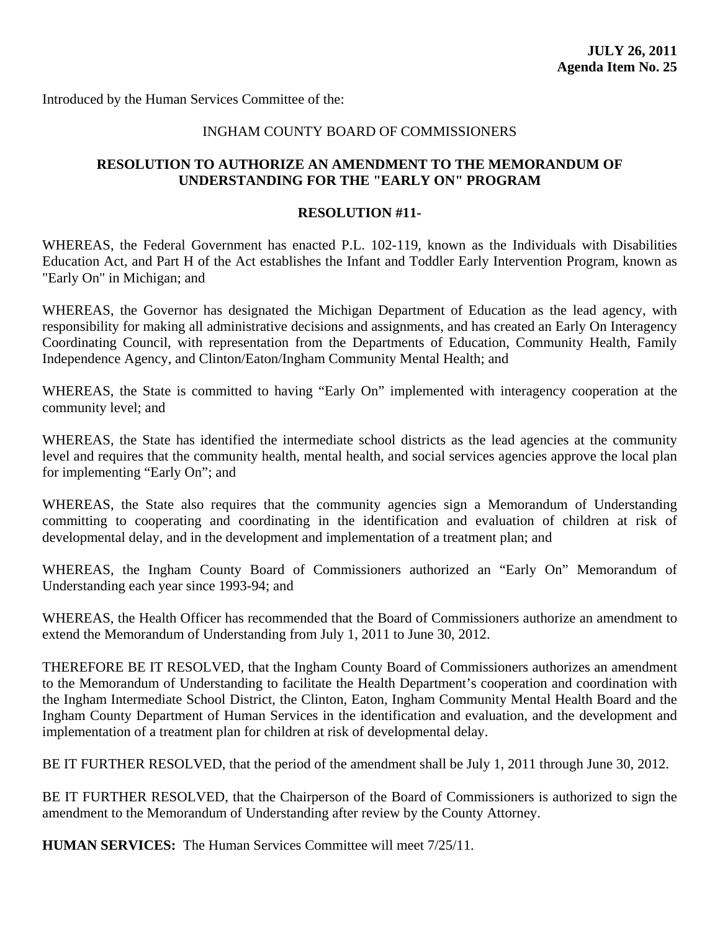Introduced by the Human Services Committee of the:

### INGHAM COUNTY BOARD OF COMMISSIONERS

## **RESOLUTION TO AUTHORIZE AN AMENDMENT TO THE MEMORANDUM OF UNDERSTANDING FOR THE "EARLY ON" PROGRAM**

#### **RESOLUTION #11-**

WHEREAS, the Federal Government has enacted P.L. 102-119, known as the Individuals with Disabilities Education Act, and Part H of the Act establishes the Infant and Toddler Early Intervention Program, known as "Early On" in Michigan; and

WHEREAS, the Governor has designated the Michigan Department of Education as the lead agency, with responsibility for making all administrative decisions and assignments, and has created an Early On Interagency Coordinating Council, with representation from the Departments of Education, Community Health, Family Independence Agency, and Clinton/Eaton/Ingham Community Mental Health; and

WHEREAS, the State is committed to having "Early On" implemented with interagency cooperation at the community level; and

WHEREAS, the State has identified the intermediate school districts as the lead agencies at the community level and requires that the community health, mental health, and social services agencies approve the local plan for implementing "Early On"; and

WHEREAS, the State also requires that the community agencies sign a Memorandum of Understanding committing to cooperating and coordinating in the identification and evaluation of children at risk of developmental delay, and in the development and implementation of a treatment plan; and

WHEREAS, the Ingham County Board of Commissioners authorized an "Early On" Memorandum of Understanding each year since 1993-94; and

WHEREAS, the Health Officer has recommended that the Board of Commissioners authorize an amendment to extend the Memorandum of Understanding from July 1, 2011 to June 30, 2012.

THEREFORE BE IT RESOLVED, that the Ingham County Board of Commissioners authorizes an amendment to the Memorandum of Understanding to facilitate the Health Department's cooperation and coordination with the Ingham Intermediate School District, the Clinton, Eaton, Ingham Community Mental Health Board and the Ingham County Department of Human Services in the identification and evaluation, and the development and implementation of a treatment plan for children at risk of developmental delay.

BE IT FURTHER RESOLVED, that the period of the amendment shall be July 1, 2011 through June 30, 2012.

BE IT FURTHER RESOLVED, that the Chairperson of the Board of Commissioners is authorized to sign the amendment to the Memorandum of Understanding after review by the County Attorney.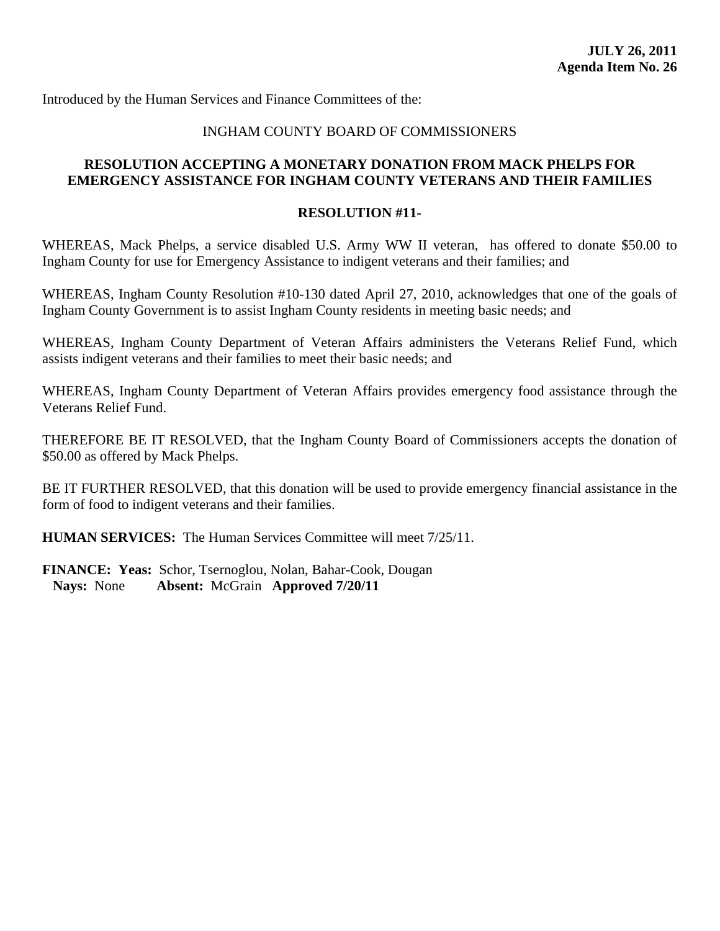## INGHAM COUNTY BOARD OF COMMISSIONERS

## **RESOLUTION ACCEPTING A MONETARY DONATION FROM MACK PHELPS FOR EMERGENCY ASSISTANCE FOR INGHAM COUNTY VETERANS AND THEIR FAMILIES**

#### **RESOLUTION #11-**

WHEREAS, Mack Phelps, a service disabled U.S. Army WW II veteran, has offered to donate \$50.00 to Ingham County for use for Emergency Assistance to indigent veterans and their families; and

WHEREAS, Ingham County Resolution #10-130 dated April 27, 2010, acknowledges that one of the goals of Ingham County Government is to assist Ingham County residents in meeting basic needs; and

WHEREAS, Ingham County Department of Veteran Affairs administers the Veterans Relief Fund, which assists indigent veterans and their families to meet their basic needs; and

WHEREAS, Ingham County Department of Veteran Affairs provides emergency food assistance through the Veterans Relief Fund.

THEREFORE BE IT RESOLVED, that the Ingham County Board of Commissioners accepts the donation of \$50.00 as offered by Mack Phelps.

BE IT FURTHER RESOLVED, that this donation will be used to provide emergency financial assistance in the form of food to indigent veterans and their families.

**HUMAN SERVICES:** The Human Services Committee will meet 7/25/11.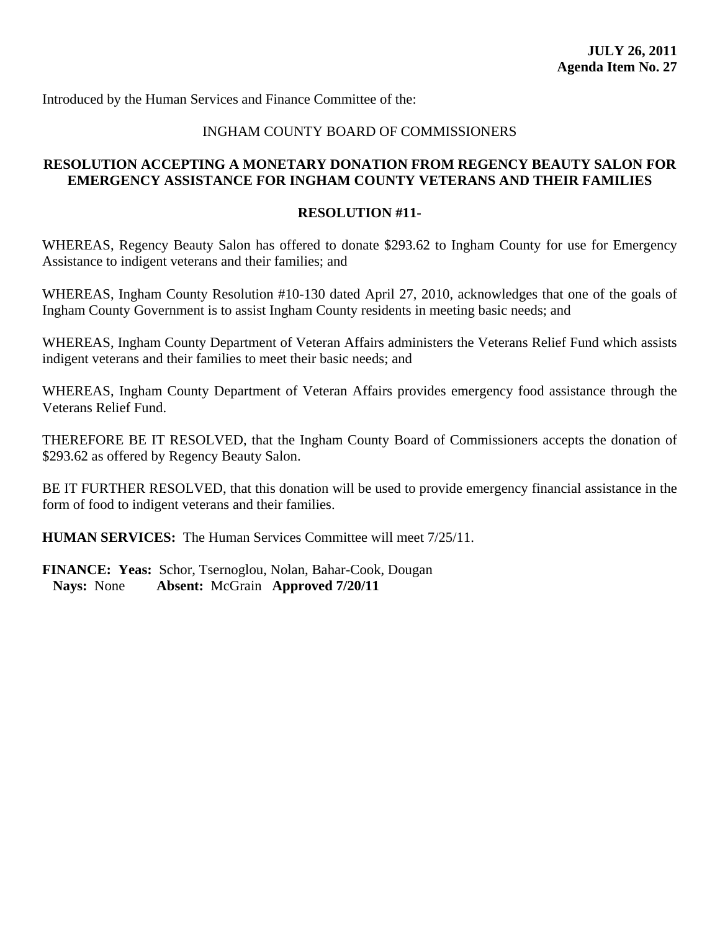## INGHAM COUNTY BOARD OF COMMISSIONERS

## **RESOLUTION ACCEPTING A MONETARY DONATION FROM REGENCY BEAUTY SALON FOR EMERGENCY ASSISTANCE FOR INGHAM COUNTY VETERANS AND THEIR FAMILIES**

### **RESOLUTION #11-**

WHEREAS, Regency Beauty Salon has offered to donate \$293.62 to Ingham County for use for Emergency Assistance to indigent veterans and their families; and

WHEREAS, Ingham County Resolution #10-130 dated April 27, 2010, acknowledges that one of the goals of Ingham County Government is to assist Ingham County residents in meeting basic needs; and

WHEREAS, Ingham County Department of Veteran Affairs administers the Veterans Relief Fund which assists indigent veterans and their families to meet their basic needs; and

WHEREAS, Ingham County Department of Veteran Affairs provides emergency food assistance through the Veterans Relief Fund.

THEREFORE BE IT RESOLVED, that the Ingham County Board of Commissioners accepts the donation of \$293.62 as offered by Regency Beauty Salon.

BE IT FURTHER RESOLVED, that this donation will be used to provide emergency financial assistance in the form of food to indigent veterans and their families.

**HUMAN SERVICES:** The Human Services Committee will meet 7/25/11.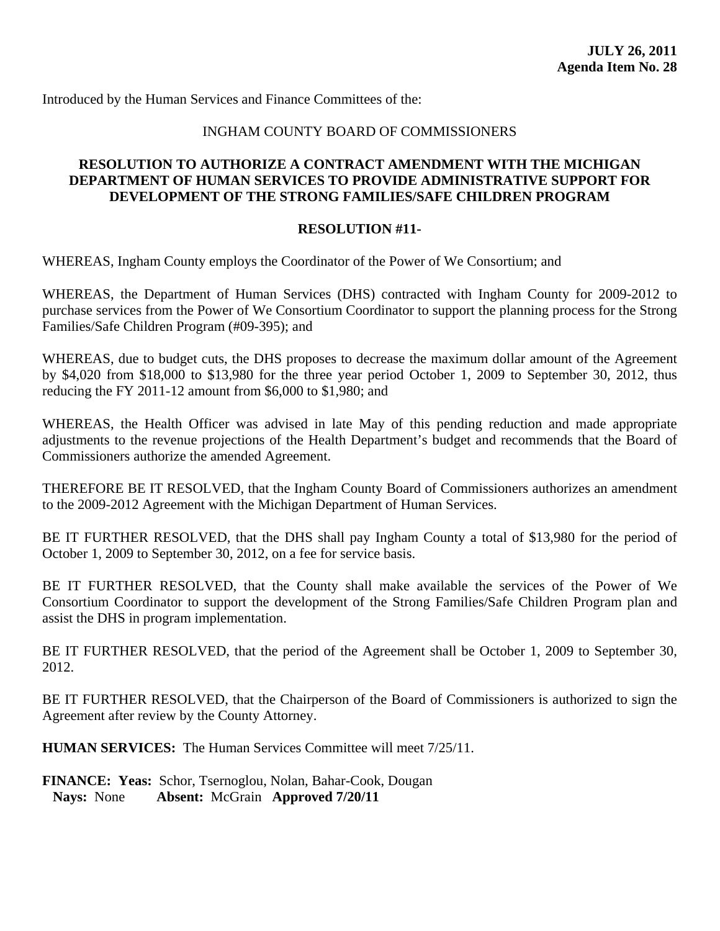## INGHAM COUNTY BOARD OF COMMISSIONERS

## **RESOLUTION TO AUTHORIZE A CONTRACT AMENDMENT WITH THE MICHIGAN DEPARTMENT OF HUMAN SERVICES TO PROVIDE ADMINISTRATIVE SUPPORT FOR DEVELOPMENT OF THE STRONG FAMILIES/SAFE CHILDREN PROGRAM**

#### **RESOLUTION #11-**

WHEREAS, Ingham County employs the Coordinator of the Power of We Consortium; and

WHEREAS, the Department of Human Services (DHS) contracted with Ingham County for 2009-2012 to purchase services from the Power of We Consortium Coordinator to support the planning process for the Strong Families/Safe Children Program (#09-395); and

WHEREAS, due to budget cuts, the DHS proposes to decrease the maximum dollar amount of the Agreement by \$4,020 from \$18,000 to \$13,980 for the three year period October 1, 2009 to September 30, 2012, thus reducing the FY 2011-12 amount from \$6,000 to \$1,980; and

WHEREAS, the Health Officer was advised in late May of this pending reduction and made appropriate adjustments to the revenue projections of the Health Department's budget and recommends that the Board of Commissioners authorize the amended Agreement.

THEREFORE BE IT RESOLVED, that the Ingham County Board of Commissioners authorizes an amendment to the 2009-2012 Agreement with the Michigan Department of Human Services.

BE IT FURTHER RESOLVED, that the DHS shall pay Ingham County a total of \$13,980 for the period of October 1, 2009 to September 30, 2012, on a fee for service basis.

BE IT FURTHER RESOLVED, that the County shall make available the services of the Power of We Consortium Coordinator to support the development of the Strong Families/Safe Children Program plan and assist the DHS in program implementation.

BE IT FURTHER RESOLVED, that the period of the Agreement shall be October 1, 2009 to September 30, 2012.

BE IT FURTHER RESOLVED, that the Chairperson of the Board of Commissioners is authorized to sign the Agreement after review by the County Attorney.

**HUMAN SERVICES:** The Human Services Committee will meet 7/25/11.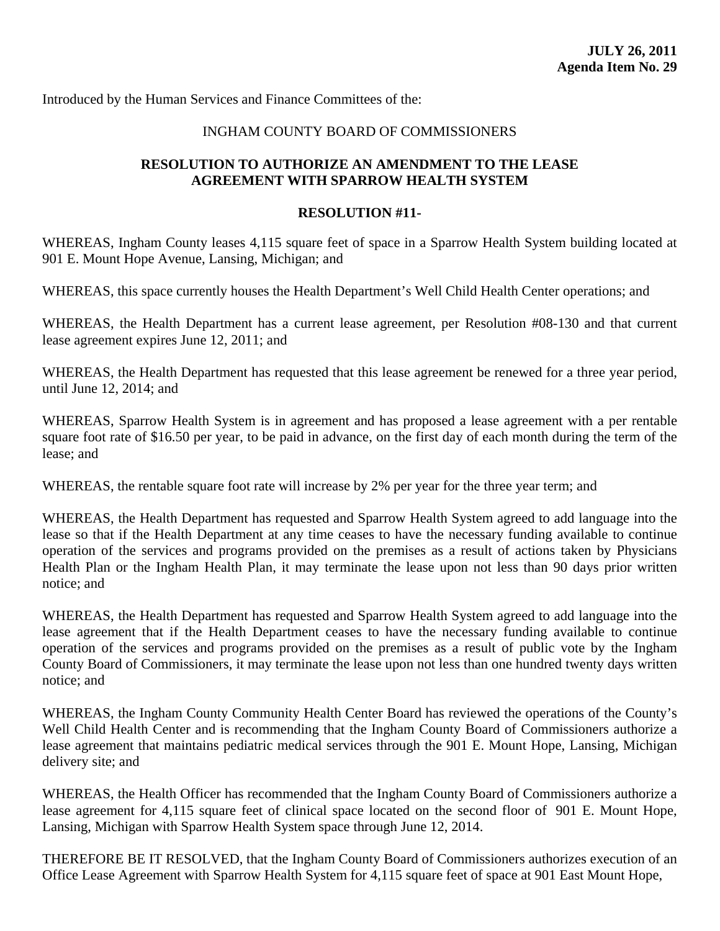## INGHAM COUNTY BOARD OF COMMISSIONERS

## **RESOLUTION TO AUTHORIZE AN AMENDMENT TO THE LEASE AGREEMENT WITH SPARROW HEALTH SYSTEM**

#### **RESOLUTION #11-**

WHEREAS, Ingham County leases 4,115 square feet of space in a Sparrow Health System building located at 901 E. Mount Hope Avenue, Lansing, Michigan; and

WHEREAS, this space currently houses the Health Department's Well Child Health Center operations; and

WHEREAS, the Health Department has a current lease agreement, per Resolution #08-130 and that current lease agreement expires June 12, 2011; and

WHEREAS, the Health Department has requested that this lease agreement be renewed for a three year period, until June 12, 2014; and

WHEREAS, Sparrow Health System is in agreement and has proposed a lease agreement with a per rentable square foot rate of \$16.50 per year, to be paid in advance, on the first day of each month during the term of the lease; and

WHEREAS, the rentable square foot rate will increase by 2% per year for the three year term; and

WHEREAS, the Health Department has requested and Sparrow Health System agreed to add language into the lease so that if the Health Department at any time ceases to have the necessary funding available to continue operation of the services and programs provided on the premises as a result of actions taken by Physicians Health Plan or the Ingham Health Plan, it may terminate the lease upon not less than 90 days prior written notice; and

WHEREAS, the Health Department has requested and Sparrow Health System agreed to add language into the lease agreement that if the Health Department ceases to have the necessary funding available to continue operation of the services and programs provided on the premises as a result of public vote by the Ingham County Board of Commissioners, it may terminate the lease upon not less than one hundred twenty days written notice; and

WHEREAS, the Ingham County Community Health Center Board has reviewed the operations of the County's Well Child Health Center and is recommending that the Ingham County Board of Commissioners authorize a lease agreement that maintains pediatric medical services through the 901 E. Mount Hope, Lansing, Michigan delivery site; and

WHEREAS, the Health Officer has recommended that the Ingham County Board of Commissioners authorize a lease agreement for 4,115 square feet of clinical space located on the second floor of 901 E. Mount Hope, Lansing, Michigan with Sparrow Health System space through June 12, 2014.

THEREFORE BE IT RESOLVED, that the Ingham County Board of Commissioners authorizes execution of an Office Lease Agreement with Sparrow Health System for 4,115 square feet of space at 901 East Mount Hope,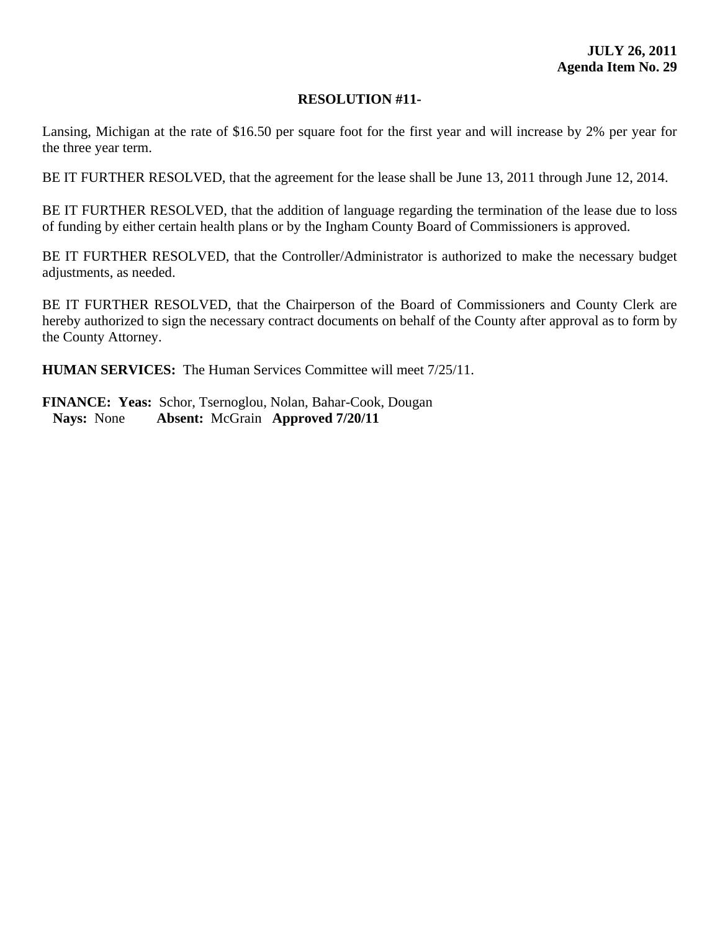## **RESOLUTION #11-**

Lansing, Michigan at the rate of \$16.50 per square foot for the first year and will increase by 2% per year for the three year term.

BE IT FURTHER RESOLVED, that the agreement for the lease shall be June 13, 2011 through June 12, 2014.

BE IT FURTHER RESOLVED, that the addition of language regarding the termination of the lease due to loss of funding by either certain health plans or by the Ingham County Board of Commissioners is approved.

BE IT FURTHER RESOLVED, that the Controller/Administrator is authorized to make the necessary budget adjustments, as needed.

BE IT FURTHER RESOLVED, that the Chairperson of the Board of Commissioners and County Clerk are hereby authorized to sign the necessary contract documents on behalf of the County after approval as to form by the County Attorney.

**HUMAN SERVICES:** The Human Services Committee will meet 7/25/11.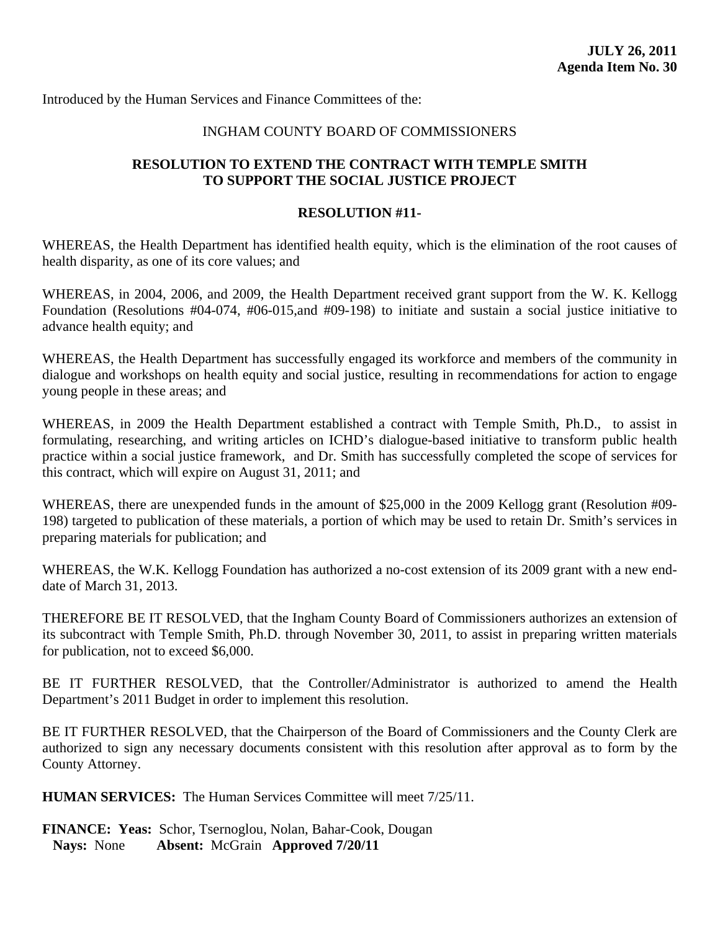## INGHAM COUNTY BOARD OF COMMISSIONERS

## **RESOLUTION TO EXTEND THE CONTRACT WITH TEMPLE SMITH TO SUPPORT THE SOCIAL JUSTICE PROJECT**

#### **RESOLUTION #11-**

WHEREAS, the Health Department has identified health equity, which is the elimination of the root causes of health disparity, as one of its core values; and

WHEREAS, in 2004, 2006, and 2009, the Health Department received grant support from the W. K. Kellogg Foundation (Resolutions #04-074, #06-015,and #09-198) to initiate and sustain a social justice initiative to advance health equity; and

WHEREAS, the Health Department has successfully engaged its workforce and members of the community in dialogue and workshops on health equity and social justice, resulting in recommendations for action to engage young people in these areas; and

WHEREAS, in 2009 the Health Department established a contract with Temple Smith, Ph.D., to assist in formulating, researching, and writing articles on ICHD's dialogue-based initiative to transform public health practice within a social justice framework, and Dr. Smith has successfully completed the scope of services for this contract, which will expire on August 31, 2011; and

WHEREAS, there are unexpended funds in the amount of \$25,000 in the 2009 Kellogg grant (Resolution #09- 198) targeted to publication of these materials, a portion of which may be used to retain Dr. Smith's services in preparing materials for publication; and

WHEREAS, the W.K. Kellogg Foundation has authorized a no-cost extension of its 2009 grant with a new enddate of March 31, 2013.

THEREFORE BE IT RESOLVED, that the Ingham County Board of Commissioners authorizes an extension of its subcontract with Temple Smith, Ph.D. through November 30, 2011, to assist in preparing written materials for publication, not to exceed \$6,000.

BE IT FURTHER RESOLVED, that the Controller/Administrator is authorized to amend the Health Department's 2011 Budget in order to implement this resolution.

BE IT FURTHER RESOLVED, that the Chairperson of the Board of Commissioners and the County Clerk are authorized to sign any necessary documents consistent with this resolution after approval as to form by the County Attorney.

**HUMAN SERVICES:** The Human Services Committee will meet 7/25/11.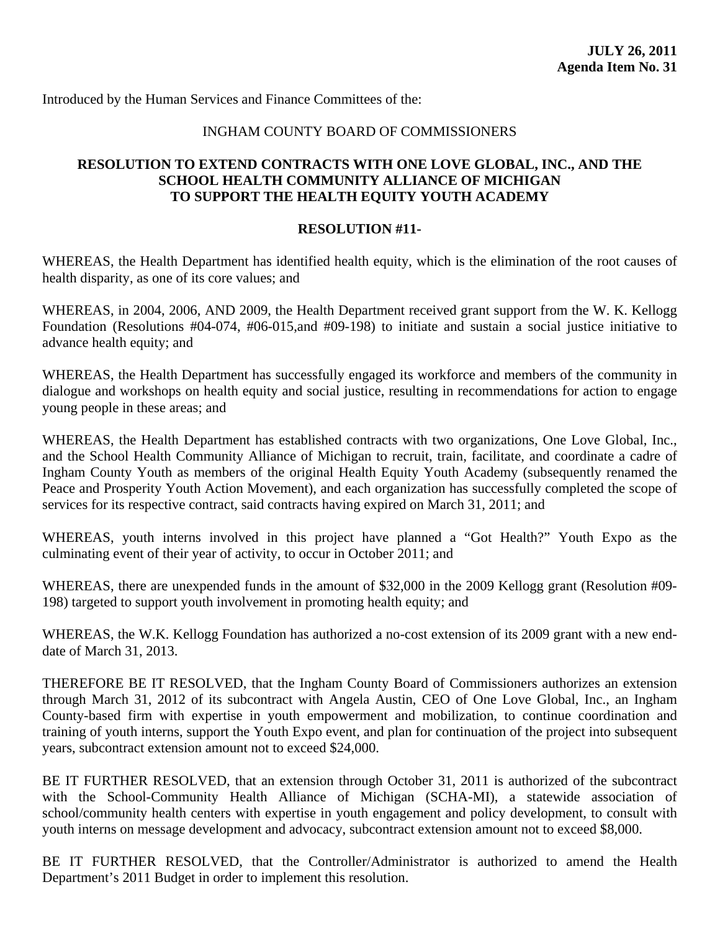### INGHAM COUNTY BOARD OF COMMISSIONERS

## **RESOLUTION TO EXTEND CONTRACTS WITH ONE LOVE GLOBAL, INC., AND THE SCHOOL HEALTH COMMUNITY ALLIANCE OF MICHIGAN TO SUPPORT THE HEALTH EQUITY YOUTH ACADEMY**

### **RESOLUTION #11-**

WHEREAS, the Health Department has identified health equity, which is the elimination of the root causes of health disparity, as one of its core values; and

WHEREAS, in 2004, 2006, AND 2009, the Health Department received grant support from the W. K. Kellogg Foundation (Resolutions #04-074, #06-015,and #09-198) to initiate and sustain a social justice initiative to advance health equity; and

WHEREAS, the Health Department has successfully engaged its workforce and members of the community in dialogue and workshops on health equity and social justice, resulting in recommendations for action to engage young people in these areas; and

WHEREAS, the Health Department has established contracts with two organizations, One Love Global, Inc., and the School Health Community Alliance of Michigan to recruit, train, facilitate, and coordinate a cadre of Ingham County Youth as members of the original Health Equity Youth Academy (subsequently renamed the Peace and Prosperity Youth Action Movement), and each organization has successfully completed the scope of services for its respective contract, said contracts having expired on March 31, 2011; and

WHEREAS, youth interns involved in this project have planned a "Got Health?" Youth Expo as the culminating event of their year of activity, to occur in October 2011; and

WHEREAS, there are unexpended funds in the amount of \$32,000 in the 2009 Kellogg grant (Resolution #09- 198) targeted to support youth involvement in promoting health equity; and

WHEREAS, the W.K. Kellogg Foundation has authorized a no-cost extension of its 2009 grant with a new enddate of March 31, 2013.

THEREFORE BE IT RESOLVED, that the Ingham County Board of Commissioners authorizes an extension through March 31, 2012 of its subcontract with Angela Austin, CEO of One Love Global, Inc., an Ingham County-based firm with expertise in youth empowerment and mobilization, to continue coordination and training of youth interns, support the Youth Expo event, and plan for continuation of the project into subsequent years, subcontract extension amount not to exceed \$24,000.

BE IT FURTHER RESOLVED, that an extension through October 31, 2011 is authorized of the subcontract with the School-Community Health Alliance of Michigan (SCHA-MI), a statewide association of school/community health centers with expertise in youth engagement and policy development, to consult with youth interns on message development and advocacy, subcontract extension amount not to exceed \$8,000.

BE IT FURTHER RESOLVED, that the Controller/Administrator is authorized to amend the Health Department's 2011 Budget in order to implement this resolution.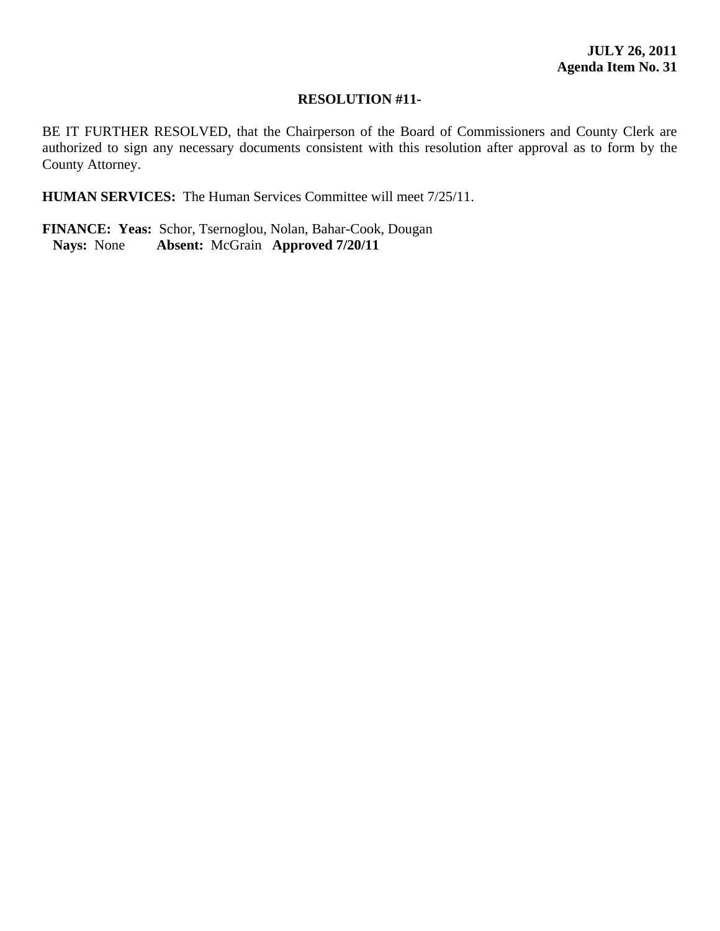### **RESOLUTION #11-**

BE IT FURTHER RESOLVED, that the Chairperson of the Board of Commissioners and County Clerk are authorized to sign any necessary documents consistent with this resolution after approval as to form by the County Attorney.

**HUMAN SERVICES:** The Human Services Committee will meet  $7/25/11$ .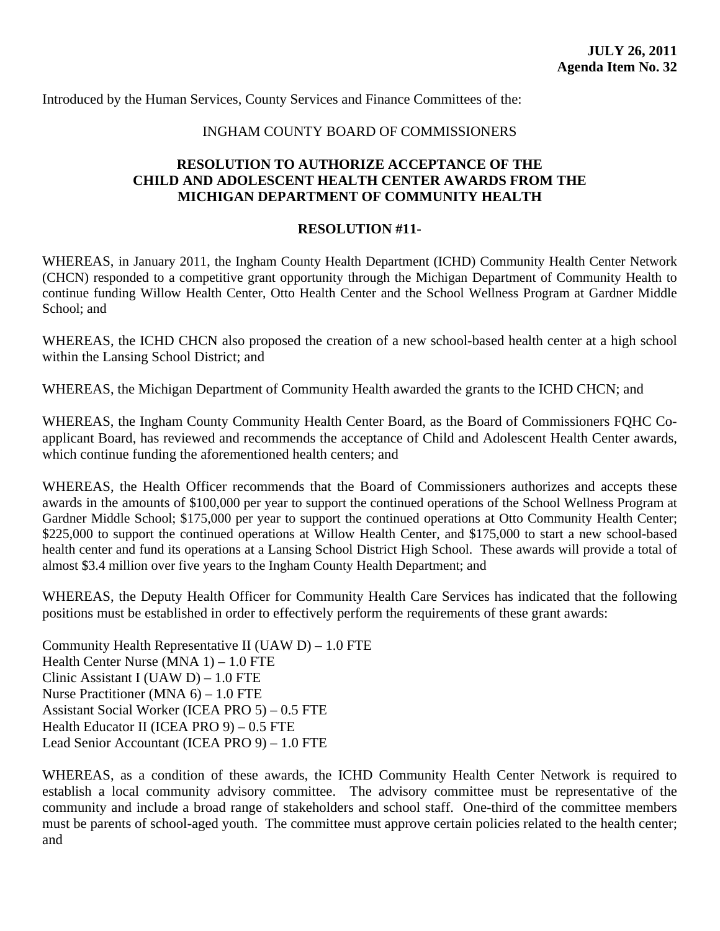Introduced by the Human Services, County Services and Finance Committees of the:

## INGHAM COUNTY BOARD OF COMMISSIONERS

## **RESOLUTION TO AUTHORIZE ACCEPTANCE OF THE CHILD AND ADOLESCENT HEALTH CENTER AWARDS FROM THE MICHIGAN DEPARTMENT OF COMMUNITY HEALTH**

## **RESOLUTION #11-**

WHEREAS, in January 2011, the Ingham County Health Department (ICHD) Community Health Center Network (CHCN) responded to a competitive grant opportunity through the Michigan Department of Community Health to continue funding Willow Health Center, Otto Health Center and the School Wellness Program at Gardner Middle School; and

WHEREAS, the ICHD CHCN also proposed the creation of a new school-based health center at a high school within the Lansing School District; and

WHEREAS, the Michigan Department of Community Health awarded the grants to the ICHD CHCN; and

WHEREAS, the Ingham County Community Health Center Board, as the Board of Commissioners FQHC Coapplicant Board, has reviewed and recommends the acceptance of Child and Adolescent Health Center awards, which continue funding the aforementioned health centers; and

WHEREAS, the Health Officer recommends that the Board of Commissioners authorizes and accepts these awards in the amounts of \$100,000 per year to support the continued operations of the School Wellness Program at Gardner Middle School; \$175,000 per year to support the continued operations at Otto Community Health Center; \$225,000 to support the continued operations at Willow Health Center, and \$175,000 to start a new school-based health center and fund its operations at a Lansing School District High School. These awards will provide a total of almost \$3.4 million over five years to the Ingham County Health Department; and

WHEREAS, the Deputy Health Officer for Community Health Care Services has indicated that the following positions must be established in order to effectively perform the requirements of these grant awards:

Community Health Representative II (UAW  $D$ ) – 1.0 FTE Health Center Nurse (MNA 1) – 1.0 FTE Clinic Assistant I (UAW D) – 1.0 FTE Nurse Practitioner (MNA 6) – 1.0 FTE Assistant Social Worker (ICEA PRO 5) – 0.5 FTE Health Educator II (ICEA PRO 9) – 0.5 FTE Lead Senior Accountant (ICEA PRO 9) – 1.0 FTE

WHEREAS, as a condition of these awards, the ICHD Community Health Center Network is required to establish a local community advisory committee. The advisory committee must be representative of the community and include a broad range of stakeholders and school staff. One-third of the committee members must be parents of school-aged youth. The committee must approve certain policies related to the health center; and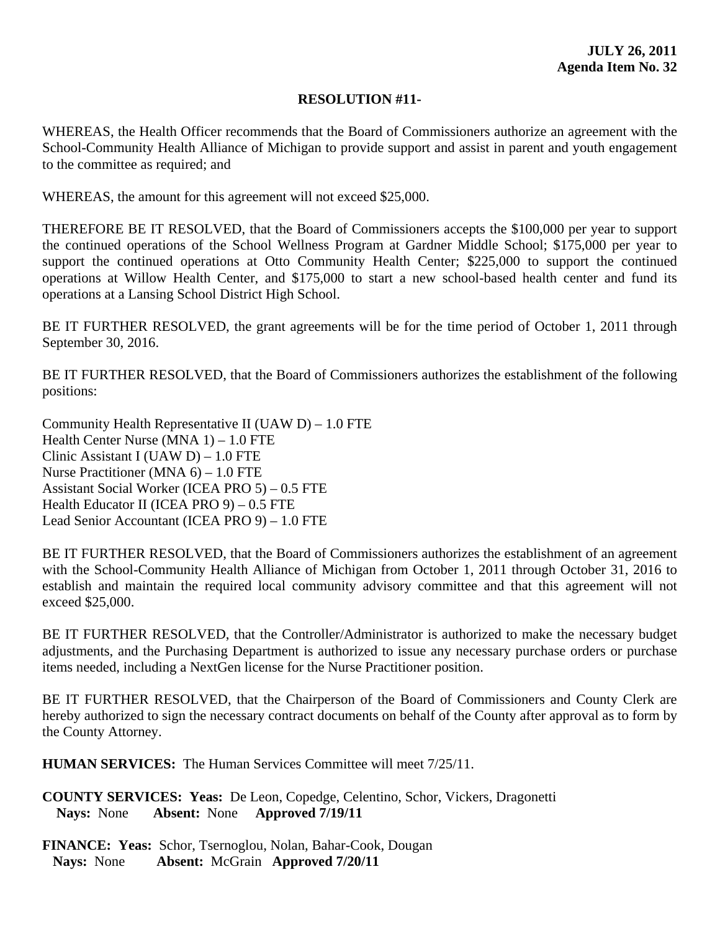## **RESOLUTION #11-**

WHEREAS, the Health Officer recommends that the Board of Commissioners authorize an agreement with the School-Community Health Alliance of Michigan to provide support and assist in parent and youth engagement to the committee as required; and

WHEREAS, the amount for this agreement will not exceed \$25,000.

THEREFORE BE IT RESOLVED, that the Board of Commissioners accepts the \$100,000 per year to support the continued operations of the School Wellness Program at Gardner Middle School; \$175,000 per year to support the continued operations at Otto Community Health Center; \$225,000 to support the continued operations at Willow Health Center, and \$175,000 to start a new school-based health center and fund its operations at a Lansing School District High School.

BE IT FURTHER RESOLVED, the grant agreements will be for the time period of October 1, 2011 through September 30, 2016.

BE IT FURTHER RESOLVED, that the Board of Commissioners authorizes the establishment of the following positions:

Community Health Representative II (UAW D) – 1.0 FTE Health Center Nurse (MNA 1) – 1.0 FTE Clinic Assistant I (UAW D) – 1.0 FTE Nurse Practitioner (MNA 6) – 1.0 FTE Assistant Social Worker (ICEA PRO 5) – 0.5 FTE Health Educator II (ICEA PRO 9) – 0.5 FTE Lead Senior Accountant (ICEA PRO 9) – 1.0 FTE

BE IT FURTHER RESOLVED, that the Board of Commissioners authorizes the establishment of an agreement with the School-Community Health Alliance of Michigan from October 1, 2011 through October 31, 2016 to establish and maintain the required local community advisory committee and that this agreement will not exceed \$25,000.

BE IT FURTHER RESOLVED, that the Controller/Administrator is authorized to make the necessary budget adjustments, and the Purchasing Department is authorized to issue any necessary purchase orders or purchase items needed, including a NextGen license for the Nurse Practitioner position.

BE IT FURTHER RESOLVED, that the Chairperson of the Board of Commissioners and County Clerk are hereby authorized to sign the necessary contract documents on behalf of the County after approval as to form by the County Attorney.

**HUMAN SERVICES:** The Human Services Committee will meet 7/25/11.

**COUNTY SERVICES: Yeas:** De Leon, Copedge, Celentino, Schor, Vickers, Dragonetti  **Nays:** None **Absent:** None **Approved 7/19/11**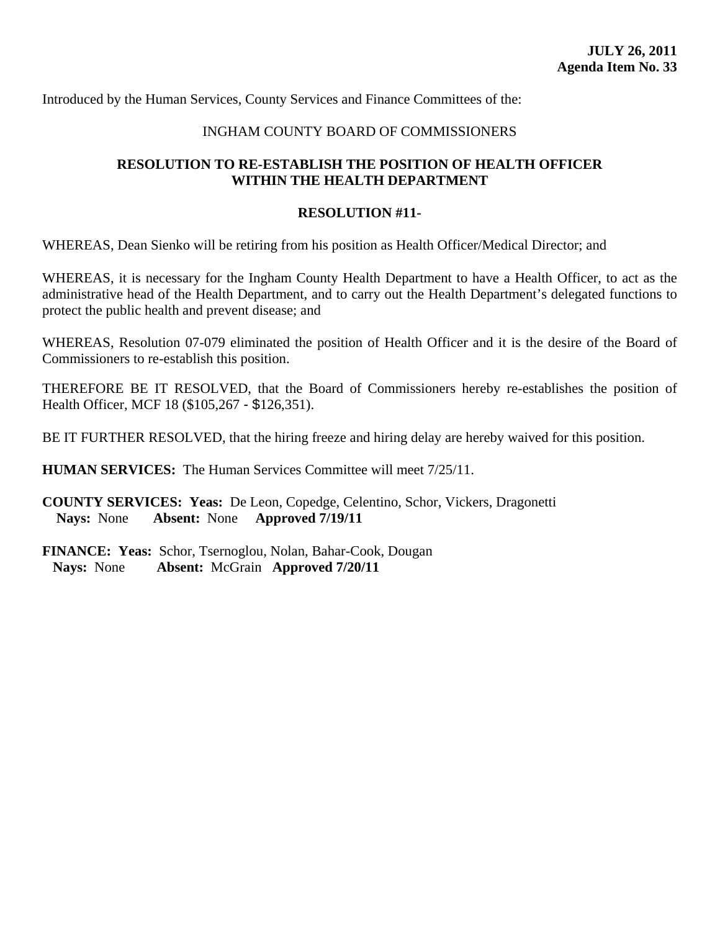Introduced by the Human Services, County Services and Finance Committees of the:

### INGHAM COUNTY BOARD OF COMMISSIONERS

## **RESOLUTION TO RE-ESTABLISH THE POSITION OF HEALTH OFFICER WITHIN THE HEALTH DEPARTMENT**

#### **RESOLUTION #11-**

WHEREAS, Dean Sienko will be retiring from his position as Health Officer/Medical Director; and

WHEREAS, it is necessary for the Ingham County Health Department to have a Health Officer, to act as the administrative head of the Health Department, and to carry out the Health Department's delegated functions to protect the public health and prevent disease; and

WHEREAS, Resolution 07-079 eliminated the position of Health Officer and it is the desire of the Board of Commissioners to re-establish this position.

THEREFORE BE IT RESOLVED, that the Board of Commissioners hereby re-establishes the position of Health Officer, MCF 18 (\$105,267 - \$126,351).

BE IT FURTHER RESOLVED, that the hiring freeze and hiring delay are hereby waived for this position.

**HUMAN SERVICES:** The Human Services Committee will meet 7/25/11.

**COUNTY SERVICES: Yeas:** De Leon, Copedge, Celentino, Schor, Vickers, Dragonetti  **Nays:** None **Absent:** None **Approved 7/19/11**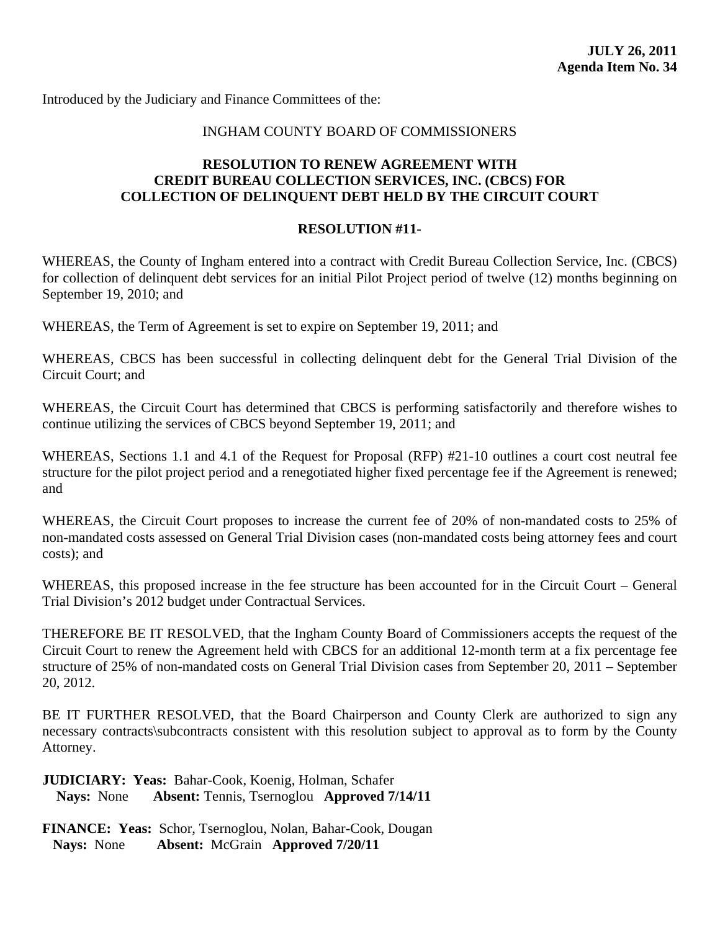Introduced by the Judiciary and Finance Committees of the:

### INGHAM COUNTY BOARD OF COMMISSIONERS

## **RESOLUTION TO RENEW AGREEMENT WITH CREDIT BUREAU COLLECTION SERVICES, INC. (CBCS) FOR COLLECTION OF DELINQUENT DEBT HELD BY THE CIRCUIT COURT**

### **RESOLUTION #11-**

WHEREAS, the County of Ingham entered into a contract with Credit Bureau Collection Service, Inc. (CBCS) for collection of delinquent debt services for an initial Pilot Project period of twelve (12) months beginning on September 19, 2010; and

WHEREAS, the Term of Agreement is set to expire on September 19, 2011; and

WHEREAS, CBCS has been successful in collecting delinquent debt for the General Trial Division of the Circuit Court; and

WHEREAS, the Circuit Court has determined that CBCS is performing satisfactorily and therefore wishes to continue utilizing the services of CBCS beyond September 19, 2011; and

WHEREAS, Sections 1.1 and 4.1 of the Request for Proposal (RFP) #21-10 outlines a court cost neutral fee structure for the pilot project period and a renegotiated higher fixed percentage fee if the Agreement is renewed; and

WHEREAS, the Circuit Court proposes to increase the current fee of 20% of non-mandated costs to 25% of non-mandated costs assessed on General Trial Division cases (non-mandated costs being attorney fees and court costs); and

WHEREAS, this proposed increase in the fee structure has been accounted for in the Circuit Court – General Trial Division's 2012 budget under Contractual Services.

THEREFORE BE IT RESOLVED, that the Ingham County Board of Commissioners accepts the request of the Circuit Court to renew the Agreement held with CBCS for an additional 12-month term at a fix percentage fee structure of 25% of non-mandated costs on General Trial Division cases from September 20, 2011 – September 20, 2012.

BE IT FURTHER RESOLVED, that the Board Chairperson and County Clerk are authorized to sign any necessary contracts\subcontracts consistent with this resolution subject to approval as to form by the County Attorney.

**JUDICIARY: Yeas:** Bahar-Cook, Koenig, Holman, Schafer  **Nays:** None **Absent:** Tennis, Tsernoglou **Approved 7/14/11**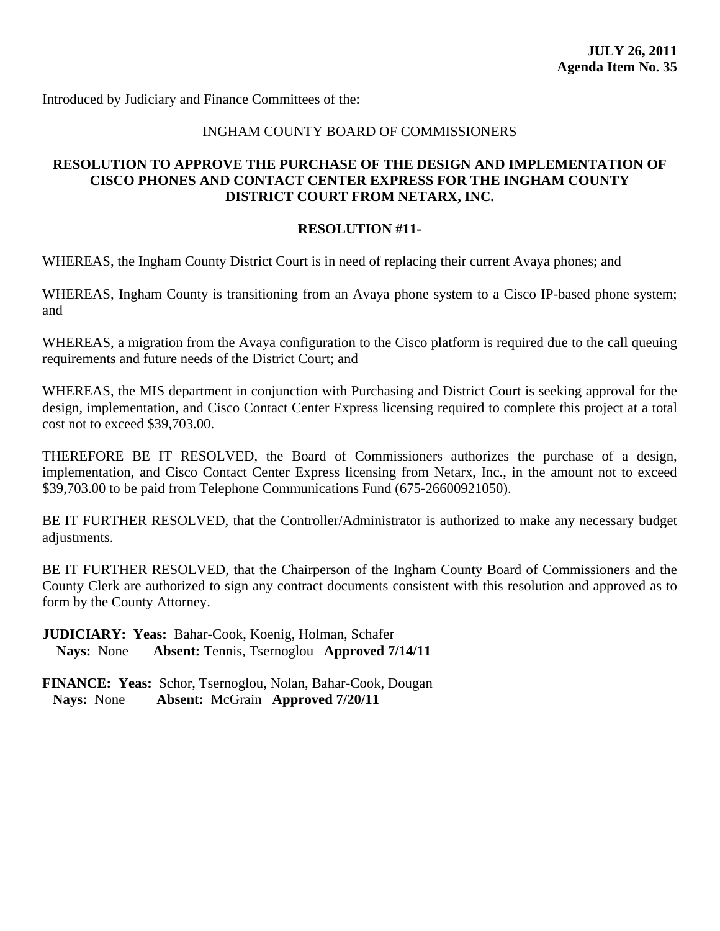Introduced by Judiciary and Finance Committees of the:

# INGHAM COUNTY BOARD OF COMMISSIONERS

## **RESOLUTION TO APPROVE THE PURCHASE OF THE DESIGN AND IMPLEMENTATION OF CISCO PHONES AND CONTACT CENTER EXPRESS FOR THE INGHAM COUNTY DISTRICT COURT FROM NETARX, INC.**

### **RESOLUTION #11-**

WHEREAS, the Ingham County District Court is in need of replacing their current Avaya phones; and

WHEREAS, Ingham County is transitioning from an Avaya phone system to a Cisco IP-based phone system; and

WHEREAS, a migration from the Avaya configuration to the Cisco platform is required due to the call queuing requirements and future needs of the District Court; and

WHEREAS, the MIS department in conjunction with Purchasing and District Court is seeking approval for the design, implementation, and Cisco Contact Center Express licensing required to complete this project at a total cost not to exceed \$39,703.00.

THEREFORE BE IT RESOLVED, the Board of Commissioners authorizes the purchase of a design, implementation, and Cisco Contact Center Express licensing from Netarx, Inc., in the amount not to exceed \$39,703.00 to be paid from Telephone Communications Fund (675-26600921050).

BE IT FURTHER RESOLVED, that the Controller/Administrator is authorized to make any necessary budget adjustments.

BE IT FURTHER RESOLVED, that the Chairperson of the Ingham County Board of Commissioners and the County Clerk are authorized to sign any contract documents consistent with this resolution and approved as to form by the County Attorney.

**JUDICIARY: Yeas:** Bahar-Cook, Koenig, Holman, Schafer  **Nays:** None **Absent:** Tennis, Tsernoglou **Approved 7/14/11**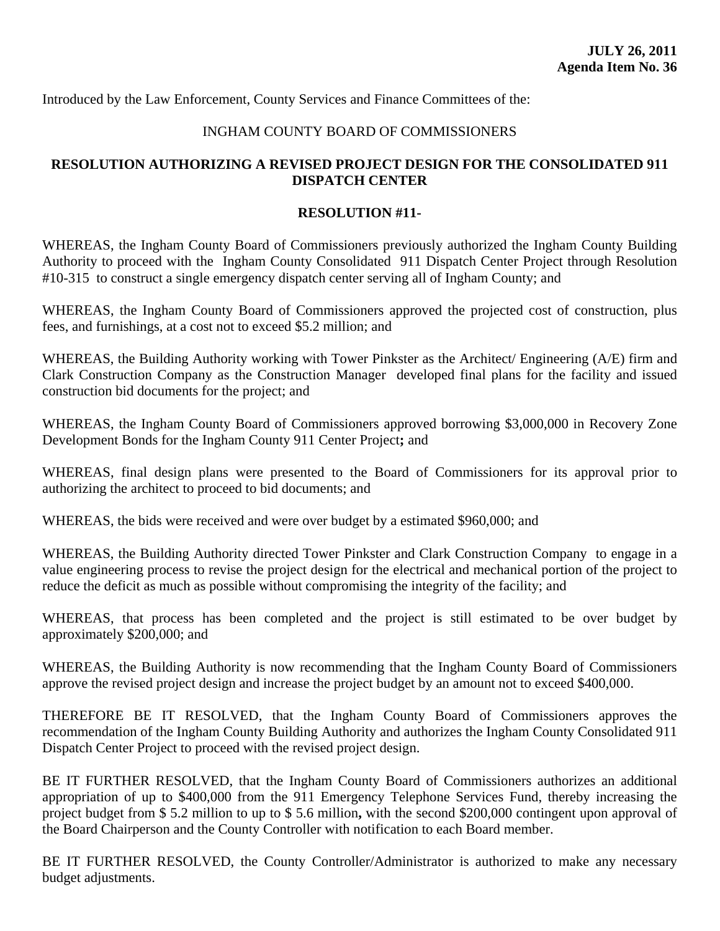Introduced by the Law Enforcement, County Services and Finance Committees of the:

# INGHAM COUNTY BOARD OF COMMISSIONERS

# **RESOLUTION AUTHORIZING A REVISED PROJECT DESIGN FOR THE CONSOLIDATED 911 DISPATCH CENTER**

### **RESOLUTION #11-**

WHEREAS, the Ingham County Board of Commissioners previously authorized the Ingham County Building Authority to proceed with the Ingham County Consolidated 911 Dispatch Center Project through Resolution #10-315 to construct a single emergency dispatch center serving all of Ingham County; and

WHEREAS, the Ingham County Board of Commissioners approved the projected cost of construction, plus fees, and furnishings, at a cost not to exceed \$5.2 million; and

WHEREAS, the Building Authority working with Tower Pinkster as the Architect/ Engineering (A/E) firm and Clark Construction Company as the Construction Manager developed final plans for the facility and issued construction bid documents for the project; and

WHEREAS, the Ingham County Board of Commissioners approved borrowing \$3,000,000 in Recovery Zone Development Bonds for the Ingham County 911 Center Project**;** and

WHEREAS, final design plans were presented to the Board of Commissioners for its approval prior to authorizing the architect to proceed to bid documents; and

WHEREAS, the bids were received and were over budget by a estimated \$960,000; and

WHEREAS, the Building Authority directed Tower Pinkster and Clark Construction Company to engage in a value engineering process to revise the project design for the electrical and mechanical portion of the project to reduce the deficit as much as possible without compromising the integrity of the facility; and

WHEREAS, that process has been completed and the project is still estimated to be over budget by approximately \$200,000; and

WHEREAS, the Building Authority is now recommending that the Ingham County Board of Commissioners approve the revised project design and increase the project budget by an amount not to exceed \$400,000.

THEREFORE BE IT RESOLVED, that the Ingham County Board of Commissioners approves the recommendation of the Ingham County Building Authority and authorizes the Ingham County Consolidated 911 Dispatch Center Project to proceed with the revised project design.

BE IT FURTHER RESOLVED, that the Ingham County Board of Commissioners authorizes an additional appropriation of up to \$400,000 from the 911 Emergency Telephone Services Fund, thereby increasing the project budget from \$ 5.2 million to up to \$ 5.6 million**,** with the second \$200,000 contingent upon approval of the Board Chairperson and the County Controller with notification to each Board member.

BE IT FURTHER RESOLVED, the County Controller/Administrator is authorized to make any necessary budget adjustments.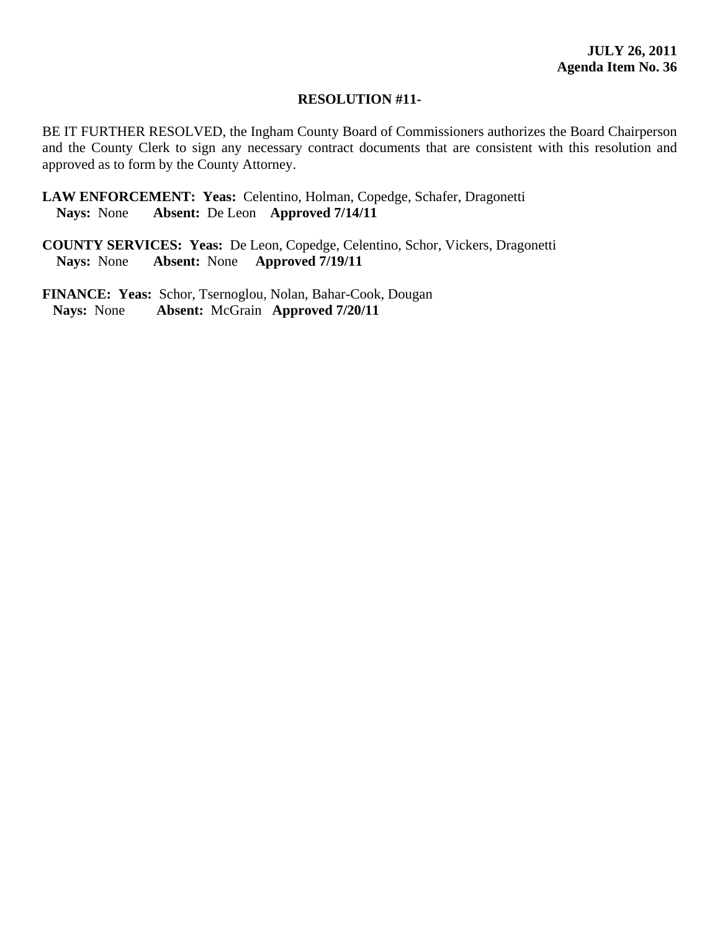#### **RESOLUTION #11-**

BE IT FURTHER RESOLVED, the Ingham County Board of Commissioners authorizes the Board Chairperson and the County Clerk to sign any necessary contract documents that are consistent with this resolution and approved as to form by the County Attorney.

**LAW ENFORCEMENT: Yeas:** Celentino, Holman, Copedge, Schafer, Dragonetti  **Nays:** None **Absent:** De Leon **Approved 7/14/11** 

**COUNTY SERVICES: Yeas:** De Leon, Copedge, Celentino, Schor, Vickers, Dragonetti  **Nays:** None **Absent:** None **Approved 7/19/11**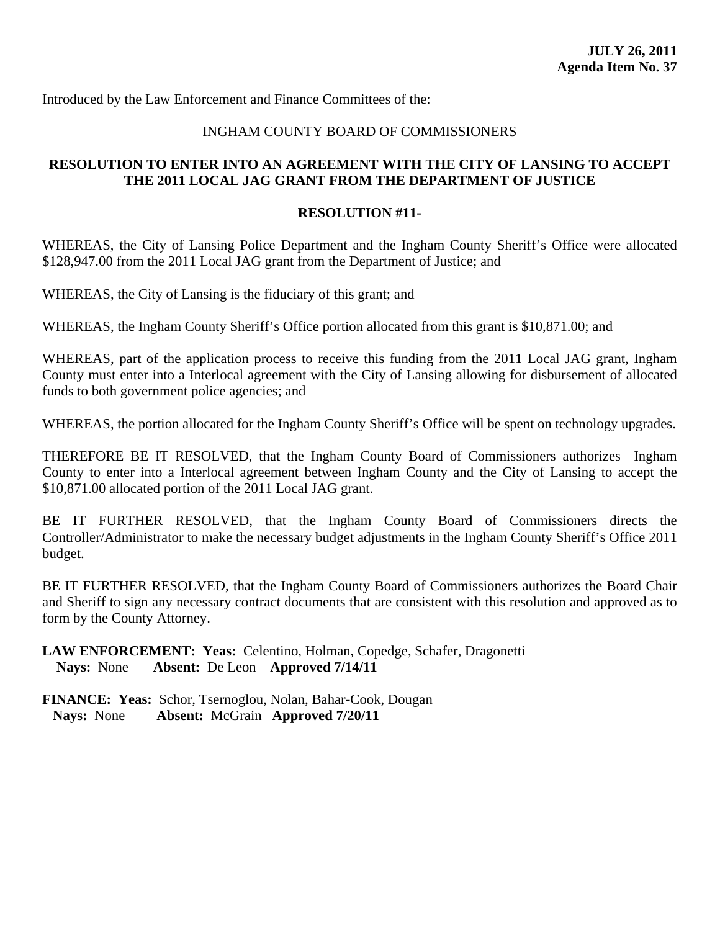Introduced by the Law Enforcement and Finance Committees of the:

## INGHAM COUNTY BOARD OF COMMISSIONERS

# **RESOLUTION TO ENTER INTO AN AGREEMENT WITH THE CITY OF LANSING TO ACCEPT THE 2011 LOCAL JAG GRANT FROM THE DEPARTMENT OF JUSTICE**

#### **RESOLUTION #11-**

WHEREAS, the City of Lansing Police Department and the Ingham County Sheriff's Office were allocated \$128,947.00 from the 2011 Local JAG grant from the Department of Justice; and

WHEREAS, the City of Lansing is the fiduciary of this grant; and

WHEREAS, the Ingham County Sheriff's Office portion allocated from this grant is \$10,871.00; and

WHEREAS, part of the application process to receive this funding from the 2011 Local JAG grant, Ingham County must enter into a Interlocal agreement with the City of Lansing allowing for disbursement of allocated funds to both government police agencies; and

WHEREAS, the portion allocated for the Ingham County Sheriff's Office will be spent on technology upgrades.

THEREFORE BE IT RESOLVED, that the Ingham County Board of Commissioners authorizes Ingham County to enter into a Interlocal agreement between Ingham County and the City of Lansing to accept the \$10,871.00 allocated portion of the 2011 Local JAG grant.

BE IT FURTHER RESOLVED, that the Ingham County Board of Commissioners directs the Controller/Administrator to make the necessary budget adjustments in the Ingham County Sheriff's Office 2011 budget.

BE IT FURTHER RESOLVED, that the Ingham County Board of Commissioners authorizes the Board Chair and Sheriff to sign any necessary contract documents that are consistent with this resolution and approved as to form by the County Attorney.

**LAW ENFORCEMENT: Yeas:** Celentino, Holman, Copedge, Schafer, Dragonetti  **Nays:** None **Absent:** De Leon **Approved 7/14/11**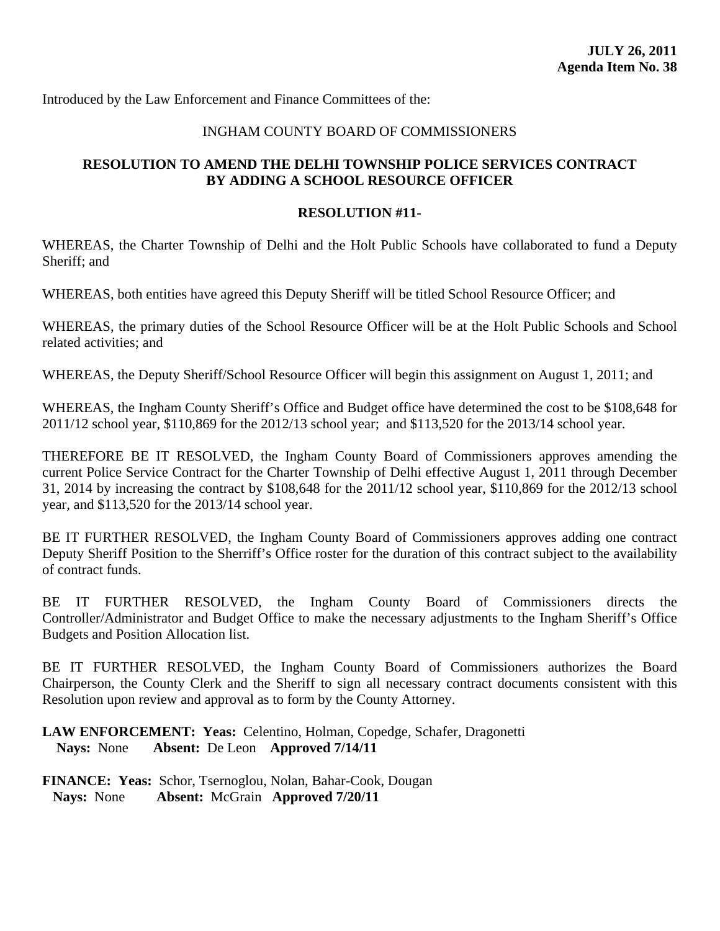Introduced by the Law Enforcement and Finance Committees of the:

## INGHAM COUNTY BOARD OF COMMISSIONERS

## **RESOLUTION TO AMEND THE DELHI TOWNSHIP POLICE SERVICES CONTRACT BY ADDING A SCHOOL RESOURCE OFFICER**

#### **RESOLUTION #11-**

WHEREAS, the Charter Township of Delhi and the Holt Public Schools have collaborated to fund a Deputy Sheriff; and

WHEREAS, both entities have agreed this Deputy Sheriff will be titled School Resource Officer; and

WHEREAS, the primary duties of the School Resource Officer will be at the Holt Public Schools and School related activities; and

WHEREAS, the Deputy Sheriff/School Resource Officer will begin this assignment on August 1, 2011; and

WHEREAS, the Ingham County Sheriff's Office and Budget office have determined the cost to be \$108,648 for 2011/12 school year, \$110,869 for the 2012/13 school year; and \$113,520 for the 2013/14 school year.

THEREFORE BE IT RESOLVED, the Ingham County Board of Commissioners approves amending the current Police Service Contract for the Charter Township of Delhi effective August 1, 2011 through December 31, 2014 by increasing the contract by \$108,648 for the 2011/12 school year, \$110,869 for the 2012/13 school year, and \$113,520 for the 2013/14 school year.

BE IT FURTHER RESOLVED, the Ingham County Board of Commissioners approves adding one contract Deputy Sheriff Position to the Sherriff's Office roster for the duration of this contract subject to the availability of contract funds.

BE IT FURTHER RESOLVED, the Ingham County Board of Commissioners directs the Controller/Administrator and Budget Office to make the necessary adjustments to the Ingham Sheriff's Office Budgets and Position Allocation list.

BE IT FURTHER RESOLVED, the Ingham County Board of Commissioners authorizes the Board Chairperson, the County Clerk and the Sheriff to sign all necessary contract documents consistent with this Resolution upon review and approval as to form by the County Attorney.

**LAW ENFORCEMENT: Yeas:** Celentino, Holman, Copedge, Schafer, Dragonetti  **Nays:** None **Absent:** De Leon **Approved 7/14/11**